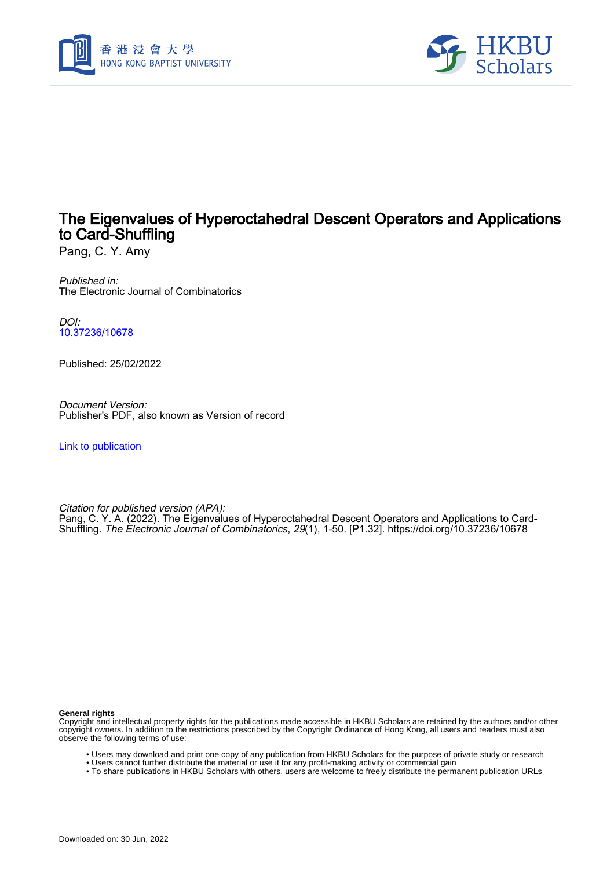



## The Eigenvalues of Hyperoctahedral Descent Operators and Applications to Card-Shuffling

Pang, C. Y. Amy

Published in: The Electronic Journal of Combinatorics

DOI: [10.37236/10678](https://doi.org/10.37236/10678)

Published: 25/02/2022

Document Version: Publisher's PDF, also known as Version of record

[Link to publication](https://scholars.hkbu.edu.hk/en/publications/4d79bfda-e573-444d-96c5-0f8563a937a5)

Citation for published version (APA): Pang, C. Y. A. (2022). The Eigenvalues of Hyperoctahedral Descent Operators and Applications to Card-Shuffling. The Electronic Journal of Combinatorics, 29(1), 1-50. [P1.32]. <https://doi.org/10.37236/10678>

**General rights**

Copyright and intellectual property rights for the publications made accessible in HKBU Scholars are retained by the authors and/or other copyright owners. In addition to the restrictions prescribed by the Copyright Ordinance of Hong Kong, all users and readers must also observe the following terms of use:

- Users may download and print one copy of any publication from HKBU Scholars for the purpose of private study or research
- Users cannot further distribute the material or use it for any profit-making activity or commercial gain
- To share publications in HKBU Scholars with others, users are welcome to freely distribute the permanent publication URLs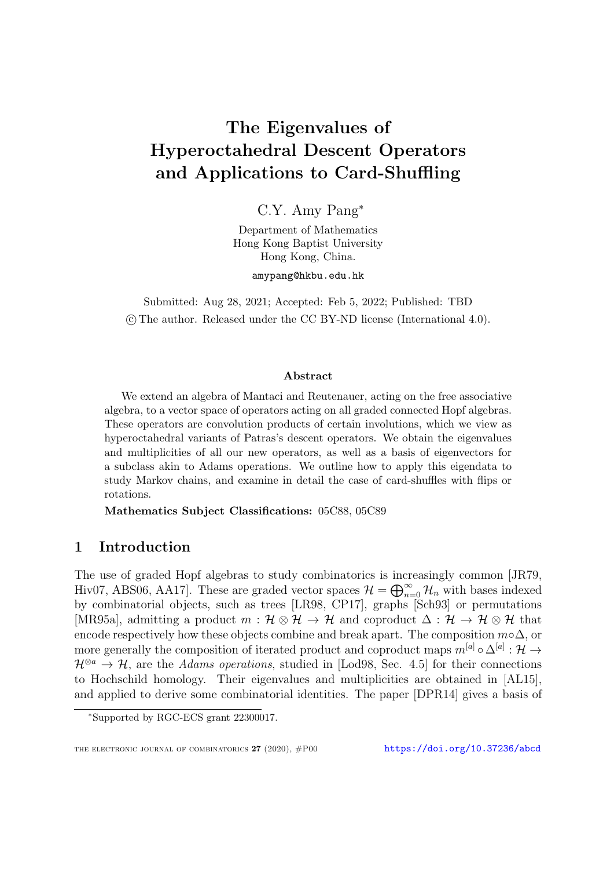# The Eigenvalues of Hyperoctahedral Descent Operators and Applications to Card-Shuffling

C.Y. Amy Pang<sup>∗</sup>

Department of Mathematics Hong Kong Baptist University Hong Kong, China.

amypang@hkbu.edu.hk

Submitted: Aug 28, 2021; Accepted: Feb 5, 2022; Published: TBD c The author. Released under the CC BY-ND license (International 4.0).

#### Abstract

We extend an algebra of Mantaci and Reutenauer, acting on the free associative algebra, to a vector space of operators acting on all graded connected Hopf algebras. These operators are convolution products of certain involutions, which we view as hyperoctahedral variants of Patras's descent operators. We obtain the eigenvalues and multiplicities of all our new operators, as well as a basis of eigenvectors for a subclass akin to Adams operations. We outline how to apply this eigendata to study Markov chains, and examine in detail the case of card-shuffles with flips or rotations.

Mathematics Subject Classifications: 05C88, 05C89

## 1 Introduction

The use of graded Hopf algebras to study combinatorics is increasingly common [\[JR79,](#page-50-0) [Hiv07,](#page-50-1) [ABS06,](#page-49-0) [AA17\]](#page-49-1). These are graded vector spaces  $\mathcal{H} = \bigoplus_{n=0}^{\infty} \mathcal{H}_n$  with bases indexed by combinatorial objects, such as trees [\[LR98,](#page-51-0) [CP17\]](#page-49-2), graphs [\[Sch93\]](#page-51-1) or permutations [\[MR95a\]](#page-51-2), admitting a product  $m : \mathcal{H} \otimes \mathcal{H} \to \mathcal{H}$  and coproduct  $\Delta : \mathcal{H} \to \mathcal{H} \otimes \mathcal{H}$  that encode respectively how these objects combine and break apart. The composition  $m \circ \Delta$ , or more generally the composition of iterated product and coproduct maps  $m^{[a]} \circ \Delta^{[a]} : \mathcal{H} \to$  $\mathcal{H}^{\otimes a} \to \mathcal{H}$ , are the Adams operations, studied in [\[Lod98,](#page-50-2) Sec. 4.5] for their connections to Hochschild homology. Their eigenvalues and multiplicities are obtained in [\[AL15\]](#page-49-3), and applied to derive some combinatorial identities. The paper [\[DPR14\]](#page-50-3) gives a basis of

<sup>∗</sup>Supported by RGC-ECS grant 22300017.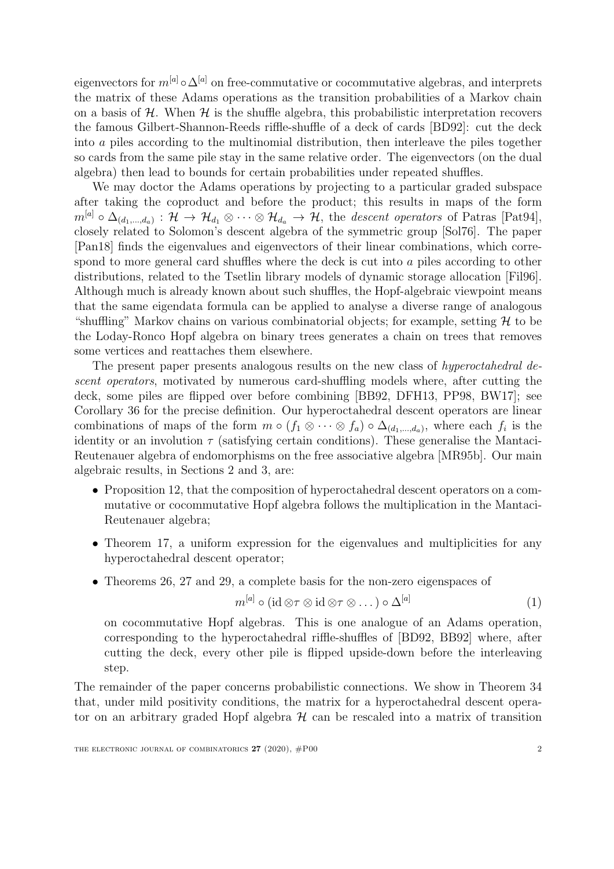eigenvectors for  $m^{[a]} \circ \Delta^{[a]}$  on free-commutative or cocommutative algebras, and interprets the matrix of these Adams operations as the transition probabilities of a Markov chain on a basis of  $H$ . When  $H$  is the shuffle algebra, this probabilistic interpretation recovers the famous Gilbert-Shannon-Reeds riffle-shuffle of a deck of cards [\[BD92\]](#page-49-4): cut the deck into a piles according to the multinomial distribution, then interleave the piles together so cards from the same pile stay in the same relative order. The eigenvectors (on the dual algebra) then lead to bounds for certain probabilities under repeated shuffles.

We may doctor the Adams operations by projecting to a particular graded subspace after taking the coproduct and before the product; this results in maps of the form  $m^{[a]} \circ \Delta_{(d_1,...,d_a)} : \mathcal{H} \to \mathcal{H}_{d_1} \otimes \cdots \otimes \mathcal{H}_{d_a} \to \mathcal{H}$ , the descent operators of Patras [\[Pat94\]](#page-51-3), closely related to Solomon's descent algebra of the symmetric group [\[Sol76\]](#page-51-4). The paper [\[Pan18\]](#page-51-5) finds the eigenvalues and eigenvectors of their linear combinations, which correspond to more general card shuffles where the deck is cut into a piles according to other distributions, related to the Tsetlin library models of dynamic storage allocation [\[Fil96\]](#page-50-4). Although much is already known about such shuffles, the Hopf-algebraic viewpoint means that the same eigendata formula can be applied to analyse a diverse range of analogous "shuffling" Markov chains on various combinatorial objects; for example, setting  $\mathcal H$  to be the Loday-Ronco Hopf algebra on binary trees generates a chain on trees that removes some vertices and reattaches them elsewhere.

The present paper presents analogous results on the new class of hyperoctahedral descent operators, motivated by numerous card-shuffling models where, after cutting the deck, some piles are flipped over before combining [\[BB92,](#page-49-5) [DFH13,](#page-49-6) [PP98,](#page-51-6) [BW17\]](#page-49-7); see Corollary [36](#page-35-0) for the precise definition. Our hyperoctahedral descent operators are linear combinations of maps of the form  $m \circ (f_1 \otimes \cdots \otimes f_a) \circ \Delta_{(d_1,\ldots,d_a)}$ , where each  $f_i$  is the identity or an involution  $\tau$  (satisfying certain conditions). These generalise the Mantaci-Reutenauer algebra of endomorphisms on the free associative algebra [\[MR95b\]](#page-51-7). Our main algebraic results, in Sections [2](#page-3-0) and [3,](#page-17-0) are:

- Proposition [12,](#page-9-0) that the composition of hyperoctahedral descent operators on a commutative or cocommutative Hopf algebra follows the multiplication in the Mantaci-Reutenauer algebra;
- Theorem [17,](#page-13-0) a uniform expression for the eigenvalues and multiplicities for any hyperoctahedral descent operator;
- Theorems [26,](#page-20-0) [27](#page-20-1) and [29,](#page-21-0) a complete basis for the non-zero eigenspaces of

<span id="page-2-0"></span>
$$
m^{[a]} \circ (\mathrm{id} \otimes \tau \otimes \mathrm{id} \otimes \tau \otimes \dots) \circ \Delta^{[a]} \tag{1}
$$

on cocommutative Hopf algebras. This is one analogue of an Adams operation, corresponding to the hyperoctahedral riffle-shuffles of [\[BD92,](#page-49-4) [BB92\]](#page-49-5) where, after cutting the deck, every other pile is flipped upside-down before the interleaving step.

The remainder of the paper concerns probabilistic connections. We show in Theorem [34](#page-31-0) that, under mild positivity conditions, the matrix for a hyperoctahedral descent operator on an arbitrary graded Hopf algebra  $H$  can be rescaled into a matrix of transition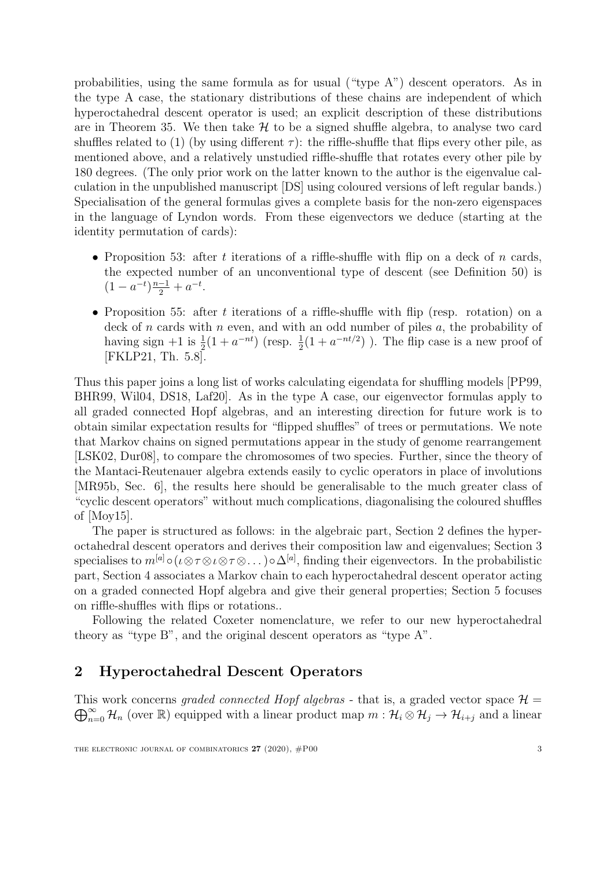probabilities, using the same formula as for usual ("type A") descent operators. As in the type A case, the stationary distributions of these chains are independent of which hyperoctahedral descent operator is used; an explicit description of these distributions are in Theorem [35.](#page-33-0) We then take  $H$  to be a signed shuffle algebra, to analyse two card shuffles related to [\(1\)](#page-2-0) (by using different  $\tau$ ): the riffle-shuffle that flips every other pile, as mentioned above, and a relatively unstudied riffle-shuffle that rotates every other pile by 180 degrees. (The only prior work on the latter known to the author is the eigenvalue calculation in the unpublished manuscript [\[DS\]](#page-50-5) using coloured versions of left regular bands.) Specialisation of the general formulas gives a complete basis for the non-zero eigenspaces in the language of Lyndon words. From these eigenvectors we deduce (starting at the identity permutation of cards):

- Proposition [53:](#page-44-0) after t iterations of a riffle-shuffle with flip on a deck of n cards, the expected number of an unconventional type of descent (see Definition [50\)](#page-43-0) is  $(1 - a^{-t})\frac{n-1}{2} + a^{-t}.$
- Proposition [55:](#page-47-0) after t iterations of a riffle-shuffle with flip (resp. rotation) on a deck of n cards with n even, and with an odd number of piles  $a$ , the probability of having sign  $+1$  is  $\frac{1}{2}(1 + a^{-nt})$  (resp.  $\frac{1}{2}(1 + a^{-nt/2})$ ). The flip case is a new proof of [\[FKLP21,](#page-50-6) Th. 5.8].

Thus this paper joins a long list of works calculating eigendata for shuffling models [\[PP99,](#page-51-8) [BHR99,](#page-49-8) [Wil04,](#page-51-9) [DS18,](#page-50-7) [Laf20\]](#page-50-8). As in the type A case, our eigenvector formulas apply to all graded connected Hopf algebras, and an interesting direction for future work is to obtain similar expectation results for "flipped shuffles" of trees or permutations. We note that Markov chains on signed permutations appear in the study of genome rearrangement [\[LSK02,](#page-51-10) [Dur08\]](#page-50-9), to compare the chromosomes of two species. Further, since the theory of the Mantaci-Reutenauer algebra extends easily to cyclic operators in place of involutions [\[MR95b,](#page-51-7) Sec. 6], the results here should be generalisable to the much greater class of "cyclic descent operators" without much complications, diagonalising the coloured shuffles of [\[Moy15\]](#page-51-11).

The paper is structured as follows: in the algebraic part, Section [2](#page-3-0) defines the hyperoctahedral descent operators and derives their composition law and eigenvalues; Section [3](#page-17-0) specialises to  $m^{[a]} \circ (\iota \otimes \tau \otimes \iota \otimes \tau \otimes \ldots) \circ \Delta^{[a]}$ , finding their eigenvectors. In the probabilistic part, Section [4](#page-30-0) associates a Markov chain to each hyperoctahedral descent operator acting on a graded connected Hopf algebra and give their general properties; Section [5](#page-35-1) focuses on riffle-shuffles with flips or rotations..

Following the related Coxeter nomenclature, we refer to our new hyperoctahedral theory as "type B", and the original descent operators as "type A".

## <span id="page-3-0"></span>2 Hyperoctahedral Descent Operators

 $\bigoplus_{n=0}^{\infty} \mathcal{H}_n$  (over R) equipped with a linear product map  $m: \mathcal{H}_i \otimes \mathcal{H}_j \to \mathcal{H}_{i+j}$  and a linear This work concerns graded connected Hopf algebras - that is, a graded vector space  $\mathcal{H} =$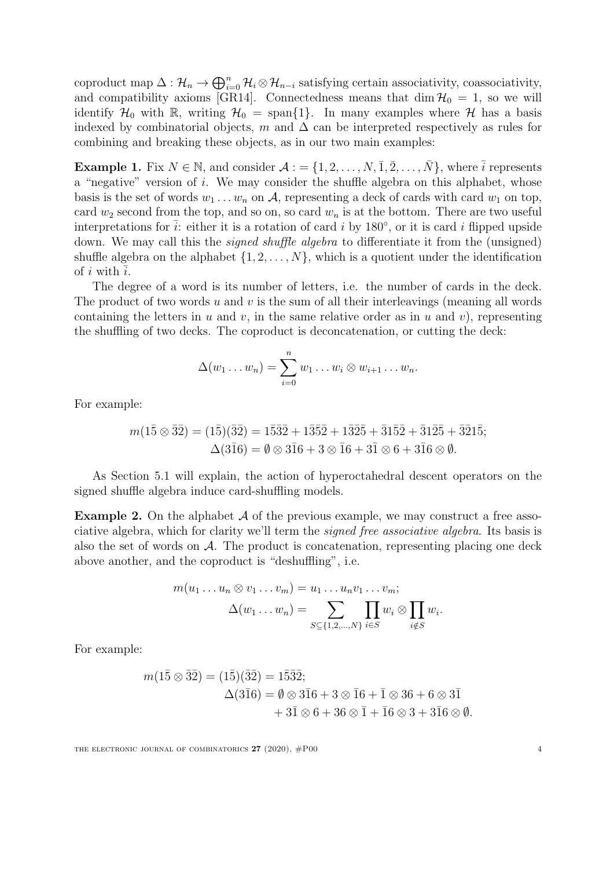coproduct map  $\Delta: \mathcal{H}_n \to \bigoplus_{i=0}^n \mathcal{H}_i \otimes \mathcal{H}_{n-i}$  satisfying certain associativity, coassociativity, and compatibility axioms [\[GR14\]](#page-50-10). Connectedness means that dim  $\mathcal{H}_0 = 1$ , so we will identify  $\mathcal{H}_0$  with R, writing  $\mathcal{H}_0 = \text{span}\{1\}$ . In many examples where  $\mathcal{H}$  has a basis indexed by combinatorial objects, m and  $\Delta$  can be interpreted respectively as rules for combining and breaking these objects, as in our two main examples:

<span id="page-4-0"></span>**Example 1.** Fix  $N \in \mathbb{N}$ , and consider  $\mathcal{A} := \{1, 2, \ldots, N, \overline{1}, \overline{2}, \ldots, \overline{N}\}\,$ , where  $\overline{i}$  represents a "negative" version of i. We may consider the shuffle algebra on this alphabet, whose basis is the set of words  $w_1 \ldots w_n$  on A, representing a deck of cards with card  $w_1$  on top, card  $w_2$  second from the top, and so on, so card  $w_n$  is at the bottom. There are two useful interpretations for  $\bar{i}$ : either it is a rotation of card i by 180 $^{\circ}$ , or it is card i flipped upside down. We may call this the *signed shuffle algebra* to differentiate it from the (unsigned) shuffle algebra on the alphabet  $\{1, 2, \ldots, N\}$ , which is a quotient under the identification of i with  $i$ .

The degree of a word is its number of letters, i.e. the number of cards in the deck. The product of two words u and v is the sum of all their interleavings (meaning all words containing the letters in u and v, in the same relative order as in u and v), representing the shuffling of two decks. The coproduct is deconcatenation, or cutting the deck:

$$
\Delta(w_1 \ldots w_n) = \sum_{i=0}^n w_1 \ldots w_i \otimes w_{i+1} \ldots w_n.
$$

For example:

$$
m(1\bar{5} \otimes \bar{3}\bar{2}) = (1\bar{5})(\bar{3}\bar{2}) = 1\bar{5}\bar{3}\bar{2} + 1\bar{3}\bar{5}\bar{2} + 1\bar{3}\bar{2}\bar{5} + \bar{3}1\bar{5}\bar{2} + \bar{3}1\bar{2}\bar{5} + \bar{3}\bar{2}1\bar{5};
$$
  

$$
\Delta(3\bar{1}6) = \emptyset \otimes 3\bar{1}6 + 3 \otimes \bar{1}6 + 3\bar{1} \otimes 6 + 3\bar{1}6 \otimes \emptyset.
$$

As Section [5.1](#page-35-2) will explain, the action of hyperoctahedral descent operators on the signed shuffle algebra induce card-shuffling models.

**Example 2.** On the alphabet  $\mathcal A$  of the previous example, we may construct a free associative algebra, which for clarity we'll term the signed free associative algebra. Its basis is also the set of words on  $A$ . The product is concatenation, representing placing one deck above another, and the coproduct is "deshuffling", i.e.

$$
m(u_1 \dots u_n \otimes v_1 \dots v_m) = u_1 \dots u_n v_1 \dots v_m;
$$
  

$$
\Delta(w_1 \dots w_n) = \sum_{S \subseteq \{1,2,\dots,N\}} \prod_{i \in S} w_i \otimes \prod_{i \notin S} w_i.
$$

For example:

$$
m(1\bar{5} \otimes \bar{3}\bar{2}) = (1\bar{5})(\bar{3}\bar{2}) = 1\bar{5}\bar{3}\bar{2};
$$
  
\n
$$
\Delta(3\bar{1}6) = \emptyset \otimes 3\bar{1}6 + 3 \otimes \bar{1}6 + \bar{1} \otimes 36 + 6 \otimes 3\bar{1} \n+ 3\bar{1} \otimes 6 + 36 \otimes \bar{1} + \bar{1}6 \otimes 3 + 3\bar{1}6 \otimes \emptyset.
$$

THE ELECTRONIC JOURNAL OF COMBINATORICS  $27$  (2020),  $\#P00$  4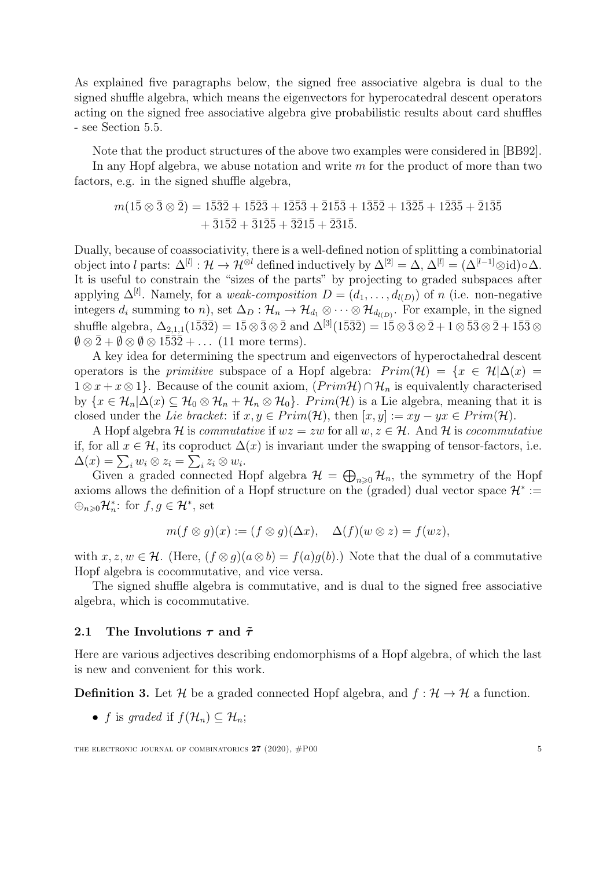As explained five paragraphs below, the signed free associative algebra is dual to the signed shuffle algebra, which means the eigenvectors for hyperocatedral descent operators acting on the signed free associative algebra give probabilistic results about card shuffles - see Section [5.5.](#page-43-1)

Note that the product structures of the above two examples were considered in [\[BB92\]](#page-49-5).

In any Hopf algebra, we abuse notation and write  $m$  for the product of more than two factors, e.g. in the signed shuffle algebra,

$$
\begin{aligned} m(1\bar{5} \otimes \bar{3} \otimes \bar{2}) = 1\bar{5}\bar{3}\bar{2} + 1\bar{5}\bar{2}\bar{3} + 1\bar{2}\bar{5}\bar{3} + \bar{2}1\bar{5}\bar{3} + 1\bar{3}\bar{5}\bar{2} + 1\bar{3}\bar{2}\bar{5} + \bar{2}1\bar{3}\bar{5} \\ &\quad + \bar{3}1\bar{5}\bar{2} + \bar{3}1\bar{2}\bar{5} + \bar{3}\bar{2}1\bar{5} + \bar{2}\bar{3}1\bar{5}. \end{aligned}
$$

Dually, because of coassociativity, there is a well-defined notion of splitting a combinatorial object into l parts:  $\Delta^{[l]}: \mathcal{H} \to \mathcal{H}^{\otimes l}$  defined inductively by  $\Delta^{[2]} = \Delta, \Delta^{[l]} = (\Delta^{[l-1]} \otimes id) \circ \Delta$ . It is useful to constrain the "sizes of the parts" by projecting to graded subspaces after applying  $\Delta^{[l]}$ . Namely, for a *weak-composition*  $D = (d_1, \ldots, d_{l(D)})$  of n (i.e. non-negative integers  $d_i$  summing to n), set  $\Delta_D: \mathcal{H}_n \to \mathcal{H}_{d_1} \otimes \cdots \otimes \mathcal{H}_{d_{l(D)}}$ . For example, in the signed shuffle algebra,  $\Delta_{2,1,1}(1\bar{5}3\bar{2}) = 1\bar{5} \otimes \bar{3} \otimes \bar{2}$  and  $\Delta^{[3]}(1\bar{5}3\bar{2}) = 1\bar{5} \otimes \bar{3} \otimes \bar{2} + 1 \otimes \bar{5}3 \otimes \bar{2} + 1\bar{5}3 \otimes \bar{2}$  $\emptyset \otimes \overline{2} + \emptyset \otimes \emptyset \otimes 1\overline{3}\overline{3}\overline{2} + \dots$  (11 more terms).

A key idea for determining the spectrum and eigenvectors of hyperoctahedral descent operators is the *primitive* subspace of a Hopf algebra:  $Prim(\mathcal{H}) = \{x \in \mathcal{H} | \Delta(x) =$  $1 \otimes x + x \otimes 1$ . Because of the counit axiom,  $(Prim\mathcal{H}) \cap \mathcal{H}_n$  is equivalently characterised by  $\{x \in \mathcal{H}_n | \Delta(x) \subseteq \mathcal{H}_0 \otimes \mathcal{H}_n + \mathcal{H}_n \otimes \mathcal{H}_0\}$ . Prim $(\mathcal{H})$  is a Lie algebra, meaning that it is closed under the Lie bracket: if  $x, y \in Prim(\mathcal{H})$ , then  $[x, y] := xy - yx \in Prim(\mathcal{H})$ .

A Hopf algebra H is commutative if  $wz = zw$  for all  $w, z \in \mathcal{H}$ . And H is cocommutative if, for all  $x \in \mathcal{H}$ , its coproduct  $\Delta(x)$  is invariant under the swapping of tensor-factors, i.e.  $\Delta(x) = \sum_i w_i \otimes z_i = \sum_i z_i \otimes w_i.$ 

Given a graded connected Hopf algebra  $\mathcal{H} = \bigoplus_{n\geqslant 0} \mathcal{H}_n$ , the symmetry of the Hopf axioms allows the definition of a Hopf structure on the (graded) dual vector space  $\mathcal{H}^* :=$  $\bigoplus_{n\geqslant 0} \mathcal{H}_n^*$ : for  $f, g \in \mathcal{H}^*$ , set

$$
m(f \otimes g)(x) := (f \otimes g)(\Delta x), \quad \Delta(f)(w \otimes z) = f(wz),
$$

with  $x, z, w \in \mathcal{H}$ . (Here,  $(f \otimes g)(a \otimes b) = f(a)g(b)$ .) Note that the dual of a commutative Hopf algebra is cocommutative, and vice versa.

The signed shuffle algebra is commutative, and is dual to the signed free associative algebra, which is cocommutative.

#### <span id="page-5-0"></span>2.1 The Involutions  $\tau$  and  $\tilde{\tau}$

Here are various adjectives describing endomorphisms of a Hopf algebra, of which the last is new and convenient for this work.

**Definition 3.** Let H be a graded connected Hopf algebra, and  $f : \mathcal{H} \to \mathcal{H}$  a function.

• f is graded if  $f(\mathcal{H}_n) \subset \mathcal{H}_n$ ;

THE ELECTRONIC JOURNAL OF COMBINATORICS  $27$  (2020),  $\#P00$  5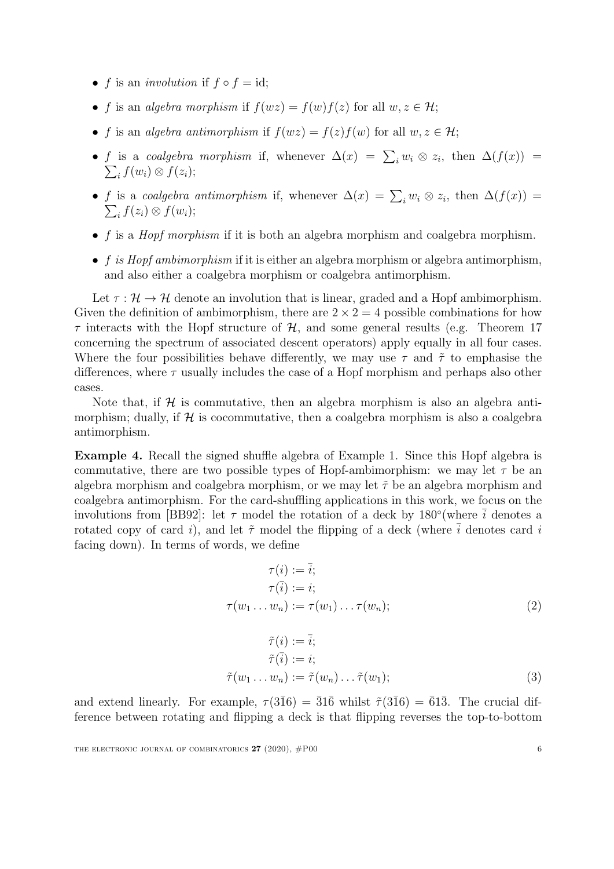- f is an *involution* if  $f \circ f = id$ ;
- f is an algebra morphism if  $f(wz) = f(w)f(z)$  for all  $w, z \in \mathcal{H}$ ;
- f is an algebra antimorphism if  $f(wz) = f(z)f(w)$  for all  $w, z \in \mathcal{H}$ ;
- f is a coalgebra morphism if, whenever  $\Delta(x) = \sum_i w_i \otimes z_i$  $\sum$ , then  $\Delta(f(x)) =$  $\mathcal{L}_i f(w_i) \otimes f(z_i);$
- f is a coalgebra antimorphism if, whenever  $\Delta(x) = \sum_i w_i \otimes z_i$  $\sum$ , then  $\Delta(f(x)) =$  $\widetilde{f}(z_i) \otimes f(w_i);$
- $f$  is a *Hopf morphism* if it is both an algebra morphism and coalgebra morphism.
- $f$  is Hopf ambimorphism if it is either an algebra morphism or algebra antimorphism, and also either a coalgebra morphism or coalgebra antimorphism.

Let  $\tau : \mathcal{H} \to \mathcal{H}$  denote an involution that is linear, graded and a Hopf ambimorphism. Given the definition of ambimorphism, there are  $2 \times 2 = 4$  possible combinations for how  $\tau$  interacts with the Hopf structure of  $\mathcal{H}$ , and some general results (e.g. Theorem [17](#page-13-0) concerning the spectrum of associated descent operators) apply equally in all four cases. Where the four possibilities behave differently, we may use  $\tau$  and  $\tilde{\tau}$  to emphasise the differences, where  $\tau$  usually includes the case of a Hopf morphism and perhaps also other cases.

Note that, if  $\mathcal H$  is commutative, then an algebra morphism is also an algebra antimorphism; dually, if  $\mathcal H$  is cocommutative, then a coalgebra morphism is also a coalgebra antimorphism.

Example 4. Recall the signed shuffle algebra of Example [1.](#page-4-0) Since this Hopf algebra is commutative, there are two possible types of Hopf-ambimorphism: we may let  $\tau$  be an algebra morphism and coalgebra morphism, or we may let  $\tilde{\tau}$  be an algebra morphism and coalgebra antimorphism. For the card-shuffling applications in this work, we focus on the involutions from [\[BB92\]](#page-49-5): let  $\tau$  model the rotation of a deck by 180° (where  $\bar{i}$  denotes a rotated copy of card i), and let  $\tilde{\tau}$  model the flipping of a deck (where  $\bar{i}$  denotes card i facing down). In terms of words, we define

<span id="page-6-0"></span>
$$
\tau(i) := \overline{i};
$$
  
\n
$$
\tau(\overline{i}) := i;
$$
  
\n
$$
\tau(w_1 \dots w_n) := \tau(w_1) \dots \tau(w_n);
$$
  
\n(2)

<span id="page-6-1"></span>
$$
\tilde{\tau}(i) := \overline{i};
$$
  
\n
$$
\tilde{\tau}(\overline{i}) := i;
$$
  
\n
$$
\tilde{\tau}(w_1 \dots w_n) := \tilde{\tau}(w_n) \dots \tilde{\tau}(w_1);
$$
\n(3)

and extend linearly. For example,  $\tau(3\overline{1}6) = \overline{3}1\overline{6}$  whilst  $\tilde{\tau}(3\overline{1}6) = \overline{6}1\overline{3}$ . The crucial difference between rotating and flipping a deck is that flipping reverses the top-to-bottom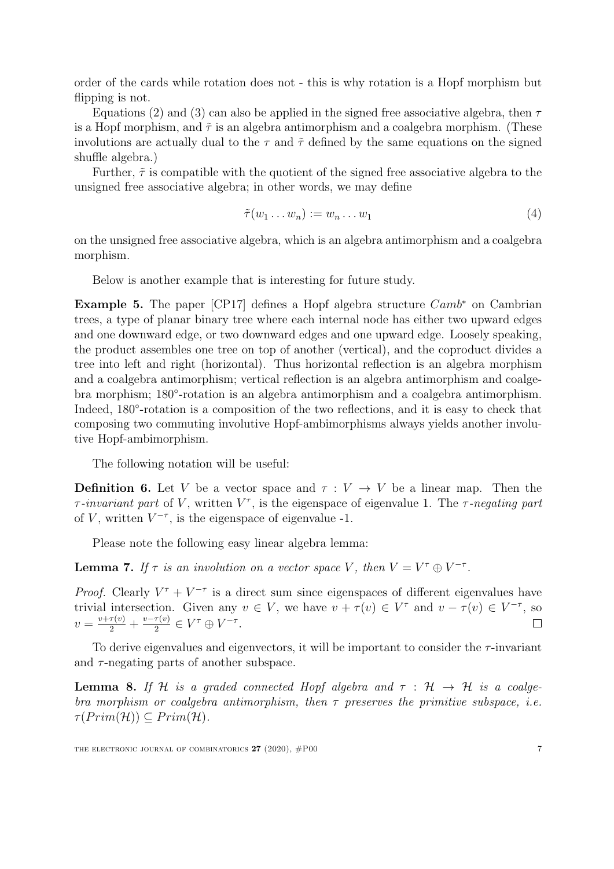order of the cards while rotation does not - this is why rotation is a Hopf morphism but flipping is not.

Equations [\(2\)](#page-6-0) and [\(3\)](#page-6-1) can also be applied in the signed free associative algebra, then  $\tau$ is a Hopf morphism, and  $\tilde{\tau}$  is an algebra antimorphism and a coalgebra morphism. (These involutions are actually dual to the  $\tau$  and  $\tilde{\tau}$  defined by the same equations on the signed shuffle algebra.)

Further,  $\tilde{\tau}$  is compatible with the quotient of the signed free associative algebra to the unsigned free associative algebra; in other words, we may define

<span id="page-7-0"></span>
$$
\tilde{\tau}(w_1 \dots w_n) := w_n \dots w_1 \tag{4}
$$

on the unsigned free associative algebra, which is an algebra antimorphism and a coalgebra morphism.

Below is another example that is interesting for future study.

**Example 5.** The paper [\[CP17\]](#page-49-2) defines a Hopf algebra structure  $Camb^*$  on Cambrian trees, a type of planar binary tree where each internal node has either two upward edges and one downward edge, or two downward edges and one upward edge. Loosely speaking, the product assembles one tree on top of another (vertical), and the coproduct divides a tree into left and right (horizontal). Thus horizontal reflection is an algebra morphism and a coalgebra antimorphism; vertical reflection is an algebra antimorphism and coalgebra morphism; 180°-rotation is an algebra antimorphism and a coalgebra antimorphism. Indeed, 180°-rotation is a composition of the two reflections, and it is easy to check that composing two commuting involutive Hopf-ambimorphisms always yields another involutive Hopf-ambimorphism.

The following notation will be useful:

<span id="page-7-1"></span>**Definition 6.** Let V be a vector space and  $\tau : V \to V$  be a linear map. Then the  $\tau$ -invariant part of V, written  $V^{\tau}$ , is the eigenspace of eigenvalue 1. The  $\tau$ -negating part of V, written  $V^{-\tau}$ , is the eigenspace of eigenvalue -1.

Please note the following easy linear algebra lemma:

**Lemma 7.** If  $\tau$  is an involution on a vector space V, then  $V = V^{\tau} \oplus V^{-\tau}$ .

*Proof.* Clearly  $V^{\tau} + V^{-\tau}$  is a direct sum since eigenspaces of different eigenvalues have trivial intersection. Given any  $v \in V$ , we have  $v + \tau(v) \in V^{\tau}$  and  $v - \tau(v) \in V^{-\tau}$ , so  $v = \frac{v + \tau(v)}{2} + \frac{v - \tau(v)}{2}$  $\frac{\tau(v)}{2} \in V^{\tau} \oplus V^{-\tau}.$  $\Box$ 

To derive eigenvalues and eigenvectors, it will be important to consider the  $\tau$ -invariant and  $\tau$ -negating parts of another subspace.

**Lemma 8.** If H is a graded connected Hopf algebra and  $\tau : H \rightarrow H$  is a coalgebra morphism or coalgebra antimorphism, then  $\tau$  preserves the primitive subspace, i.e.  $\tau(Prim(\mathcal{H})) \subseteq Prim(\mathcal{H}).$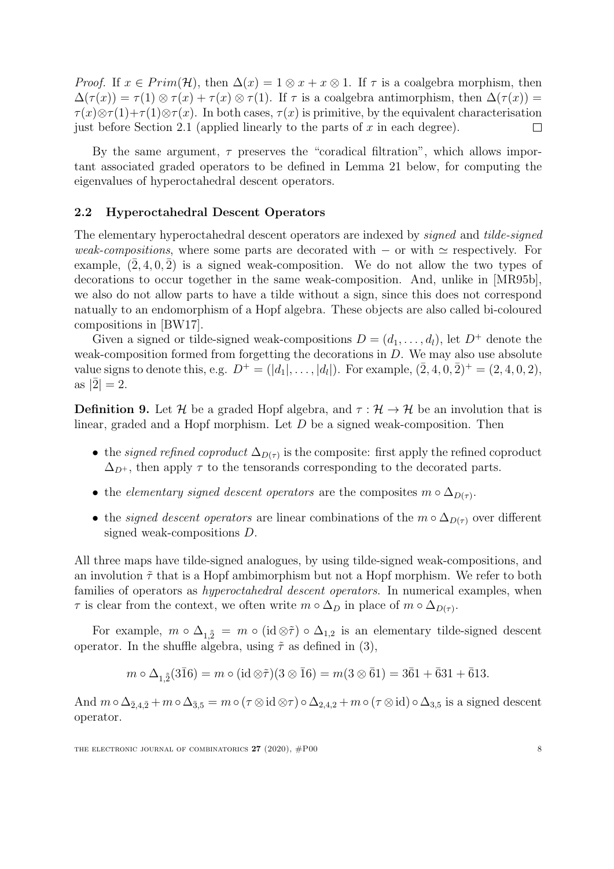*Proof.* If  $x \in Prim(\mathcal{H})$ , then  $\Delta(x) = 1 \otimes x + x \otimes 1$ . If  $\tau$  is a coalgebra morphism, then  $\Delta(\tau(x)) = \tau(1) \otimes \tau(x) + \tau(x) \otimes \tau(1)$ . If  $\tau$  is a coalgebra antimorphism, then  $\Delta(\tau(x)) =$  $\tau(x) \otimes \tau(1) + \tau(1) \otimes \tau(x)$ . In both cases,  $\tau(x)$  is primitive, by the equivalent characterisation just before Section [2.1](#page-5-0) (applied linearly to the parts of  $x$  in each degree).  $\Box$ 

By the same argument,  $\tau$  preserves the "coradical filtration", which allows important associated graded operators to be defined in Lemma [21](#page-15-0) below, for computing the eigenvalues of hyperoctahedral descent operators.

#### <span id="page-8-1"></span>2.2 Hyperoctahedral Descent Operators

The elementary hyperoctahedral descent operators are indexed by signed and tilde-signed weak-compositions, where some parts are decorated with  $-$  or with  $\simeq$  respectively. For example,  $(\overline{2}, 4, 0, \overline{2})$  is a signed weak-composition. We do not allow the two types of decorations to occur together in the same weak-composition. And, unlike in [\[MR95b\]](#page-51-7), we also do not allow parts to have a tilde without a sign, since this does not correspond natually to an endomorphism of a Hopf algebra. These objects are also called bi-coloured compositions in [\[BW17\]](#page-49-7).

Given a signed or tilde-signed weak-compositions  $D = (d_1, \ldots, d_l)$ , let  $D^+$  denote the weak-composition formed from forgetting the decorations in D. We may also use absolute value signs to denote this, e.g.  $D^+ = (|d_1|, \ldots, |d_l|)$ . For example,  $(\bar{2}, 4, 0, \bar{2})^+ = (2, 4, 0, 2)$ , as  $|\bar{2}| = 2$ .

<span id="page-8-0"></span>**Definition 9.** Let H be a graded Hopf algebra, and  $\tau : \mathcal{H} \to \mathcal{H}$  be an involution that is linear, graded and a Hopf morphism. Let D be a signed weak-composition. Then

- the *signed refined coproduct*  $\Delta_{D(\tau)}$  is the composite: first apply the refined coproduct  $\Delta_{D^+}$ , then apply  $\tau$  to the tensorands corresponding to the decorated parts.
- the *elementary signed descent operators* are the composites  $m \circ \Delta_{D(\tau)}$ .
- the *signed descent operators* are linear combinations of the  $m \circ \Delta_{D(\tau)}$  over different signed weak-compositions D.

All three maps have tilde-signed analogues, by using tilde-signed weak-compositions, and an involution  $\tilde{\tau}$  that is a Hopf ambimorphism but not a Hopf morphism. We refer to both families of operators as *hyperoctahedral descent operators*. In numerical examples, when  $\tau$  is clear from the context, we often write  $m \circ \Delta_D$  in place of  $m \circ \Delta_{D(\tau)}$ .

For example,  $m \circ \Delta_{1,\tilde{2}} = m \circ (\text{id} \otimes \tilde{\tau}) \circ \Delta_{1,2}$  is an elementary tilde-signed descent operator. In the shuffle algebra, using  $\tilde{\tau}$  as defined in [\(3\)](#page-6-1),

$$
m \circ \Delta_{1,\tilde{2}}(3\bar{1}6) = m \circ (\mathrm{id} \otimes \tilde{\tau})(3 \otimes \bar{1}6) = m(3 \otimes \bar{6}1) = 3\bar{6}1 + \bar{6}31 + \bar{6}13.
$$

And  $m \circ \Delta_{\bar{2},4,\bar{2}} + m \circ \Delta_{\bar{3},5} = m \circ (\tau \otimes id \otimes \tau) \circ \Delta_{2,4,2} + m \circ (\tau \otimes id) \circ \Delta_{3,5}$  is a signed descent operator.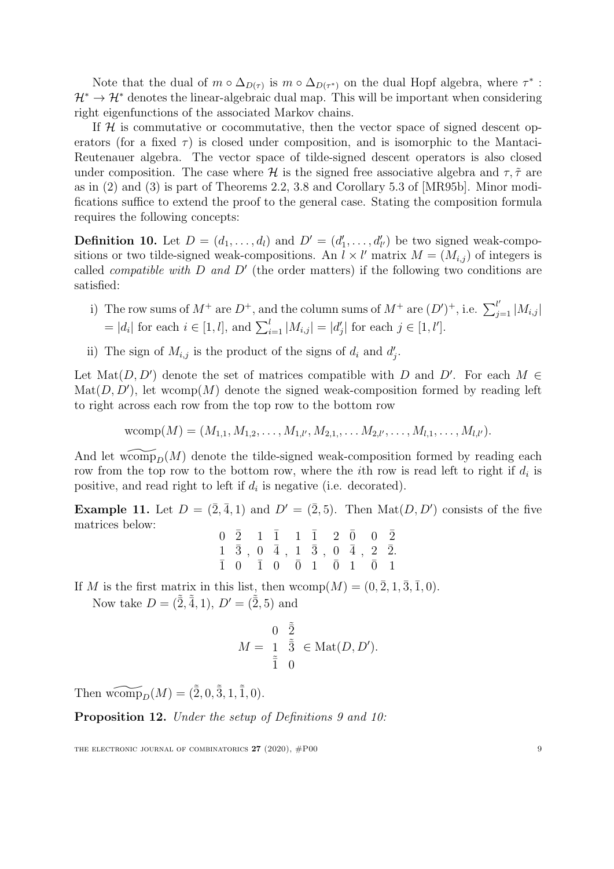Note that the dual of  $m \circ \Delta_{D(\tau)}$  is  $m \circ \Delta_{D(\tau^*)}$  on the dual Hopf algebra, where  $\tau^*$ :  $\mathcal{H}^* \to \mathcal{H}^*$  denotes the linear-algebraic dual map. This will be important when considering right eigenfunctions of the associated Markov chains.

If  $H$  is commutative or cocommutative, then the vector space of signed descent operators (for a fixed  $\tau$ ) is closed under composition, and is isomorphic to the Mantaci-Reutenauer algebra. The vector space of tilde-signed descent operators is also closed under composition. The case where H is the signed free associative algebra and  $\tau$ ,  $\tilde{\tau}$  are as in [\(2\)](#page-6-0) and [\(3\)](#page-6-1) is part of Theorems 2.2, 3.8 and Corollary 5.3 of [\[MR95b\]](#page-51-7). Minor modifications suffice to extend the proof to the general case. Stating the composition formula requires the following concepts:

<span id="page-9-1"></span>**Definition 10.** Let  $D = (d_1, \ldots, d_l)$  and  $D' = (d'_1, \ldots, d'_{l'})$  be two signed weak-compositions or two tilde-signed weak-compositions. An  $l \times l'$  matrix  $M = (M_{i,j})$  of integers is called *compatible with*  $D$  and  $D'$  (the order matters) if the following two conditions are satisfied:

- i) The row sums of  $M^+$  are  $D^+$ , and the column sums of  $M^+$  are  $(D')^+$ , i.e.  $\sum_{j=1}^{l'} |M_{i,j}|$  $= |d_i|$  for each  $i \in [1, l]$ , and  $\sum_{i=1}^{l} |M_{i,j}| = |d'_j|$  for each  $j \in [1, l']$ .
- ii) The sign of  $M_{i,j}$  is the product of the signs of  $d_i$  and  $d'_j$ .

Let Mat $(D, D')$  denote the set of matrices compatible with D and D'. For each  $M \in$  $\text{Mat}(D, D')$ , let wcomp $(M)$  denote the signed weak-composition formed by reading left to right across each row from the top row to the bottom row

$$
wcomp(M) = (M_{1,1}, M_{1,2}, \ldots, M_{1,l'}, M_{2,1}, \ldots, M_{2,l'}, \ldots, M_{l,1}, \ldots, M_{l,l'}).
$$

And let womp<sub>p</sub> $(M)$  denote the tilde-signed weak-composition formed by reading each row from the top row to the bottom row, where the *i*th row is read left to right if  $d_i$  is positive, and read right to left if  $d_i$  is negative (i.e. decorated).

**Example 11.** Let  $D = (\overline{2}, \overline{4}, 1)$  and  $D' = (\overline{2}, 5)$ . Then  $\text{Mat}(D, D')$  consists of the five matrices below:

|  | $0 \quad \bar{2} \quad 1 \quad \bar{1} \quad 1 \quad \bar{1} \quad 2 \quad \bar{0} \quad 0 \quad \bar{2}$                  |  |  |  |
|--|----------------------------------------------------------------------------------------------------------------------------|--|--|--|
|  | $1 \quad \bar{3} \ \ , \ \ 0 \quad \bar{4} \ \ , \ \ 1 \quad \bar{3} \ \ , \ \ 0 \quad \bar{4} \ \ , \ \ 2 \quad \bar{2}.$ |  |  |  |
|  | $\bar{1}$ 0 $\bar{1}$ 0 $\bar{0}$ 1 $\bar{0}$ 1 $\bar{0}$ 1                                                                |  |  |  |

If M is the first matrix in this list, then  $wcomp(M) = (0, \overline{2}, 1, \overline{3}, \overline{1}, 0)$ .

Now take  $D = (\tilde{\bar{2}}, \tilde{\bar{4}}, 1), D' = (\tilde{\bar{2}}, 5)$  and

$$
M = \begin{array}{cc} 0 & \tilde{\tilde{2}} \\ 1 & \tilde{\tilde{3}} \\ \tilde{\tilde{1}} & 0 \end{array} \in \text{Mat}(D, D').
$$

Then  $\widetilde{\text{wcomp}}_D(M) = (\tilde{\overline{2}}, 0, \tilde{\overline{3}}, 1, \tilde{\overline{1}}, 0).$ 

<span id="page-9-0"></span>Proposition 12. Under the setup of Definitions [9](#page-8-0) and [10:](#page-9-1)

THE ELECTRONIC JOURNAL OF COMBINATORICS  $27$  (2020),  $\#P00$  9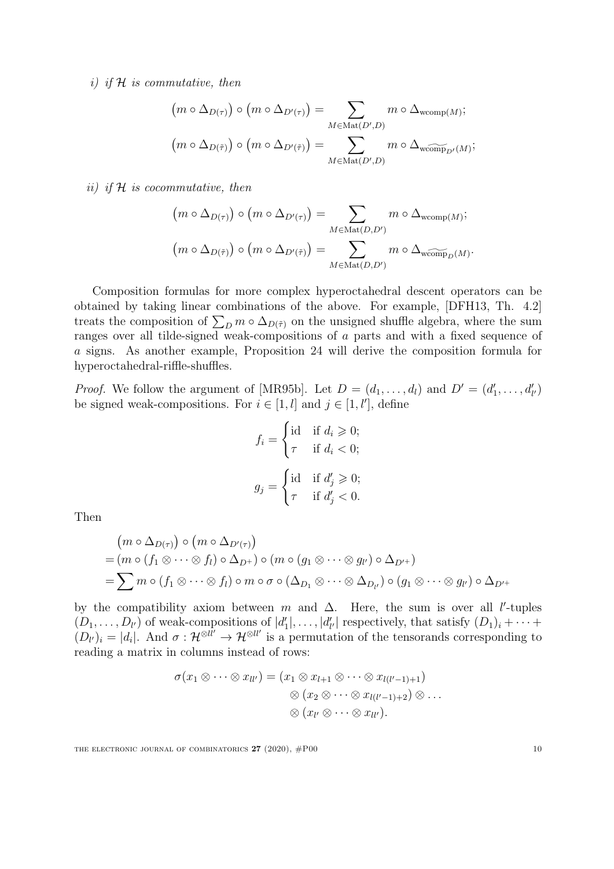i) if  $H$  is commutative, then

$$
(m \circ \Delta_{D(\tau)}) \circ (m \circ \Delta_{D'(\tau)}) = \sum_{M \in \text{Mat}(D',D)} m \circ \Delta_{\text{wcomp}(M)};
$$

$$
(m \circ \Delta_{D(\tilde{\tau})}) \circ (m \circ \Delta_{D'(\tilde{\tau})}) = \sum_{M \in \text{Mat}(D',D)} m \circ \Delta_{\text{wcomp}_{D'}(M)};
$$

ii) if  $H$  is cocommutative, then

$$
(m \circ \Delta_{D(\tau)}) \circ (m \circ \Delta_{D'(\tau)}) = \sum_{M \in \text{Mat}(D, D')} m \circ \Delta_{\text{wcomp}(M)};
$$

$$
(m \circ \Delta_{D(\tilde{\tau})}) \circ (m \circ \Delta_{D'(\tilde{\tau})}) = \sum_{M \in \text{Mat}(D, D')} m \circ \Delta_{\text{wcomp}_D(M)}.
$$

Composition formulas for more complex hyperoctahedral descent operators can be obtained by taking linear combinations of the above. For example, [\[DFH13,](#page-49-6) Th. 4.2] treats the composition of  $\sum_{D} m \circ \Delta_{D(\tilde{\tau})}$  on the unsigned shuffle algebra, where the sum ranges over all tilde-signed weak-compositions of a parts and with a fixed sequence of a signs. As another example, Proposition [24](#page-18-0) will derive the composition formula for hyperoctahedral-riffle-shuffles.

*Proof.* We follow the argument of [\[MR95b\]](#page-51-7). Let  $D = (d_1, \ldots, d_l)$  and  $D' = (d'_1, \ldots, d'_{l'})$ be signed weak-compositions. For  $i \in [1, l]$  and  $j \in [1, l']$ , define

$$
f_i = \begin{cases} \text{id} & \text{if } d_i \geq 0; \\ \tau & \text{if } d_i < 0; \end{cases}
$$
\n
$$
g_j = \begin{cases} \text{id} & \text{if } d'_j \geq 0; \\ \tau & \text{if } d'_j < 0. \end{cases}
$$

Then

$$
(m \circ \Delta_{D(\tau)}) \circ (m \circ \Delta_{D'(\tau)})
$$
  
=  $(m \circ (f_1 \otimes \cdots \otimes f_l) \circ \Delta_{D^+}) \circ (m \circ (g_1 \otimes \cdots \otimes g_{l'}) \circ \Delta_{D^{+}})$   
=  $\sum m \circ (f_1 \otimes \cdots \otimes f_l) \circ m \circ \sigma \circ (\Delta_{D_1} \otimes \cdots \otimes \Delta_{D_{l'}}) \circ (g_1 \otimes \cdots \otimes g_{l'}) \circ \Delta_{D^{+}}$ 

by the compatibility axiom between m and  $\Delta$ . Here, the sum is over all l'-tuples  $(D_1,\ldots,D_{l'})$  of weak-compositions of  $|d'_1|,\ldots,|d'_{l'}|$  respectively, that satisfy  $(D_1)_i+\cdots+$  $(D_{l'})_i = |d_i|$ . And  $\sigma : \mathcal{H}^{\otimes ll'} \to \mathcal{H}^{\otimes ll'}$  is a permutation of the tensorands corresponding to reading a matrix in columns instead of rows:

$$
\sigma(x_1 \otimes \cdots \otimes x_{ll'}) = (x_1 \otimes x_{l+1} \otimes \cdots \otimes x_{l(l'-1)+1})
$$

$$
\otimes (x_2 \otimes \cdots \otimes x_{l(l'-1)+2}) \otimes \cdots
$$

$$
\otimes (x_{l'} \otimes \cdots \otimes x_{ll'}).
$$

THE ELECTRONIC JOURNAL OF COMBINATORICS  $27 (2020)$ ,  $#P00$  10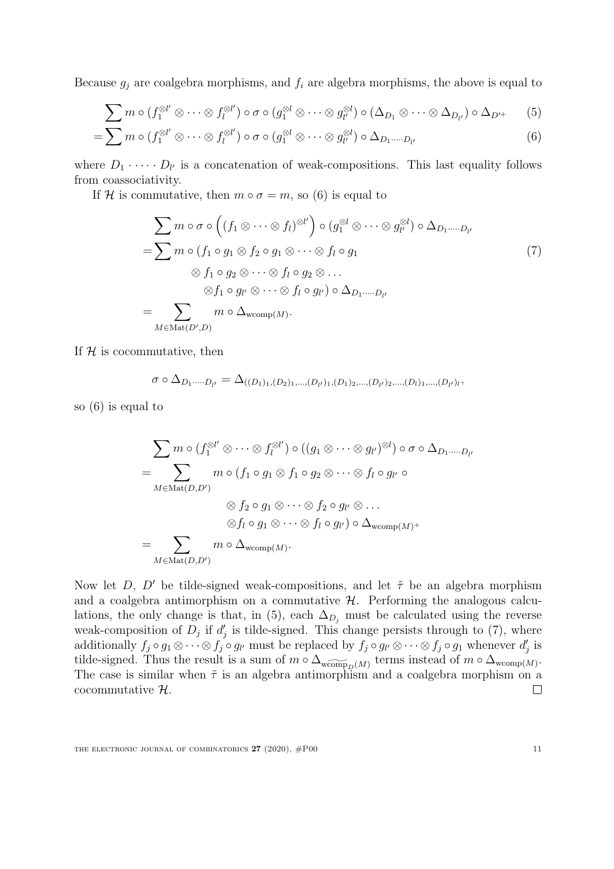Because  $g_i$  are coalgebra morphisms, and  $f_i$  are algebra morphisms, the above is equal to

$$
\sum m \circ (f_1^{\otimes l'} \otimes \cdots \otimes f_l^{\otimes l'}) \circ \sigma \circ (g_1^{\otimes l} \otimes \cdots \otimes g_{l'}^{\otimes l}) \circ (\Delta_{D_1} \otimes \cdots \otimes \Delta_{D_{l'}}) \circ \Delta_{D'}.
$$
 (5)

$$
= \sum m \circ (f_1^{\otimes l'} \otimes \cdots \otimes f_l^{\otimes l'}) \circ \sigma \circ (g_1^{\otimes l} \otimes \cdots \otimes g_{l'}^{\otimes l}) \circ \Delta_{D_1 \cdots D_{l'}} \tag{6}
$$

where  $D_1 \cdot \cdots \cdot D_{l'}$  is a concatenation of weak-compositions. This last equality follows from coassociativity.

If H is commutative, then  $m \circ \sigma = m$ , so [\(6\)](#page-11-0) is equal to

<span id="page-11-2"></span><span id="page-11-1"></span><span id="page-11-0"></span>
$$
\sum m \circ \sigma \circ ((f_1 \otimes \cdots \otimes f_l)^{\otimes l'}) \circ (g_1^{\otimes l} \otimes \cdots \otimes g_{l'}^{\otimes l}) \circ \Delta_{D_1 \cdots D_{l'}}
$$
\n
$$
= \sum m \circ (f_1 \circ g_1 \otimes f_2 \circ g_1 \otimes \cdots \otimes f_l \circ g_1
$$
\n
$$
\otimes f_1 \circ g_2 \otimes \cdots \otimes f_l \circ g_2 \otimes \cdots
$$
\n
$$
\otimes f_1 \circ g_{l'} \otimes \cdots \otimes f_l \circ g_{l'}) \circ \Delta_{D_1 \cdots D_{l'}}
$$
\n
$$
= \sum_{M \in \text{Mat}(D', D)} m \circ \Delta_{\text{wcomp}(M)}.
$$
\n(7)

If  $H$  is cocommutative, then

$$
\sigma \circ \Delta_{D_1 \cdots D_{l'}} = \Delta_{((D_1)_1, (D_2)_1, \ldots, (D_{l'})_1, (D_1)_2, \ldots, (D_{l'})_2, \ldots, (D_{l})_1, \ldots, (D_{l'})_l},
$$

so [\(6\)](#page-11-0) is equal to

$$
\sum m \circ (f_1^{\otimes l'} \otimes \cdots \otimes f_l^{\otimes l'}) \circ ((g_1 \otimes \cdots \otimes g_{l'})^{\otimes l}) \circ \sigma \circ \Delta_{D_1 \cdots \cdots D_{l'}}
$$
\n
$$
= \sum_{M \in \text{Mat}(D, D')} m \circ (f_1 \circ g_1 \otimes f_1 \circ g_2 \otimes \cdots \otimes f_l \circ g_{l'} \circ
$$
\n
$$
\otimes f_2 \circ g_1 \otimes \cdots \otimes f_2 \circ g_{l'} \otimes \cdots
$$
\n
$$
\otimes f_l \circ g_1 \otimes \cdots \otimes f_l \circ g_{l'}) \circ \Delta_{\text{wcomp}(M)}+
$$
\n
$$
= \sum_{M \in \text{Mat}(D, D')} m \circ \Delta_{\text{wcomp}(M)}.
$$

Now let D, D' be tilde-signed weak-compositions, and let  $\tilde{\tau}$  be an algebra morphism and a coalgebra antimorphism on a commutative  $H$ . Performing the analogous calcu-lations, the only change is that, in [\(5\)](#page-11-1), each  $\Delta_{D_j}$  must be calculated using the reverse weak-composition of  $D_j$  if  $d'_j$  is tilde-signed. This change persists through to [\(7\)](#page-11-2), where additionally  $f_j \circ g_1 \otimes \cdots \otimes f_j \circ g_{l'}$  must be replaced by  $f_j \circ g_{l'} \otimes \cdots \otimes f_j \circ g_1$  whenever  $d'_j$  is tilde-signed. Thus the result is a sum of  $m \circ \Delta_{\widetilde{\text{wcomp}}_D(M)}$  terms instead of  $m \circ \Delta_{\text{wcomp}(M)}$ . The case is similar when  $\tilde{\tau}$  is an algebra antimorphism and a coalgebra morphism on a cocommutative H.  $\Box$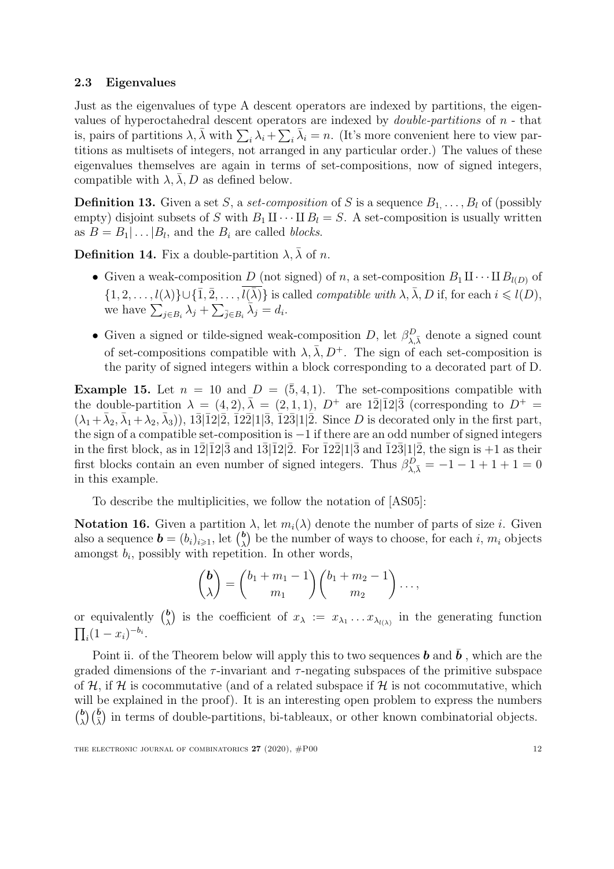#### 2.3 Eigenvalues

Just as the eigenvalues of type A descent operators are indexed by partitions, the eigenvalues of hyperoctahedral descent operators are indexed by *double-partitions* of  $n$  - that is, pairs of partitions  $\lambda$ ,  $\bar{\lambda}$  with  $\sum_i \lambda_i + \sum_i \bar{\lambda}_i = n$ . (It's more convenient here to view partitions as multisets of integers, not arranged in any particular order.) The values of these eigenvalues themselves are again in terms of set-compositions, now of signed integers, compatible with  $\lambda$ ,  $\lambda$ ,  $D$  as defined below.

**Definition 13.** Given a set S, a set-composition of S is a sequence  $B_1, \ldots, B_l$  of (possibly empty) disjoint subsets of S with  $B_1 \amalg \cdots \amalg B_l = S$ . A set-composition is usually written as  $B = B_1 | \dots | B_l$ , and the  $B_i$  are called *blocks*.

**Definition 14.** Fix a double-partition  $\lambda$ ,  $\bar{\lambda}$  of n.

- Given a weak-composition D (not signed) of n, a set-composition  $B_1 \amalg \cdots \amalg B_{l(D)}$  of  $\{1, 2, \ldots, l(\lambda)\} \cup \{\overline{1}, \overline{2}, \ldots, \overline{l(\overline{\lambda})}\}\$ is called *compatible with*  $\lambda, \overline{\lambda}, D$  if, for each  $i \leq l(D)$ , we have  $\sum_{j\in B_i}\lambda_j + \sum_{\bar{j}\in B_i}\overline{\lambda}_j = d_i$ .
- Given a signed or tilde-signed weak-composition D, let  $\beta_{\lambda,\bar{\lambda}}^D$  denote a signed count of set-compositions compatible with  $\lambda$ ,  $\bar{\lambda}$ ,  $D^+$ . The sign of each set-composition is the parity of signed integers within a block corresponding to a decorated part of D.

**Example 15.** Let  $n = 10$  and  $D = (\bar{5}, 4, 1)$ . The set-compositions compatible with the double-partition  $\lambda = (4, 2), \bar{\lambda} = (2, 1, 1), D^+$  are  $1\bar{2}1\bar{1}21\bar{3}$  (corresponding to  $D^+$  $(\lambda_1+\bar{\lambda}_2,\bar{\lambda}_1+\lambda_2,\bar{\lambda}_3)$ ,  $1\bar{3}|\bar{1}2|\bar{2}, \bar{1}2\bar{2}|1|\bar{3}, \bar{1}2\bar{3}|1|\bar{2}.$  Since D is decorated only in the first part, the sign of a compatible set-composition is −1 if there are an odd number of signed integers in the first block, as in  $1\overline{2}|\overline{1}2|\overline{3}$  and  $1\overline{3}|\overline{1}2|\overline{2}$ . For  $\overline{1}2\overline{2}|1|\overline{3}$  and  $\overline{1}2\overline{3}|1|\overline{2}$ , the sign is  $+1$  as their first blocks contain an even number of signed integers. Thus  $\beta_{\lambda,\bar{\lambda}}^D = -1 - 1 + 1 + 1 = 0$ in this example.

To describe the multiplicities, we follow the notation of [\[AS05\]](#page-49-9):

<span id="page-12-0"></span>**Notation 16.** Given a partition λ, let  $m_i(λ)$  denote the number of parts of size *i*. Given also a sequence  $\boldsymbol{b} = (b_i)_{i \geqslant 1}$ , let  $\binom{\boldsymbol{b}}{\lambda}$  $\binom{b}{\lambda}$  be the number of ways to choose, for each i,  $m_i$  objects amongst  $b_i$ , possibly with repetition. In other words,

$$
\binom{b}{\lambda} = \binom{b_1 + m_1 - 1}{m_1} \binom{b_1 + m_2 - 1}{m_2} \dots,
$$

or equivalently  $\binom{b}{y}$ <sup>b</sup><sub> $\lambda$ </sub>) is the coefficient of  $x_{\lambda} := x_{\lambda_1} \dots x_{\lambda_l(\lambda_l)}$  in the generating function  $\prod_i (1 - x_i)^{-b_i}.$ 

Point ii. of the Theorem below will apply this to two sequences **b** and  $\bar{b}$ , which are the graded dimensions of the  $\tau$ -invariant and  $\tau$ -negating subspaces of the primitive subspace of H, if H is cocommutative (and of a related subspace if H is not cocommutative, which will be explained in the proof). It is an interesting open problem to express the numbers  $\binom{b}{b}$  $\binom{b}{\lambda}$  ( $\overline{\binom{b}{\lambda}}$ ) in terms of double-partitions, bi-tableaux, or other known combinatorial objects.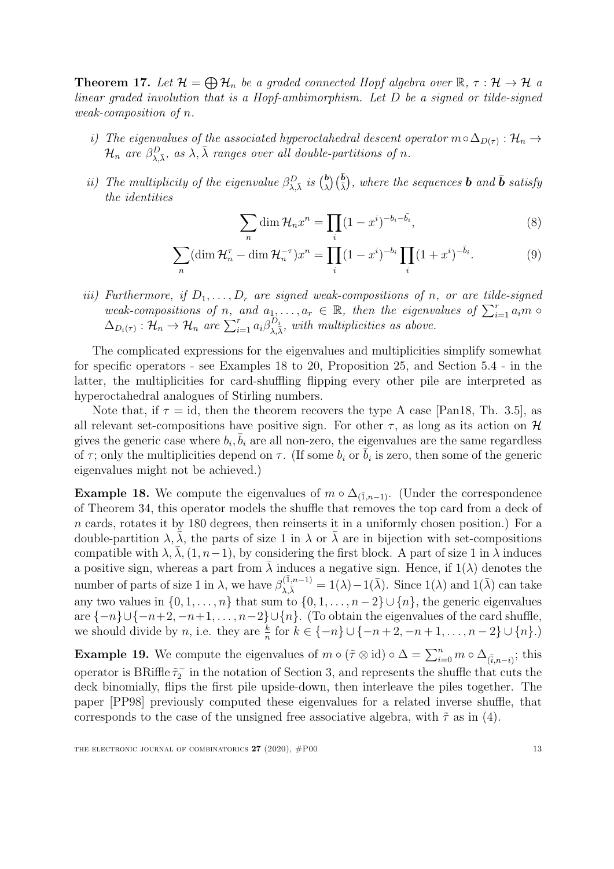<span id="page-13-0"></span>**Theorem 17.** Let  $\mathcal{H} = \bigoplus \mathcal{H}_n$  be a graded connected Hopf algebra over  $\mathbb{R}, \tau : \mathcal{H} \to \mathcal{H}$  a linear graded involution that is a Hopf-ambimorphism. Let D be a signed or tilde-signed weak-composition of n.

- i) The eigenvalues of the associated hyperoctahedral descent operator  $m \circ \Delta_{D(\tau)} : \mathcal{H}_n \to$  $\mathcal{H}_n$  are  $\beta_{\lambda,\bar{\lambda}}^D$ , as  $\lambda, \bar{\lambda}$  ranges over all double-partitions of n.
- ii) The multiplicity of the eigenvalue  $\beta_{\lambda,\bar{\lambda}}^D$  is  $\binom{b}{\lambda}$  $\left(\frac{\bar{b}}{\lambda}\right)$ , where the sequences **b** and **b** satisfy the identities

<span id="page-13-4"></span><span id="page-13-3"></span>
$$
\sum_{n} \dim \mathcal{H}_n x^n = \prod_{i} (1 - x^i)^{-b_i - \bar{b}_i},\tag{8}
$$

$$
\sum_{n} (\dim \mathcal{H}_{n}^{\tau} - \dim \mathcal{H}_{n}^{-\tau}) x^{n} = \prod_{i} (1 - x^{i})^{-b_{i}} \prod_{i} (1 + x^{i})^{-\bar{b}_{i}}.
$$
 (9)

iii) Furthermore, if  $D_1, \ldots, D_r$  are signed weak-compositions of n, or are tilde-signed weak-compositions of n, and  $a_1, \ldots, a_r \in \mathbb{R}$ , then the eigenvalues of  $\sum_{i=1}^r a_i m$  $\Delta_{D_i(\tau)} : \mathcal{H}_n \to \mathcal{H}_n$  are  $\sum_{i=1}^r a_i \beta_{\lambda,\bar{\lambda}}^{D_i}$ , with multiplicities as above.

The complicated expressions for the eigenvalues and multiplicities simplify somewhat for specific operators - see Examples [18](#page-13-1) to [20,](#page-14-0) Proposition [25,](#page-18-1) and Section [5.4](#page-40-0) - in the latter, the multiplicities for card-shuffling flipping every other pile are interpreted as hyperoctahedral analogues of Stirling numbers.

Note that, if  $\tau = id$ , then the theorem recovers the type A case [\[Pan18,](#page-51-5) Th. 3.5], as all relevant set-compositions have positive sign. For other  $\tau$ , as long as its action on H gives the generic case where  $b_i$ ,  $\overline{b}_i$  are all non-zero, the eigenvalues are the same regardless of  $\tau$ ; only the multiplicities depend on  $\tau$ . (If some  $b_i$  or  $\overline{b}_i$  is zero, then some of the generic eigenvalues might not be achieved.)

<span id="page-13-1"></span>**Example 18.** We compute the eigenvalues of  $m \circ \Delta_{(\bar{1},n-1)}$ . (Under the correspondence of Theorem [34,](#page-31-0) this operator models the shuffle that removes the top card from a deck of n cards, rotates it by 180 degrees, then reinserts it in a uniformly chosen position.) For a double-partition  $\lambda, \bar{\lambda}$ , the parts of size 1 in  $\lambda$  or  $\bar{\lambda}$  are in bijection with set-compositions compatible with  $\lambda$ ,  $\lambda$ ,  $(1, n-1)$ , by considering the first block. A part of size 1 in  $\lambda$  induces a positive sign, whereas a part from  $\lambda$  induces a negative sign. Hence, if  $1(\lambda)$  denotes the number of parts of size 1 in  $\lambda$ , we have  $\beta_{\lambda,\bar{\lambda}}^{(\bar{1},n-1)} = 1(\lambda) - 1(\bar{\lambda})$ . Since  $1(\lambda)$  and  $1(\bar{\lambda})$  can take any two values in  $\{0, 1, \ldots, n\}$  that sum to  $\{0, 1, \ldots, n-2\} \cup \{n\}$ , the generic eigenvalues are  $\{-n\}\cup\{-n+2,-n+1,\ldots,n-2\}\cup\{n\}$ . (To obtain the eigenvalues of the card shuffle, we should divide by *n*, i.e. they are  $\frac{k}{n}$  for  $k \in \{-n\} \cup \{-n+2, -n+1, \ldots, n-2\} \cup \{n\}$ .

<span id="page-13-2"></span>**Example 19.** We compute the eigenvalues of  $m \circ (\tilde{\tau} \otimes id) \circ \Delta = \sum_{i=0}^{n} m \circ \Delta_{(\tilde{i}, n-i)}$ ; this operator is BRiffle  $\tilde{\tau}_2^-$  in the notation of Section [3,](#page-17-0) and represents the shuffle that cuts the deck binomially, flips the first pile upside-down, then interleave the piles together. The paper [\[PP98\]](#page-51-6) previously computed these eigenvalues for a related inverse shuffle, that corresponds to the case of the unsigned free associative algebra, with  $\tilde{\tau}$  as in [\(4\)](#page-7-0).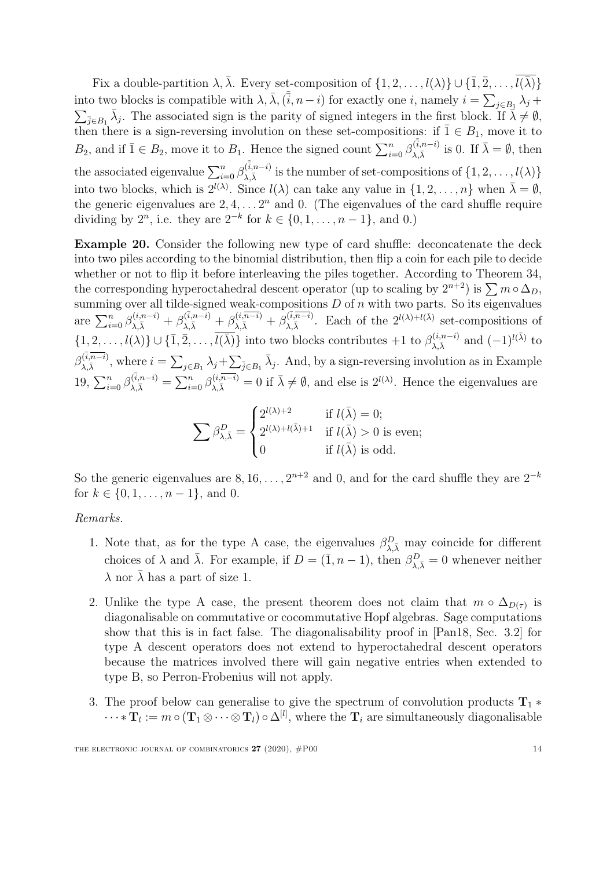Fix a double-partition  $\lambda$ ,  $\bar{\lambda}$ . Every set-composition of  $\{1, 2, \ldots, l(\lambda)\} \cup \{\bar{1}, \bar{2}, \ldots, \bar{l(\bar{\lambda})}\}\$ into two blocks is compatible with  $\lambda$ ,  $\bar{\lambda}$ ,  $(\tilde{i}, n-i)$  for exactly one *i*, namely  $i = \sum_{j \in B_1} \lambda_j +$  $\sum_{\bar{j}\in B_1} \bar{\lambda}_j$ . The associated sign is the parity of signed integers in the first block. If  $\bar{\lambda}\neq\emptyset$ , then there is a sign-reversing involution on these set-compositions: if  $\overline{1} \in B_1$ , move it to  $B_2$ , and if  $\bar{1} \in B_2$ , move it to  $B_1$ . Hence the signed count  $\sum_{i=0}^n \beta_{\lambda,\bar{\lambda}}^{(\bar{\tilde{i}},n-i)}$  $\sum_{\lambda,\bar{\lambda}}^{(\bar{i},n-i)}$  is 0. If  $\bar{\lambda} = \emptyset$ , then the associated eigenvalue  $\sum_{i=0}^{n} \beta_{\lambda, \bar{\lambda}}^{(\bar{i}, n-i)}$  $\lambda_{\lambda,\bar{\lambda}}^{(i,n-i)}$  is the number of set-compositions of  $\{1, 2, \ldots, l(\lambda)\}$ into two blocks, which is  $2^{l(\lambda)}$ . Since  $l(\lambda)$  can take any value in  $\{1, 2, ..., n\}$  when  $\bar{\lambda} = \emptyset$ , the generic eigenvalues are  $2, 4, \ldots, 2^n$  and 0. (The eigenvalues of the card shuffle require dividing by  $2^n$ , i.e. they are  $2^{-k}$  for  $k \in \{0, 1, ..., n-1\}$ , and 0.)

<span id="page-14-0"></span>Example 20. Consider the following new type of card shuffle: deconcatenate the deck into two piles according to the binomial distribution, then flip a coin for each pile to decide whether or not to flip it before interleaving the piles together. According to Theorem [34,](#page-31-0) the corresponding hyperoctahedral descent operator (up to scaling by  $2^{n+2}$ ) is  $\sum m \circ \Delta_D$ , summing over all tilde-signed weak-compositions  $D$  of  $n$  with two parts. So its eigenvalues are  $\sum_{i=0}^n \beta_{\lambda,\bar{\lambda}}^{(i,n-i)} + \beta_{\lambda,\bar{\lambda}}^{(\bar{i},n-i)} + \beta_{\lambda,\bar{\lambda}}^{(i,\overline{n-i})} + \overline{\beta}_{\lambda,\bar{\lambda}}^{(\bar{i},\overline{n-i})}$  $\lambda_{\lambda,\bar{\lambda}}^{(\bar{i},\bar{n}-i)}$ . Each of the  $2^{l(\lambda)+l(\bar{\lambda})}$  set-compositions of  $\{1, 2, \ldots, l(\lambda)\} \cup \{\overline{1}, \overline{2}, \ldots, \overline{l(\overline{\lambda})}\}\$  into two blocks contributes  $+1$  to  $\beta_{\lambda, \overline{\lambda}}^{(i, n-i)}$  and  $(-1)^{l(\overline{\lambda})}$  to  $\beta_{\sqrt{1}}^{(\overline{i},\overline{n-i})}$  $\lambda_{\lambda}(\bar{k},\bar{n}-i),$  where  $i = \sum_{j\in B_1} \lambda_j + \sum_{\bar{j}\in B_1} \bar{\lambda}_j$ . And, by a sign-reversing involution as in Example [19,](#page-13-2)  $\sum_{i=0}^{n} \beta_{\lambda,\bar{\lambda}}^{(\bar{i},n-i)} = \sum_{i=0}^{n} \beta_{\lambda,\bar{\lambda}}^{(i,\overline{n-i})} = 0$  if  $\bar{\lambda} \neq \emptyset$ , and else is  $2^{l(\lambda)}$ . Hence the eigenvalues are

$$
\sum \beta_{\lambda,\bar{\lambda}}^D = \begin{cases} 2^{l(\lambda)+2} & \text{if } l(\bar{\lambda}) = 0; \\ 2^{l(\lambda)+l(\bar{\lambda})+1} & \text{if } l(\bar{\lambda}) > 0 \text{ is even}; \\ 0 & \text{if } l(\bar{\lambda}) \text{ is odd}. \end{cases}
$$

So the generic eigenvalues are  $8, 16, \ldots, 2^{n+2}$  and 0, and for the card shuffle they are  $2^{-k}$ for  $k \in \{0, 1, \ldots, n-1\}$ , and 0.

#### Remarks.

- 1. Note that, as for the type A case, the eigenvalues  $\beta_{\lambda,\bar{\lambda}}^D$  may coincide for different choices of  $\lambda$  and  $\bar{\lambda}$ . For example, if  $D = (\bar{1}, n - 1)$ , then  $\beta_{\lambda, \bar{\lambda}}^D = 0$  whenever neither  $\lambda$  nor  $\overline{\lambda}$  has a part of size 1.
- 2. Unlike the type A case, the present theorem does not claim that  $m \circ \Delta_{D(\tau)}$  is diagonalisable on commutative or cocommutative Hopf algebras. Sage computations show that this is in fact false. The diagonalisability proof in [\[Pan18,](#page-51-5) Sec. 3.2] for type A descent operators does not extend to hyperoctahedral descent operators because the matrices involved there will gain negative entries when extended to type B, so Perron-Frobenius will not apply.
- 3. The proof below can generalise to give the spectrum of convolution products  $T_1$  \*  $\cdots *\textbf{T}_l:=m\circ (\textbf{T}_1\otimes \cdots \otimes \textbf{T}_l)\circ \Delta^{[l]},$  where the  $\textbf{T}_i$  are simultaneously diagonalisable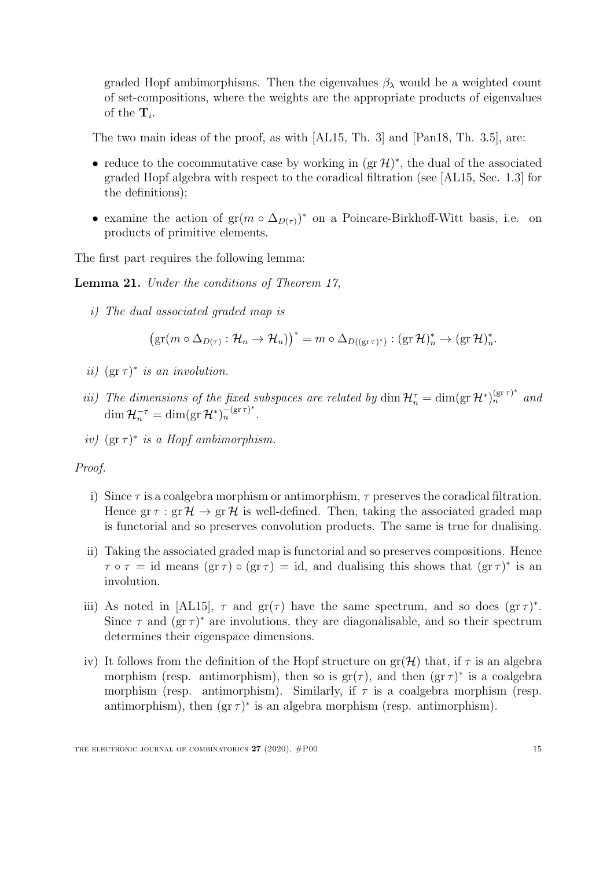graded Hopf ambimorphisms. Then the eigenvalues  $\beta_{\lambda}$  would be a weighted count of set-compositions, where the weights are the appropriate products of eigenvalues of the  $\mathbf{T}_i$ .

The two main ideas of the proof, as with [\[AL15,](#page-49-3) Th. 3] and [\[Pan18,](#page-51-5) Th. 3.5], are:

- reduce to the cocommutative case by working in  $(\text{gr }\mathcal{H})^*$ , the dual of the associated graded Hopf algebra with respect to the coradical filtration (see [\[AL15,](#page-49-3) Sec. 1.3] for the definitions);
- examine the action of  $gr(m \circ \Delta_{D(\tau)})^*$  on a Poincare-Birkhoff-Witt basis, i.e. on products of primitive elements.

The first part requires the following lemma:

<span id="page-15-0"></span>Lemma 21. Under the conditions of Theorem [17,](#page-13-0)

i) The dual associated graded map is

$$
(\mathrm{gr}(m \circ \Delta_{D(\tau)} : \mathcal{H}_n \to \mathcal{H}_n))^* = m \circ \Delta_{D((\mathrm{gr}\,\tau)^*)} : (\mathrm{gr}\,\mathcal{H})_n^* \to (\mathrm{gr}\,\mathcal{H})_n^*.
$$

- ii)  $(\text{gr}\,\tau)^*$  is an involution.
- iii) The dimensions of the fixed subspaces are related by  $\dim \mathcal{H}_n^{\tau} = \dim(\text{gr } \mathcal{H}^*)^{\text{(gr } \tau)^*}_n$  and  $\dim \mathcal{H}_n^{-\tau} = \dim(\text{gr }\mathcal{H}^*)_n^{-(\text{gr }\tau)^*}.$
- iv)  $(\text{gr}\,\tau)^*$  is a Hopf ambimorphism.

#### Proof.

- i) Since  $\tau$  is a coalgebra morphism or antimorphism,  $\tau$  preserves the coradical filtration. Hence  $\text{gr}\,\tau : \text{gr}\,\mathcal{H} \to \text{gr}\,\mathcal{H}$  is well-defined. Then, taking the associated graded map is functorial and so preserves convolution products. The same is true for dualising.
- ii) Taking the associated graded map is functorial and so preserves compositions. Hence  $\tau \circ \tau = id$  means  $(\text{gr}\,\tau) \circ (\text{gr}\,\tau) = id$ , and dualising this shows that  $(\text{gr}\,\tau)^*$  is an involution.
- iii) As noted in [\[AL15\]](#page-49-3),  $\tau$  and  $gr(\tau)$  have the same spectrum, and so does  $(gr \tau)^*$ . Since  $\tau$  and  $(\text{gr}\,\tau)^*$  are involutions, they are diagonalisable, and so their spectrum determines their eigenspace dimensions.
- iv) It follows from the definition of the Hopf structure on  $gr(\mathcal{H})$  that, if  $\tau$  is an algebra morphism (resp. antimorphism), then so is  $gr(\tau)$ , and then  $(gr \tau)^*$  is a coalgebra morphism (resp. antimorphism). Similarly, if  $\tau$  is a coalgebra morphism (resp. antimorphism), then  $(gr \tau)^*$  is an algebra morphism (resp. antimorphism).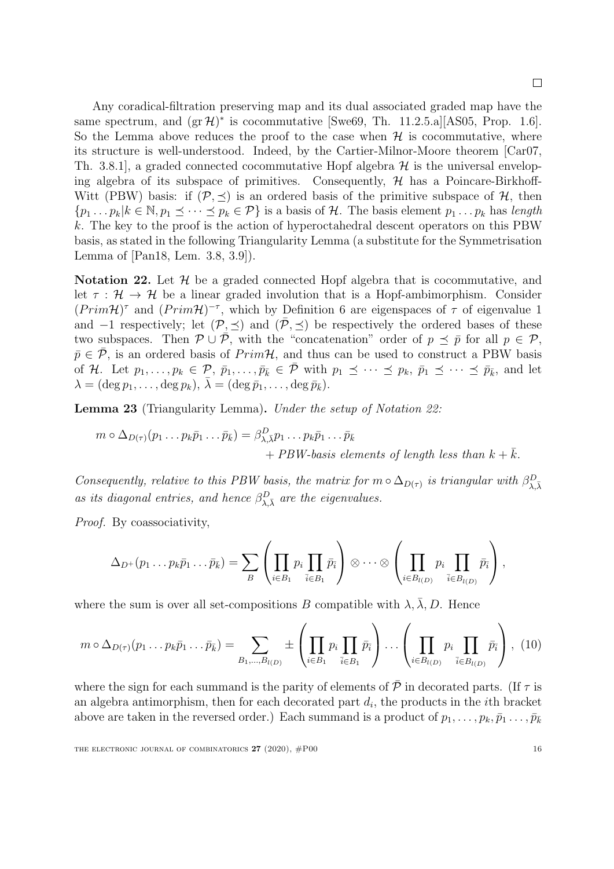$\Box$ 

Any coradical-filtration preserving map and its dual associated graded map have the same spectrum, and  $(\text{gr }\mathcal{H})^*$  is cocommutative [\[Swe69,](#page-51-12) Th. 11.2.5.a][\[AS05,](#page-49-9) Prop. 1.6]. So the Lemma above reduces the proof to the case when  $H$  is cocommutative, where its structure is well-understood. Indeed, by the Cartier-Milnor-Moore theorem [\[Car07,](#page-49-10) Th. 3.8.1, a graded connected cocommutative Hopf algebra  $\mathcal H$  is the universal enveloping algebra of its subspace of primitives. Consequently,  $H$  has a Poincare-Birkhoff-Witt (PBW) basis: if  $(\mathcal{P}, \preceq)$  is an ordered basis of the primitive subspace of  $\mathcal{H}$ , then  $\{p_1 \ldots p_k | k \in \mathbb{N}, p_1 \preceq \cdots \preceq p_k \in \mathcal{P}\}\$ is a basis of H. The basis element  $p_1 \ldots p_k$  has length k. The key to the proof is the action of hyperoctahedral descent operators on this PBW basis, as stated in the following Triangularity Lemma (a substitute for the Symmetrisation Lemma of [\[Pan18,](#page-51-5) Lem. 3.8, 3.9]).

<span id="page-16-0"></span>Notation 22. Let  $H$  be a graded connected Hopf algebra that is cocommutative, and let  $\tau : \mathcal{H} \to \mathcal{H}$  be a linear graded involution that is a Hopf-ambimorphism. Consider  $(Prim\mathcal{H})^{\tau}$  and  $(Prim\mathcal{H})^{-\tau}$ , which by Definition [6](#page-7-1) are eigenspaces of  $\tau$  of eigenvalue 1 and  $-1$  respectively; let  $(\mathcal{P}, \preceq)$  and  $(\overline{\mathcal{P}}, \preceq)$  be respectively the ordered bases of these two subspaces. Then  $\mathcal{P} \cup \overline{\mathcal{P}}$ , with the "concatenation" order of  $p \preceq \overline{p}$  for all  $p \in \mathcal{P}$ ,  $\bar{p} \in \bar{\mathcal{P}}$ , is an ordered basis of  $Prim\mathcal{H}$ , and thus can be used to construct a PBW basis of H. Let  $p_1, \ldots, p_k \in \mathcal{P}, \bar{p}_1, \ldots, \bar{p}_{\bar{k}} \in \bar{\mathcal{P}}$  with  $p_1 \preceq \cdots \preceq p_k, \bar{p}_1 \preceq \cdots \preceq \bar{p}_{\bar{k}}$ , and let  $\lambda = (\deg p_1, \ldots, \deg p_k), \bar{\lambda} = (\deg \bar{p}_1, \ldots, \deg \bar{p}_{\bar{k}}).$ 

<span id="page-16-1"></span>Lemma 23 (Triangularity Lemma). Under the setup of Notation [22:](#page-16-0)

$$
m \circ \Delta_{D(\tau)}(p_1 \dots p_k \bar{p}_1 \dots \bar{p}_{\bar{k}}) = \beta_{\lambda, \bar{\lambda}}^D p_1 \dots p_k \bar{p}_1 \dots \bar{p}_{\bar{k}} + PBW \text{-} basis elements of length less than } k + \bar{k}.
$$

Consequently, relative to this PBW basis, the matrix for  $m \circ \Delta_{D(\tau)}$  is triangular with  $\beta_{\lambda,\bar{\lambda}}^D$ as its diagonal entries, and hence  $\beta_{\lambda,\bar{\lambda}}^D$  are the eigenvalues.

Proof. By coassociativity,

<span id="page-16-2"></span>
$$
\Delta_{D^+}(p_1 \ldots p_k \bar{p}_1 \ldots \bar{p}_{\bar{k}}) = \sum_B \left( \prod_{i \in B_1} p_i \prod_{\bar{i} \in B_1} \bar{p}_{\bar{i}} \right) \otimes \cdots \otimes \left( \prod_{i \in B_{l(D)}} p_i \prod_{\bar{i} \in B_{l(D)}} \bar{p}_{\bar{i}} \right),
$$

where the sum is over all set-compositions B compatible with  $\lambda$ ,  $\overline{\lambda}$ , D. Hence

$$
m \circ \Delta_{D(\tau)}(p_1 \dots p_k \bar{p}_1 \dots \bar{p}_k) = \sum_{B_1, \dots, B_{l(D)}} \pm \left( \prod_{i \in B_1} p_i \prod_{\bar{i} \in B_1} \bar{p}_{\bar{i}} \right) \dots \left( \prod_{i \in B_{l(D)}} p_i \prod_{\bar{i} \in B_{l(D)}} \bar{p}_{\bar{i}} \right), (10)
$$

where the sign for each summand is the parity of elements of  $\overline{P}$  in decorated parts. (If  $\tau$  is an algebra antimorphism, then for each decorated part  $d_i$ , the products in the *i*th bracket above are taken in the reversed order.) Each summand is a product of  $p_1, \ldots, p_k, \bar{p}_1 \ldots, \bar{p}_{\bar{k}}$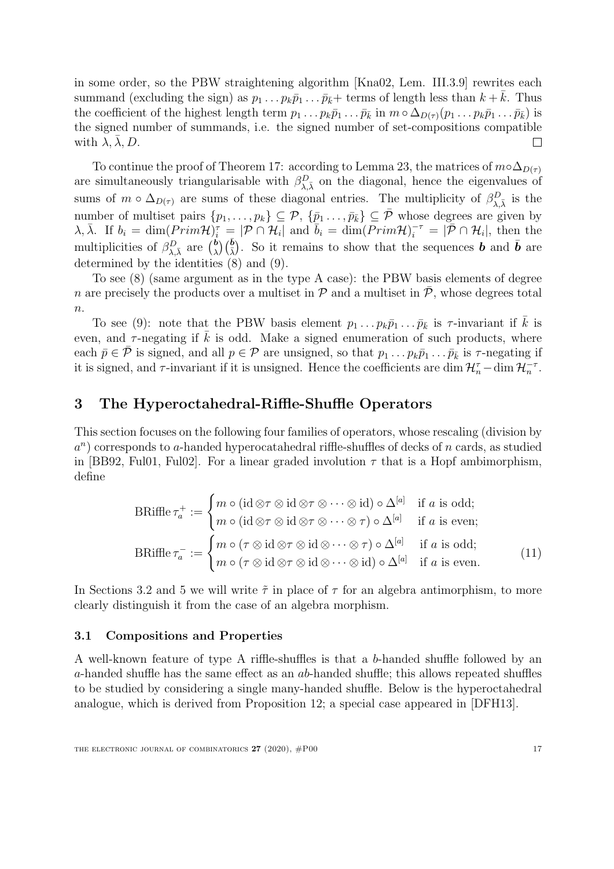in some order, so the PBW straightening algorithm [\[Kna02,](#page-50-11) Lem. III.3.9] rewrites each summand (excluding the sign) as  $p_1 \tildot p_k \bar{p}_1 \tildot p_k + \text{terms of length less than } k + \bar{k}$ . Thus the coefficient of the highest length term  $p_1 \ldots p_k \bar{p}_1 \ldots \bar{p}_{\bar{k}}$  in  $m \circ \Delta_{D(\tau)}(p_1 \ldots p_k \bar{p}_1 \ldots \bar{p}_{\bar{k}})$  is the signed number of summands, i.e. the signed number of set-compositions compatible with  $\lambda, \lambda, D$ .  $\Box$ 

To continue the proof of Theorem [17:](#page-13-0) according to Lemma [23,](#page-16-1) the matrices of  $m \circ \Delta_{D(\tau)}$ are simultaneously triangularisable with  $\beta_{\lambda,\bar{\lambda}}^D$  on the diagonal, hence the eigenvalues of sums of  $m \circ \Delta_{D(\tau)}$  are sums of these diagonal entries. The multiplicity of  $\beta_{\lambda,\bar{\lambda}}^D$  is the number of multiset pairs  $\{p_1,\ldots,p_k\} \subseteq \mathcal{P}, \{\bar{p}_1\ldots,\bar{p}_{\bar{k}}\} \subseteq \bar{\mathcal{P}}$  whose degrees are given by  $\lambda, \bar{\lambda}$ . If  $b_i = \dim(\overline{Prim\mathcal{H}})_i^{\bar{\tau}} = |\overline{\mathcal{P}} \cap \mathcal{H}_i|$  and  $\overline{b}_i = \dim(\overline{Prim\mathcal{H}})_i^{-\tau} = |\overline{\mathcal{P}} \cap \mathcal{H}_i|$ , then the multiplicities of  $\beta_{\lambda,\bar{\lambda}}^D$  are  $\binom{b}{\lambda}$  $\phi_{\lambda}(\bar{k})$ . So it remains to show that the sequences **b** and **b** are determined by the identities [\(8\)](#page-13-3) and [\(9\)](#page-13-4).

To see [\(8\)](#page-13-3) (same argument as in the type A case): the PBW basis elements of degree n are precisely the products over a multiset in  $\mathcal P$  and a multiset in  $\bar{\mathcal P}$ , whose degrees total  $\overline{n}$ .

To see [\(9\)](#page-13-4): note that the PBW basis element  $p_1 \ldots p_k \bar{p}_1 \ldots \bar{p}_k$  is  $\tau$ -invariant if  $\bar{k}$  is even, and  $\tau$ -negating if  $\overline{k}$  is odd. Make a signed enumeration of such products, where each  $\bar{p} \in \bar{\mathcal{P}}$  is signed, and all  $p \in \mathcal{P}$  are unsigned, so that  $p_1 \ldots p_k \bar{p}_1 \ldots \bar{p}_k$  is  $\tau$ -negating if it is signed, and  $\tau$ -invariant if it is unsigned. Hence the coefficients are dim  $\mathcal{H}_n^{\tau}$ -dim  $\mathcal{H}_n^{-\tau}$ .

## <span id="page-17-0"></span>3 The Hyperoctahedral-Riffle-Shuffle Operators

This section focuses on the following four families of operators, whose rescaling (division by  $a^n$ ) corresponds to a-handed hyperocatahedral riffle-shuffles of decks of n cards, as studied in [\[BB92,](#page-49-5) [Ful01,](#page-50-12) [Ful02\]](#page-50-13). For a linear graded involution  $\tau$  that is a Hopf ambimorphism, define

<span id="page-17-1"></span>
$$
\text{BRiffe}\,\tau_a^+ := \begin{cases}\nm \circ (\text{id}\otimes\tau \otimes \text{id}\otimes\tau \otimes \cdots \otimes \text{id}) \circ \Delta^{[a]} & \text{if } a \text{ is odd;} \\
m \circ (\text{id}\otimes\tau \otimes \text{id}\otimes\tau \otimes \cdots \otimes \tau) \circ \Delta^{[a]} & \text{if } a \text{ is even;} \\
m \circ (\tau \otimes \text{id}\otimes\tau \otimes \text{id}\otimes \cdots \otimes \tau) \circ \Delta^{[a]} & \text{if } a \text{ is odd;} \\
m \circ (\tau \otimes \text{id}\otimes\tau \otimes \text{id}\otimes \cdots \otimes \text{id}) \circ \Delta^{[a]} & \text{if } a \text{ is even.}\n\end{cases}\n\tag{11}
$$

In Sections [3.2](#page-19-0) and [5](#page-35-1) we will write  $\tilde{\tau}$  in place of  $\tau$  for an algebra antimorphism, to more clearly distinguish it from the case of an algebra morphism.

#### 3.1 Compositions and Properties

A well-known feature of type A riffle-shuffles is that a b-handed shuffle followed by an a-handed shuffle has the same effect as an  $ab$ -handed shuffle; this allows repeated shuffles to be studied by considering a single many-handed shuffle. Below is the hyperoctahedral analogue, which is derived from Proposition [12;](#page-9-0) a special case appeared in [\[DFH13\]](#page-49-6).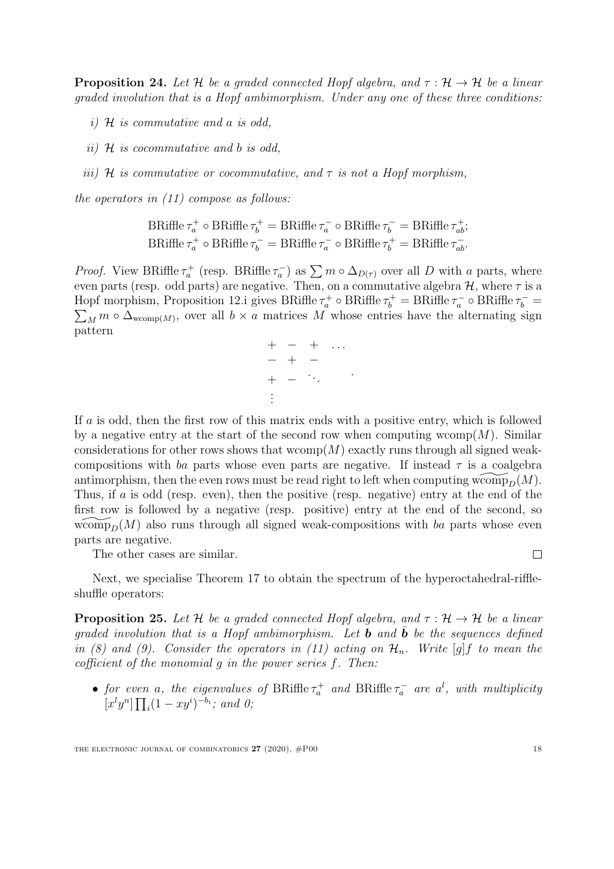<span id="page-18-0"></span>**Proposition 24.** Let H be a graded connected Hopf algebra, and  $\tau : \mathcal{H} \to \mathcal{H}$  be a linear graded involution that is a Hopf ambimorphism. Under any one of these three conditions:

- i)  $\mathcal H$  is commutative and a is odd,
- ii)  $\mathcal H$  is cocommutative and b is odd.
- iii) H is commutative or cocommutative, and  $\tau$  is not a Hopf morphism,

the operators in [\(11\)](#page-17-1) compose as follows:

$$
BRiffe \tau_a^+ \circ BRiffe \tau_b^+ = BRiffe \tau_a^- \circ BRiffe \tau_b^- = BRiffe \tau_{ab}^+;
$$
  

$$
BRiffe \tau_a^+ \circ BRiffe \tau_b^- = BRiffe \tau_a^- \circ BRiffe \tau_b^+ = BRiffe \tau_{ab}^-.
$$

*Proof.* View BRiffle  $\tau_a^+$  (resp. BRiffle  $\tau_a^-$ ) as  $\sum m \circ \Delta_{D(\tau)}$  over all D with a parts, where even parts (resp. odd parts) are negative. Then, on a commutative algebra  $\mathcal{H}$ , where  $\tau$  is a Hopf morphism, Proposition [12.](#page-9-0)i gives BRiffle  $\tau_a^+ \circ BR$ iffle  $\tau_b^+ = BR$ iffle  $\tau_a^- \circ BR$ iffle  $\tau_b^- =$  $\sum_M m \circ \Delta_{\text{wcomp}(M)}$ , over all  $b \times a$  matrices M whose entries have the alternating sign pattern

$$
+ - + \dots
$$
  

$$
- + -
$$
  

$$
+ -
$$
  

$$
\vdots
$$

.

If a is odd, then the first row of this matrix ends with a positive entry, which is followed by a negative entry at the start of the second row when computing wcomp $(M)$ . Similar considerations for other rows shows that wcomp $(M)$  exactly runs through all signed weakcompositions with ba parts whose even parts are negative. If instead  $\tau$  is a coalgebra antimorphism, then the even rows must be read right to left when computing wcomp<sub> $D^{(M)}$ </sub>. Thus, if a is odd (resp. even), then the positive (resp. negative) entry at the end of the first row is followed by a negative (resp. positive) entry at the end of the second, so wcomp<sub>p</sub> $(M)$  also runs through all signed weak-compositions with ba parts whose even parts are negative.

The other cases are similar.

 $\Box$ 

Next, we specialise Theorem [17](#page-13-0) to obtain the spectrum of the hyperoctahedral-riffleshuffle operators:

<span id="page-18-1"></span>**Proposition 25.** Let H be a graded connected Hopf algebra, and  $\tau : \mathcal{H} \to \mathcal{H}$  be a linear graded involution that is a Hopf ambimorphism. Let **b** and  $\bar{\mathbf{b}}$  be the sequences defined in [\(8\)](#page-13-3) and [\(9\)](#page-13-4). Consider the operators in [\(11\)](#page-17-1) acting on  $\mathcal{H}_n$ . Write [g]f to mean the cofficient of the monomial g in the power series f. Then:

• for even a, the eigenvalues of BRiffle  $\tau_a^+$  and BRiffle  $\tau_a^-$  are  $a^l$ , with multiplicity  $[x^l y^n] \prod_i (1 - xy^i)^{-b_i}$ ; and 0;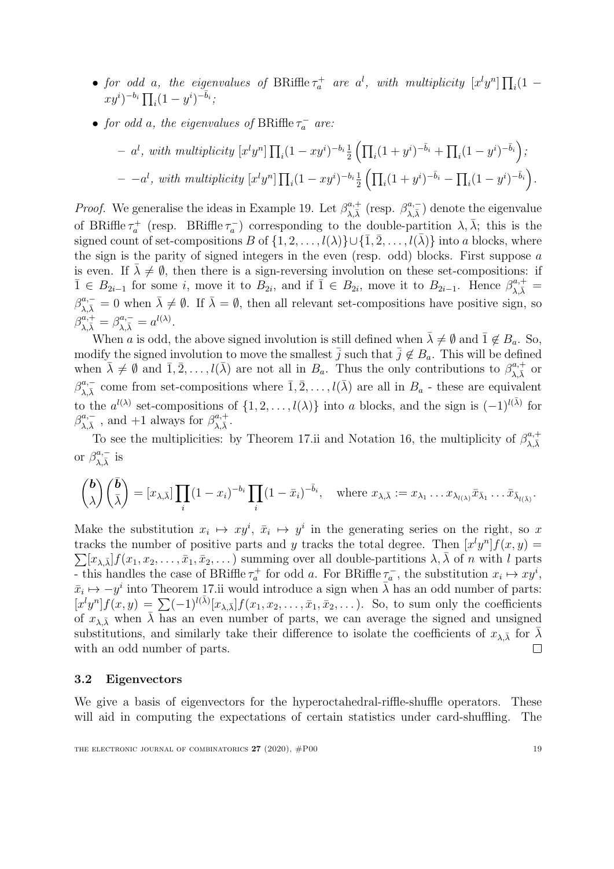- for odd a, the eigenvalues of BRiffle  $\tau_a^+$  are  $a^l$ , with multiplicity  $[x^l y^n] \prod_i (1$  $xy^{i})^{-b_{i}} \prod_{i} (1 - y^{i})^{-\bar{b}_{i}};$
- for odd a, the eigenvalues of BRiffle  $\tau_a^-$  are:

$$
- al, with multiplicity [xlyn]  $\prod_i (1 - xy^i)^{-b_i} \frac{1}{2} \left( \prod_i (1 + y^i)^{-\overline{b}_i} + \prod_i (1 - y^i)^{-\overline{b}_i} \right);$   

$$
- -al, with multiplicity [xlyn]  $\prod_i (1 - xy^i)^{-b_i} \frac{1}{2} \left( \prod_i (1 + y^i)^{-\overline{b}_i} - \prod_i (1 - y^i)^{-\overline{b}_i} \right).$
$$
$$

*Proof.* We generalise the ideas in Example [19.](#page-13-2) Let  $\beta_{\lambda}^{a,+}$  $\beta_{\lambda,\bar{\lambda}}^{a,+}$  (resp.  $\beta_{\lambda,\bar{\lambda}}^{a,-}$  $\lambda_{\lambda,\bar{\lambda}}^{a,-}$ ) denote the eigenvalue of BRiffle  $\tau_a^+$  (resp. BRiffle  $\tau_a^-$ ) corresponding to the double-partition  $\lambda, \bar{\lambda}$ ; this is the signed count of set-compositions B of  $\{1, 2, \ldots, l(\lambda)\} \cup \{\overline{1}, \overline{2}, \ldots, l(\overline{\lambda})\}$  into a blocks, where the sign is the parity of signed integers in the even (resp. odd) blocks. First suppose  $a$ is even. If  $\lambda \neq \emptyset$ , then there is a sign-reversing involution on these set-compositions: if  $\overline{1} \in B_{2i-1}$  for some *i*, move it to  $B_{2i}$ , and if  $\overline{1} \in B_{2i}$ , move it to  $B_{2i-1}$ . Hence  $\beta_{\lambda,\overline{\lambda}}^{a,+}$  $\beta_{\lambda,\bar{\lambda}}^{a,-} = 0$  when  $\bar{\lambda} \neq \emptyset$ . If  $\bar{\lambda} = \emptyset$ , then all relevant set-compositions have positive sign, so  $\beta_{\lambda,\bar{\lambda}}^{a,+} = \beta_{\lambda,\bar{\lambda}}^{a,-} = a^{l(\lambda)}.$ 

When a is odd, the above signed involution is still defined when  $\bar{\lambda} \neq \emptyset$  and  $\bar{1} \notin B_a$ . So, modify the signed involution to move the smallest  $\overline{j}$  such that  $\overline{j} \notin B_a$ . This will be defined when  $\bar{\lambda} \neq \emptyset$  and  $\bar{1}, \bar{2}, \ldots, l(\bar{\lambda})$  are not all in  $B_a$ . Thus the only contributions to  $\beta_{\lambda, \bar{\lambda}}^{a,+}$  or  $\beta_{\lambda,\bar{\lambda}}^{a,-}$  come from set-compositions where  $\bar{1}, \bar{2}, \ldots, l(\bar{\lambda})$  are all in  $B_a$  - these are equivalent to the  $a^{l(\lambda)}$  set-compositions of  $\{1, 2, ..., l(\lambda)\}\$ into a blocks, and the sign is  $(-1)^{l(\bar{\lambda})}$  for  $\beta_{\lambda}^{a,-}$  $_{\lambda,\bar{\lambda}}^{a,-}$  , and +1 always for  $\beta_{\lambda,\bar{\lambda}}^{a,+}$  $\lambda, \bar\lambda$  .

To see the multiplicities: by Theorem [17.](#page-13-0)ii and Notation [16,](#page-12-0) the multiplicity of  $\beta_{\lambda}^{a,+}$  $\lambda,\bar{\lambda}$ or  $\beta_{\lambda}^{a,-}$  $_{\lambda,\bar{\lambda}}^{a,-}$  is

$$
\binom{\boldsymbol{b}}{\lambda}\binom{\bar{\boldsymbol{b}}}{\bar{\lambda}} = [x_{\lambda,\bar{\lambda}}] \prod_i (1-x_i)^{-b_i} \prod_i (1-\bar{x}_i)^{-\bar{b}_i}, \text{ where } x_{\lambda,\bar{\lambda}} := x_{\lambda_1} \ldots x_{\lambda_{l(\lambda)}} \bar{x}_{\bar{\lambda}_1} \ldots \bar{x}_{\bar{\lambda}_{l(\bar{\lambda})}}.
$$

Make the substitution  $x_i \mapsto xy^i$ ,  $\bar{x}_i \mapsto y^i$  in the generating series on the right, so x tracks the number of positive parts and y tracks the total degree. Then  $[x^l y^n] f(x, y) =$  $\sum [x_{\lambda,\bar{\lambda}}] f(x_1, x_2, \ldots, \bar{x}_1, \bar{x}_2, \ldots)$  summing over all double-partitions  $\lambda, \bar{\lambda}$  of n with l parts - this handles the case of BRiffle  $\tau_a^+$  for odd a. For BRiffle  $\tau_a^-$ , the substitution  $x_i \mapsto xy^i$ ,  $\bar{x}_i \mapsto -y^i$  into Theorem [17.](#page-13-0)ii would introduce a sign when  $\bar{\lambda}$  has an odd number of parts:  $[x^l y^n] f(x,y) = \sum (-1)^{l(\bar{\lambda})} [x_{\lambda,\bar{\lambda}}] f(x_1, x_2, \ldots, \bar{x}_1, \bar{x}_2, \ldots)$ . So, to sum only the coefficients of  $x_{\lambda,\bar{\lambda}}$  when  $\bar{\lambda}$  has an even number of parts, we can average the signed and unsigned substitutions, and similarly take their difference to isolate the coefficients of  $x_{\lambda}$  for  $\lambda$ with an odd number of parts.  $\Box$ 

#### <span id="page-19-0"></span>3.2 Eigenvectors

We give a basis of eigenvectors for the hyperoctahedral-riffle-shuffle operators. These will aid in computing the expectations of certain statistics under card-shuffling. The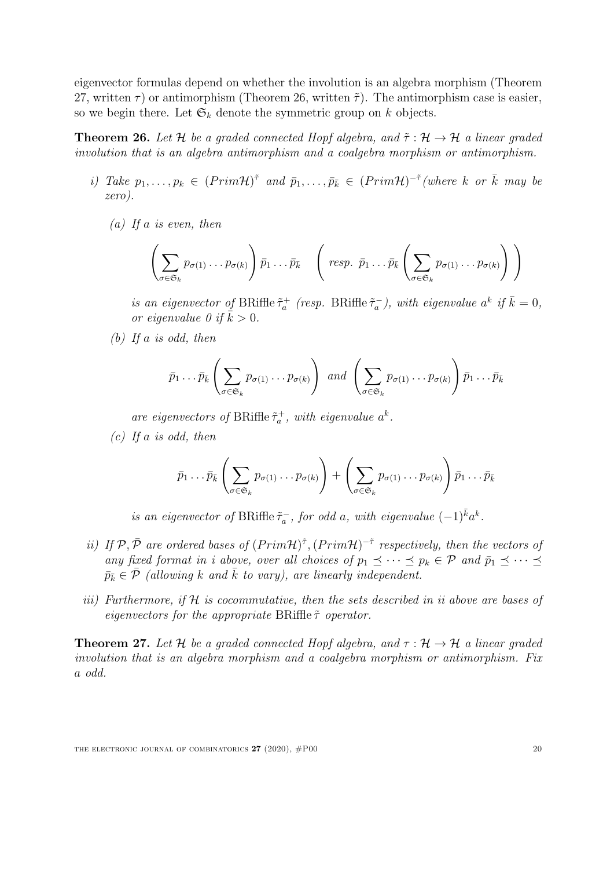eigenvector formulas depend on whether the involution is an algebra morphism (Theorem [27,](#page-20-1) written  $\tau$ ) or antimorphism (Theorem [26,](#page-20-0) written  $\tilde{\tau}$ ). The antimorphism case is easier, so we begin there. Let  $\mathfrak{S}_k$  denote the symmetric group on k objects.

<span id="page-20-0"></span>**Theorem 26.** Let H be a graded connected Hopf algebra, and  $\tilde{\tau}$  :  $\mathcal{H} \rightarrow \mathcal{H}$  a linear graded involution that is an algebra antimorphism and a coalgebra morphism or antimorphism.

- i) Take  $p_1, \ldots, p_k \in (Prim\mathcal{H})^{\tilde{\tau}}$  and  $\bar{p}_1, \ldots, \bar{p}_{\bar{k}} \in (Prim\mathcal{H})^{-\tilde{\tau}}$  (where k or  $\bar{k}$  may be zero).
	- (a) If a is even, then

$$
\left(\sum_{\sigma\in\mathfrak{S}_k}p_{\sigma(1)}\dots p_{\sigma(k)}\right)\bar{p}_1\dots\bar{p}_{\bar{k}}\quad\left(\text{resp. }\bar{p}_1\dots\bar{p}_{\bar{k}}\left(\sum_{\sigma\in\mathfrak{S}_k}p_{\sigma(1)}\dots p_{\sigma(k)}\right)\right)
$$

is an eigenvector of BRiffle  $\tilde{\tau}_a^+$  (resp. BRiffle  $\tilde{\tau}_a^-$ ), with eigenvalue  $a^k$  if  $\bar{k} = 0$ , or eigenvalue 0 if  $\bar{k} > 0$ .

(b) If a is odd, then

$$
\bar{p}_1 \dots \bar{p}_{\bar{k}} \left( \sum_{\sigma \in \mathfrak{S}_k} p_{\sigma(1)} \dots p_{\sigma(k)} \right) \text{ and } \left( \sum_{\sigma \in \mathfrak{S}_k} p_{\sigma(1)} \dots p_{\sigma(k)} \right) \bar{p}_1 \dots \bar{p}_{\bar{k}}
$$

are eigenvectors of BRiffle  $\tilde{\tau}_a^+$ , with eigenvalue  $a^k$ .

 $(c)$  If a is odd, then

$$
\bar{p}_1 \dots \bar{p}_{\bar{k}} \left( \sum_{\sigma \in \mathfrak{S}_k} p_{\sigma(1)} \dots p_{\sigma(k)} \right) + \left( \sum_{\sigma \in \mathfrak{S}_k} p_{\sigma(1)} \dots p_{\sigma(k)} \right) \bar{p}_1 \dots \bar{p}_{\bar{k}}
$$

is an eigenvector of BRiffle  $\tilde{\tau}_a^-$ , for odd a, with eigenvalue  $(-1)^{\bar{k}} a^k$ .

- ii) If  $\mathcal{P}, \bar{\mathcal{P}}$  are ordered bases of  $(Prim\mathcal{H})^{\tilde{\tau}}, (Prim\mathcal{H})^{-\tilde{\tau}}$  respectively, then the vectors of any fixed format in i above, over all choices of  $p_1 \preceq \cdots \preceq p_k \in \mathcal{P}$  and  $\bar{p}_1 \preceq \cdots \preceq$  $\bar{p}_{\bar{k}} \in \bar{\mathcal{P}}$  (allowing k and  $\bar{k}$  to vary), are linearly independent.
- iii) Furthermore, if  $H$  is cocommutative, then the sets described in ii above are bases of eigenvectors for the appropriate BRiffle  $\tilde{\tau}$  operator.

<span id="page-20-1"></span>**Theorem 27.** Let H be a graded connected Hopf algebra, and  $\tau : \mathcal{H} \to \mathcal{H}$  a linear graded involution that is an algebra morphism and a coalgebra morphism or antimorphism. Fix a odd.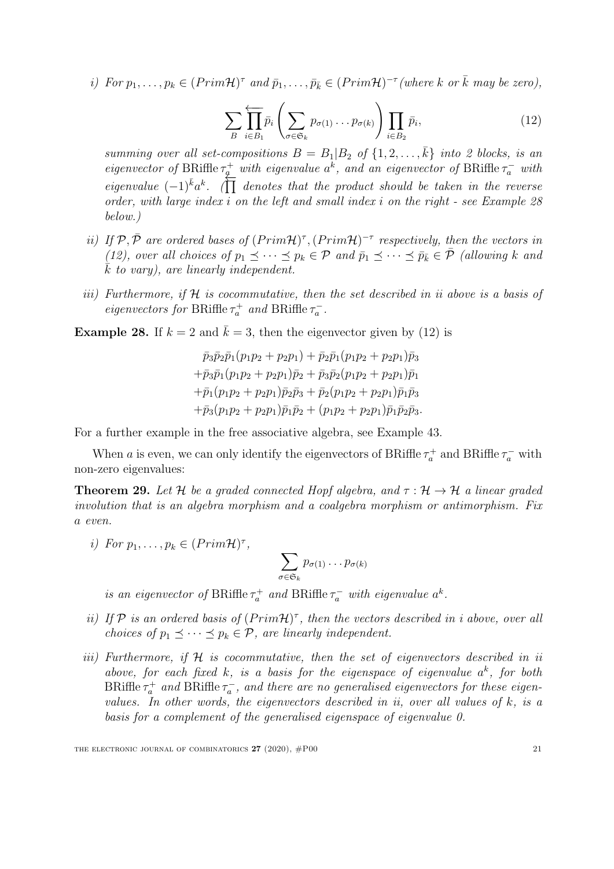<span id="page-21-2"></span>i) For  $p_1, \ldots, p_k \in (Prim\mathcal{H})^{\tau}$  and  $\bar{p}_1, \ldots, \bar{p}_{\bar{k}} \in (Prim\mathcal{H})^{-\tau}$  (where k or  $\bar{k}$  may be zero),

$$
\sum_{B} \prod_{i \in B_1} \bar{p}_i \left( \sum_{\sigma \in \mathfrak{S}_k} p_{\sigma(1)} \dots p_{\sigma(k)} \right) \prod_{i \in B_2} \bar{p}_i,
$$
\n(12)

summing over all set-compositions  $B = B_1 | B_2$  of  $\{1, 2, ..., k\}$  into 2 blocks, is an eigenvector of BRiffle  $\tau_q^+$  with eigenvalue  $a^k$ , and an eigenvector of BRiffle  $\tau_a^-$  with eigenvalue  $(-1)^{\bar{k}}a^{\bar{k}}$ . ( $\prod$  denotes that the product should be taken in the reverse order, with large index i on the left and small index i on the right - see Example [28](#page-21-1) below.)

- ii) If  $\mathcal{P}, \bar{\mathcal{P}}$  are ordered bases of  $(Prim\mathcal{H})^{\tau}$ ,  $(Prim\mathcal{H})^{-\tau}$  respectively, then the vectors in [\(12\)](#page-21-2), over all choices of  $p_1 \preceq \cdots \preceq p_k \in \mathcal{P}$  and  $\bar{p}_1 \preceq \cdots \preceq \bar{p}_{\bar{k}} \in \bar{\mathcal{P}}$  (allowing k and  $k$  to vary), are linearly independent.
- iii) Furthermore, if  $H$  is cocommutative, then the set described in ii above is a basis of eigenvectors for BRiffle  $\tau_a^+$  and BRiffle  $\tau_a^-$ .

<span id="page-21-1"></span>**Example 28.** If  $k = 2$  and  $\bar{k} = 3$ , then the eigenvector given by [\(12\)](#page-21-2) is

$$
\bar{p}_3\bar{p}_2\bar{p}_1(p_1p_2+p_2p_1)+\bar{p}_2\bar{p}_1(p_1p_2+p_2p_1)\bar{p}_3
$$
  
+
$$
\bar{p}_3\bar{p}_1(p_1p_2+p_2p_1)\bar{p}_2+\bar{p}_3\bar{p}_2(p_1p_2+p_2p_1)\bar{p}_1
$$
  
+
$$
\bar{p}_1(p_1p_2+p_2p_1)\bar{p}_2\bar{p}_3+\bar{p}_2(p_1p_2+p_2p_1)\bar{p}_1\bar{p}_3
$$
  
+
$$
\bar{p}_3(p_1p_2+p_2p_1)\bar{p}_1\bar{p}_2+(p_1p_2+p_2p_1)\bar{p}_1\bar{p}_2\bar{p}_3.
$$

For a further example in the free associative algebra, see Example [43.](#page-39-0)

When a is even, we can only identify the eigenvectors of BRiffle  $\tau_a^+$  and BRiffle  $\tau_a^-$  with non-zero eigenvalues:

<span id="page-21-0"></span>**Theorem 29.** Let H be a graded connected Hopf algebra, and  $\tau : \mathcal{H} \to \mathcal{H}$  a linear graded involution that is an algebra morphism and a coalgebra morphism or antimorphism. Fix a even.

i) For  $p_1, \ldots, p_k \in (Prim\mathcal{H})^{\tau}$ ,

$$
\sum_{\sigma \in \mathfrak{S}_k} p_{\sigma(1)} \dots p_{\sigma(k)}
$$

is an eigenvector of BRiffle  $\tau_a^+$  and BRiffle  $\tau_a^-$  with eigenvalue  $a^k$ .

- ii) If  $P$  is an ordered basis of  $(Prim\mathcal{H})^{\tau}$ , then the vectors described in i above, over all choices of  $p_1 \preceq \cdots \preceq p_k \in \mathcal{P}$ , are linearly independent.
- iii) Furthermore, if  $H$  is cocommutative, then the set of eigenvectors described in ii above, for each fixed k, is a basis for the eigenspace of eigenvalue  $a^k$ , for both BRiffle  $\tau_a^+$  and BRiffle  $\tau_a^-$ , and there are no generalised eigenvectors for these eigenvalues. In other words, the eigenvectors described in ii, over all values of  $k$ , is a basis for a complement of the generalised eigenspace of eigenvalue 0.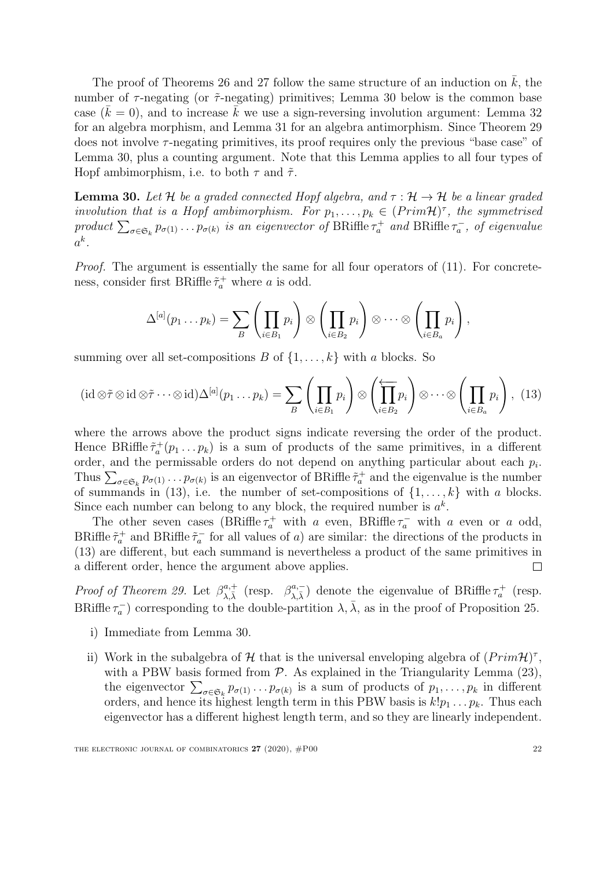The proof of Theorems [26](#page-20-0) and [27](#page-20-1) follow the same structure of an induction on  $k$ , the number of  $\tau$ -negating (or  $\tilde{\tau}$ -negating) primitives; Lemma [30](#page-22-0) below is the common base case  $(k = 0)$ , and to increase k we use a sign-reversing involution argument: Lemma [32](#page-25-0) for an algebra morphism, and Lemma [31](#page-23-0) for an algebra antimorphism. Since Theorem [29](#page-21-0) does not involve  $\tau$ -negating primitives, its proof requires only the previous "base case" of Lemma [30,](#page-22-0) plus a counting argument. Note that this Lemma applies to all four types of Hopf ambimorphism, i.e. to both  $\tau$  and  $\tilde{\tau}$ .

<span id="page-22-0"></span>**Lemma 30.** Let H be a graded connected Hopf algebra, and  $\tau : \mathcal{H} \to \mathcal{H}$  be a linear graded involution that is a Hopf ambimorphism. For  $p_1, \ldots, p_k \in (Prim\mathcal{H})^{\tau}$ , the symmetrised product  $\sum_{\sigma \in \mathfrak{S}_k} p_{\sigma(1)} \dots p_{\sigma(k)}$  is an eigenvector of BRiffle  $\tau_a^+$  and BRiffle  $\tau_a^-$ , of eigenvalue  $a^k$ .

Proof. The argument is essentially the same for all four operators of  $(11)$ . For concreteness, consider first BRiffle  $\tilde{\tau}_a^+$  where a is odd.

<span id="page-22-1"></span>
$$
\Delta^{[a]}(p_1 \ldots p_k) = \sum_B \left( \prod_{i \in B_1} p_i \right) \otimes \left( \prod_{i \in B_2} p_i \right) \otimes \cdots \otimes \left( \prod_{i \in B_a} p_i \right),
$$

summing over all set-compositions B of  $\{1, \ldots, k\}$  with a blocks. So

$$
(\mathrm{id}\otimes\tilde{\tau}\otimes\mathrm{id}\otimes\tilde{\tau}\cdots\otimes\mathrm{id})\Delta^{[a]}(p_1\ldots p_k)=\sum_{B}\left(\prod_{i\in B_1}p_i\right)\otimes\left(\prod_{i\in B_2}p_i\right)\otimes\cdots\otimes\left(\prod_{i\in B_a}p_i\right),\tag{13}
$$

where the arrows above the product signs indicate reversing the order of the product. Hence BRiffle  $\tilde{\tau}_a^+(p_1 \ldots p_k)$  is a sum of products of the same primitives, in a different order, and the permissable orders do not depend on anything particular about each  $p_i$ . Thus  $\sum_{\sigma \in \mathfrak{S}_k} p_{\sigma(1)} \cdots p_{\sigma(k)}$  is an eigenvector of BRiffle  $\tilde{\tau}_a^+$  and the eigenvalue is the number of summands in [\(13\)](#page-22-1), i.e. the number of set-compositions of  $\{1, \ldots, k\}$  with a blocks. Since each number can belong to any block, the required number is  $a^k$ .

The other seven cases (BRiffle  $\tau_a^+$  with a even, BRiffle  $\tau_a^-$  with a even or a odd, BRiffle  $\tilde{\tau}_a^+$  and BRiffle  $\tilde{\tau}_a^-$  for all values of a) are similar: the directions of the products in [\(13\)](#page-22-1) are different, but each summand is nevertheless a product of the same primitives in a different order, hence the argument above applies.  $\Box$ 

*Proof of Theorem [29.](#page-21-0)* Let  $\beta_{\lambda}^{a,+}$  $\beta_{\lambda,\bar{\lambda}}^{a,+}$  (resp.  $\beta_{\lambda,\bar{\lambda}}^{a,-}$  $\lambda_{\lambda,\bar{\lambda}}^{a,-}$ ) denote the eigenvalue of BRiffle  $\tau_a^+$  (resp. BRiffle  $\tau_a^-$ ) corresponding to the double-partition  $\lambda$ ,  $\bar{\lambda}$ , as in the proof of Proposition [25.](#page-18-1)

- i) Immediate from Lemma [30.](#page-22-0)
- ii) Work in the subalgebra of  $H$  that is the universal enveloping algebra of  $(Prim\mathcal{H})^{\tau}$ , with a PBW basis formed from  $P$ . As explained in the Triangularity Lemma  $(23)$ , the eigenvector  $\sum_{\sigma \in \mathfrak{S}_k} p_{\sigma(1)} \dots p_{\sigma(k)}$  is a sum of products of  $p_1, \dots, p_k$  in different orders, and hence its highest length term in this PBW basis is  $k!p_1 \ldots p_k$ . Thus each eigenvector has a different highest length term, and so they are linearly independent.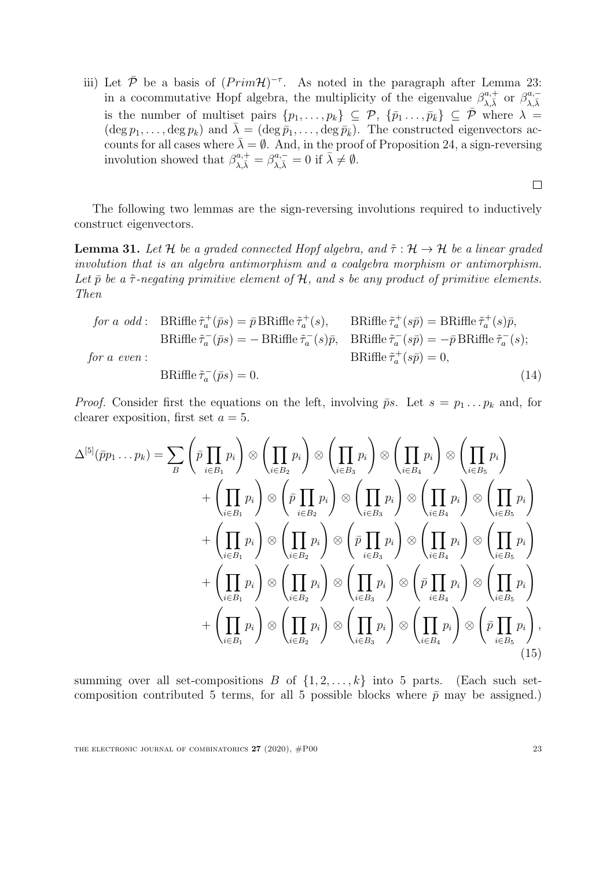iii) Let  $\bar{\mathcal{P}}$  be a basis of  $(Prim\mathcal{H})^{-\tau}$ . As noted in the paragraph after Lemma [23:](#page-16-1) in a cocommutative Hopf algebra, the multiplicity of the eigenvalue  $\beta_{\lambda,\bar{\lambda}}^{a,+}$  or  $\beta_{\lambda,\bar{\lambda}}^{a,-}$  $\lambda,\bar{\lambda}$ is the number of multiset pairs  $\{p_1, \ldots, p_k\} \subseteq \mathcal{P}, \{\bar{p}_1, \ldots, \bar{p}_k\} \subseteq \bar{\mathcal{P}}$  where  $\lambda =$  $(\deg p_1, \ldots, \deg p_k)$  and  $\bar{\lambda} = (\deg \bar{p}_1, \ldots, \deg \bar{p}_k)$ . The constructed eigenvectors accounts for all cases where  $\bar{\lambda} = \emptyset$ . And, in the proof of Proposition [24,](#page-18-0) a sign-reversing involution showed that  $\beta_{\lambda,\bar{\lambda}}^{a,+} = \beta_{\lambda,\bar{\lambda}}^{a,-} = 0$  if  $\bar{\lambda} \neq \emptyset$ .

The following two lemmas are the sign-reversing involutions required to inductively construct eigenvectors.

<span id="page-23-0"></span>**Lemma 31.** Let H be a graded connected Hopf algebra, and  $\tilde{\tau}: \mathcal{H} \to \mathcal{H}$  be a linear graded involution that is an algebra antimorphism and a coalgebra morphism or antimorphism. Let  $\bar{p}$  be a  $\tilde{\tau}$ -negating primitive element of H, and s be any product of primitive elements. Then

$$
\begin{aligned}\nfor \ a \ odd: \quad &\text{BRiffe } \tilde{\tau}_a^+(\bar{p}s) = \bar{p} \text{BRiffe } \tilde{\tau}_a^+(s), \qquad &\text{BRiffe } \tilde{\tau}_a^+(s\bar{p}) = \text{BRiffe } \tilde{\tau}_a^+(s)\bar{p}, \\
&\text{BRiffe } \tilde{\tau}_a^-(\bar{p}s) = -\text{BRiffe } \tilde{\tau}_a^-(s)\bar{p}, \qquad &\text{BRiffe } \tilde{\tau}_a^-(s\bar{p}) = -\bar{p} \text{BRiffe } \tilde{\tau}_a^-(s); \\
for \ a \ even: \\
&\text{BRiffe } \tilde{\tau}_a^-(\bar{p}s) = 0. \end{aligned}
$$
\n
$$
(14)
$$

*Proof.* Consider first the equations on the left, involving  $\bar{p}s$ . Let  $s = p_1 \dots p_k$  and, for clearer exposition, first set  $a = 5$ .

$$
\Delta^{[5]}(\bar{p}p_1 \dots p_k) = \sum_{B} \left( \bar{p} \prod_{i \in B_1} p_i \right) \otimes \left( \prod_{i \in B_2} p_i \right) \otimes \left( \prod_{i \in B_3} p_i \right) \otimes \left( \prod_{i \in B_4} p_i \right) \otimes \left( \prod_{i \in B_5} p_i \right) \\
+ \left( \prod_{i \in B_1} p_i \right) \otimes \left( \bar{p} \prod_{i \in B_2} p_i \right) \otimes \left( \prod_{i \in B_3} p_i \right) \otimes \left( \prod_{i \in B_4} p_i \right) \otimes \left( \prod_{i \in B_5} p_i \right) \\
+ \left( \prod_{i \in B_1} p_i \right) \otimes \left( \prod_{i \in B_2} p_i \right) \otimes \left( \bar{p} \prod_{i \in B_3} p_i \right) \otimes \left( \prod_{i \in B_4} p_i \right) \otimes \left( \prod_{i \in B_5} p_i \right) \\
+ \left( \prod_{i \in B_1} p_i \right) \otimes \left( \prod_{i \in B_2} p_i \right) \otimes \left( \prod_{i \in B_3} p_i \right) \otimes \left( \bar{p} \prod_{i \in B_4} p_i \right) \otimes \left( \prod_{i \in B_5} p_i \right) \\
+ \left( \prod_{i \in B_1} p_i \right) \otimes \left( \prod_{i \in B_2} p_i \right) \otimes \left( \prod_{i \in B_3} p_i \right) \otimes \left( \prod_{i \in B_4} p_i \right) \otimes \left( \bar{p} \prod_{i \in B_5} p_i \right),
$$
\n(15)

<span id="page-23-1"></span>summing over all set-compositions B of  $\{1, 2, \ldots, k\}$  into 5 parts. (Each such setcomposition contributed 5 terms, for all 5 possible blocks where  $\bar{p}$  may be assigned.)

<span id="page-23-2"></span> $\Box$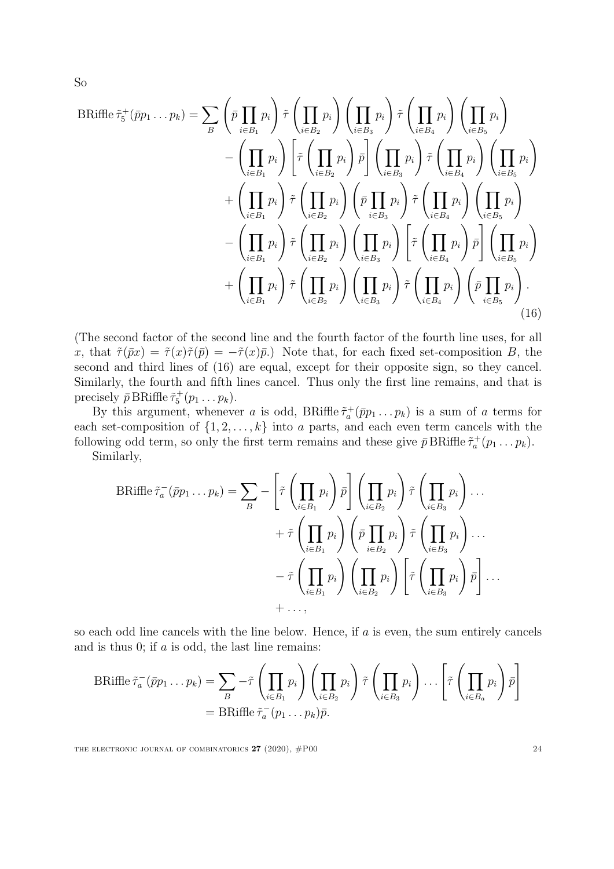$$
\text{BRiffle}\ \tilde{\tau}_{5}^{+}(\bar{p}p_{1} \dots p_{k}) = \sum_{B} \left( \bar{p} \prod_{i \in B_{1}} p_{i} \right) \tilde{\tau} \left( \prod_{i \in B_{2}} p_{i} \right) \left( \prod_{i \in B_{3}} p_{i} \right) \tilde{\tau} \left( \prod_{i \in B_{4}} p_{i} \right) \left( \prod_{i \in B_{5}} p_{i} \right) \left( \prod_{i \in B_{5}} p_{i} \right) \right)
$$
\n
$$
- \left( \prod_{i \in B_{1}} p_{i} \right) \left[ \tilde{\tau} \left( \prod_{i \in B_{2}} p_{i} \right) \bar{p} \right] \left( \prod_{i \in B_{3}} p_{i} \right) \tilde{\tau} \left( \prod_{i \in B_{4}} p_{i} \right) \left( \prod_{i \in B_{5}} p_{i} \right) \right)
$$
\n
$$
+ \left( \prod_{i \in B_{1}} p_{i} \right) \tilde{\tau} \left( \prod_{i \in B_{2}} p_{i} \right) \left( \bar{p} \prod_{i \in B_{3}} p_{i} \right) \tilde{\tau} \left( \prod_{i \in B_{4}} p_{i} \right) \left( \prod_{i \in B_{5}} p_{i} \right) \right)
$$
\n
$$
- \left( \prod_{i \in B_{1}} p_{i} \right) \tilde{\tau} \left( \prod_{i \in B_{2}} p_{i} \right) \left( \prod_{i \in B_{3}} p_{i} \right) \left[ \tilde{\tau} \left( \prod_{i \in B_{4}} p_{i} \right) \bar{p} \right] \left( \prod_{i \in B_{5}} p_{i} \right)
$$
\n
$$
+ \left( \prod_{i \in B_{1}} p_{i} \right) \tilde{\tau} \left( \prod_{i \in B_{2}} p_{i} \right) \left( \prod_{i \in B_{3}} p_{i} \right) \tilde{\tau} \left( \prod_{i \in B_{4}} p_{i} \right) \left( \bar{p} \prod_{i \in B_{5}} p_{i} \right).
$$
\n(16)

(The second factor of the second line and the fourth factor of the fourth line uses, for all x, that  $\tilde{\tau}(\bar{p}x) = \tilde{\tau}(x)\tilde{\tau}(\bar{p}) = -\tilde{\tau}(x)\bar{p}$ . Note that, for each fixed set-composition B, the second and third lines of [\(16\)](#page-24-0) are equal, except for their opposite sign, so they cancel. Similarly, the fourth and fifth lines cancel. Thus only the first line remains, and that is precisely  $\bar{p}$  BRiffle  $\tilde{\tau}_5^+(p_1 \ldots p_k)$ .

By this argument, whenever a is odd, BRiffle  $\tilde{\tau}_a^+(\bar{p}p_1 \ldots p_k)$  is a sum of a terms for each set-composition of  $\{1, 2, \ldots, k\}$  into a parts, and each even term cancels with the following odd term, so only the first term remains and these give  $\bar{p}$  BRiffle  $\tilde{\tau}_a^+(p_1 \ldots p_k)$ . Similarly,

<span id="page-24-0"></span>
$$
\text{BRiffe}\,\tilde{\tau}_a^-(\bar{p}p_1\ldots p_k) = \sum_B - \left[\tilde{\tau}\left(\prod_{i\in B_1} p_i\right)\bar{p}\right] \left(\prod_{i\in B_2} p_i\right)\tilde{\tau}\left(\prod_{i\in B_3} p_i\right)\ldots \\
+ \tilde{\tau}\left(\prod_{i\in B_1} p_i\right) \left(\bar{p}\prod_{i\in B_2} p_i\right)\tilde{\tau}\left(\prod_{i\in B_3} p_i\right)\ldots \\
- \tilde{\tau}\left(\prod_{i\in B_1} p_i\right) \left(\prod_{i\in B_2} p_i\right)\left[\tilde{\tau}\left(\prod_{i\in B_3} p_i\right)\bar{p}\right]\ldots \\
+ \ldots,
$$

so each odd line cancels with the line below. Hence, if  $a$  is even, the sum entirely cancels and is thus  $0$ ; if  $\alpha$  is odd, the last line remains:

$$
\text{BRiffe}\,\tilde{\tau}_a^-(\bar{p}p_1\ldots p_k) = \sum_B -\tilde{\tau}\left(\prod_{i\in B_1} p_i\right)\left(\prod_{i\in B_2} p_i\right)\tilde{\tau}\left(\prod_{i\in B_3} p_i\right)\ldots\left[\tilde{\tau}\left(\prod_{i\in B_a} p_i\right)\bar{p}\right]
$$
\n
$$
= \text{BRiffe}\,\tilde{\tau}_a^-(p_1\ldots p_k)\bar{p}.
$$

THE ELECTRONIC JOURNAL OF COMBINATORICS  $27$  (2020),  $\#P00$  24

So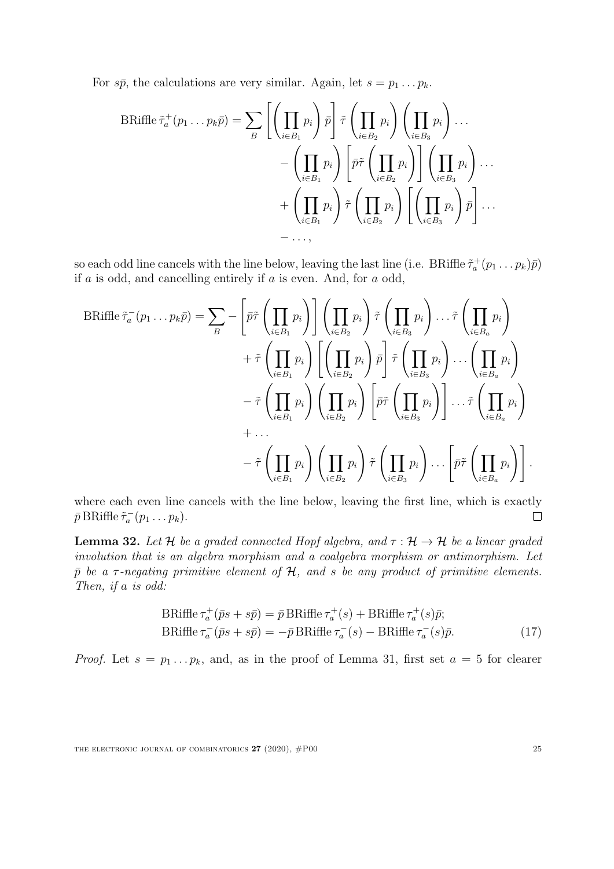For  $s\bar{p}$ , the calculations are very similar. Again, let  $s = p_1 \dots p_k$ .

$$
\text{BRiffe}\,\tilde{\tau}_a^+(p_1\ldots p_k\bar{p}) = \sum_{B} \left[ \left( \prod_{i \in B_1} p_i \right) \bar{p} \right] \tilde{\tau} \left( \prod_{i \in B_2} p_i \right) \left( \prod_{i \in B_3} p_i \right) \ldots \n- \left( \prod_{i \in B_1} p_i \right) \left[ \bar{p}\tilde{\tau} \left( \prod_{i \in B_2} p_i \right) \right] \left( \prod_{i \in B_3} p_i \right) \ldots \n+ \left( \prod_{i \in B_1} p_i \right) \tilde{\tau} \left( \prod_{i \in B_2} p_i \right) \left[ \left( \prod_{i \in B_3} p_i \right) \bar{p} \right] \ldots \n- \ldots,
$$

so each odd line cancels with the line below, leaving the last line (i.e. BRiffle  $\tilde{\tau}_a^+(p_1 \ldots p_k)\bar{p}$ ) if  $a$  is odd, and cancelling entirely if  $a$  is even. And, for  $a$  odd,

BRiffe 
$$
\tilde{\tau}_a^-(p_1 \dots p_k \bar{p}) = \sum_B - \left[ \bar{p}\tilde{\tau} \left( \prod_{i \in B_1} p_i \right) \right] \left( \prod_{i \in B_2} p_i \right) \tilde{\tau} \left( \prod_{i \in B_3} p_i \right) \dots \tilde{\tau} \left( \prod_{i \in B_a} p_i \right) + \tilde{\tau} \left( \prod_{i \in B_1} p_i \right) \left[ \left( \prod_{i \in B_2} p_i \right) \bar{p} \right] \tilde{\tau} \left( \prod_{i \in B_3} p_i \right) \dots \left( \prod_{i \in B_a} p_i \right) - \tilde{\tau} \left( \prod_{i \in B_1} p_i \right) \left( \prod_{i \in B_2} p_i \right) \left[ \bar{p}\tilde{\tau} \left( \prod_{i \in B_3} p_i \right) \right] \dots \tilde{\tau} \left( \prod_{i \in B_a} p_i \right) + \dots - \tilde{\tau} \left( \prod_{i \in B_1} p_i \right) \left( \prod_{i \in B_2} p_i \right) \tilde{\tau} \left( \prod_{i \in B_3} p_i \right) \dots \left[ \bar{p}\tilde{\tau} \left( \prod_{i \in B_a} p_i \right) \right].
$$

where each even line cancels with the line below, leaving the first line, which is exactly  $\bar{p}$  BRiffle  $\tilde{\tau}_a^-(p_1 \ldots p_k)$ .  $\Box$ 

<span id="page-25-0"></span>**Lemma 32.** Let H be a graded connected Hopf algebra, and  $\tau : \mathcal{H} \to \mathcal{H}$  be a linear graded involution that is an algebra morphism and a coalgebra morphism or antimorphism. Let  $\bar{p}$  be a  $\tau$ -negating primitive element of  $\mathcal{H}$ , and s be any product of primitive elements. Then, if a is odd:

$$
\text{BRiffe}\,\tau_a^+(\bar{p}s + s\bar{p}) = \bar{p}\,\text{BRiffe}\,\tau_a^+(s) + \text{BRiffe}\,\tau_a^+(s)\bar{p};
$$
\n
$$
\text{BRiffe}\,\tau_a^-(\bar{p}s + s\bar{p}) = -\bar{p}\,\text{BRiffe}\,\tau_a^-(s) - \text{BRiffe}\,\tau_a^-(s)\bar{p}.\tag{17}
$$

*Proof.* Let  $s = p_1 \dots p_k$ , and, as in the proof of Lemma [31,](#page-23-0) first set  $a = 5$  for clearer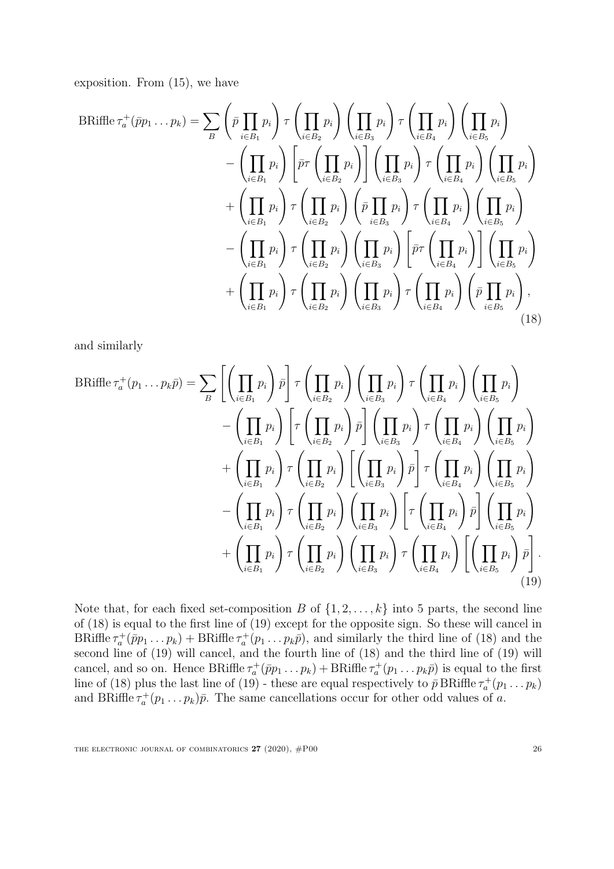exposition. From [\(15\)](#page-23-1), we have

BRiffle 
$$
\tau_a^+(\bar{p}p_1 \dots p_k) = \sum_B \left(\bar{p} \prod_{i \in B_1} p_i\right) \tau \left(\prod_{i \in B_3} p_i\right) \left(\prod_{i \in B_3} p_i\right) \tau \left(\prod_{i \in B_4} p_i\right) \left(\prod_{i \in B_5} p_i\right)
$$
  
\n
$$
- \left(\prod_{i \in B_1} p_i\right) \left[\bar{p} \tau \left(\prod_{i \in B_2} p_i\right)\right] \left(\prod_{i \in B_3} p_i\right) \tau \left(\prod_{i \in B_4} p_i\right) \left(\prod_{i \in B_5} p_i\right)
$$
\n
$$
+ \left(\prod_{i \in B_1} p_i\right) \tau \left(\prod_{i \in B_2} p_i\right) \left(\bar{p} \prod_{i \in B_3} p_i\right) \tau \left(\prod_{i \in B_4} p_i\right) \left(\prod_{i \in B_5} p_i\right)
$$
\n
$$
- \left(\prod_{i \in B_1} p_i\right) \tau \left(\prod_{i \in B_2} p_i\right) \left(\prod_{i \in B_3} p_i\right) \left[\bar{p} \tau \left(\prod_{i \in B_4} p_i\right)\right] \left(\prod_{i \in B_5} p_i\right)
$$
\n
$$
+ \left(\prod_{i \in B_1} p_i\right) \tau \left(\prod_{i \in B_2} p_i\right) \left(\prod_{i \in B_3} p_i\right) \tau \left(\prod_{i \in B_4} p_i\right) \left(\bar{p} \prod_{i \in B_5} p_i\right),
$$
\n(18)

<span id="page-26-0"></span>and similarly

BRiffle
$$
\tau_a^+(p_1 \dots p_k \overline{p}) = \sum_B \left[ \left( \prod_{i \in B_1} p_i \right) \overline{p} \right] \tau \left( \prod_{i \in B_2} p_i \right) \left( \prod_{i \in B_3} p_i \right) \tau \left( \prod_{i \in B_4} p_i \right) \left( \prod_{i \in B_5} p_i \right) \right. \\ \left. - \left( \prod_{i \in B_1} p_i \right) \left[ \tau \left( \prod_{i \in B_2} p_i \right) \overline{p} \right] \left( \prod_{i \in B_3} p_i \right) \tau \left( \prod_{i \in B_4} p_i \right) \left( \prod_{i \in B_5} p_i \right) \right. \\ \left. + \left( \prod_{i \in B_1} p_i \right) \tau \left( \prod_{i \in B_2} p_i \right) \left[ \left( \prod_{i \in B_3} p_i \right) \overline{p} \right] \tau \left( \prod_{i \in B_4} p_i \right) \left( \prod_{i \in B_5} p_i \right) \right. \\ \left. - \left( \prod_{i \in B_1} p_i \right) \tau \left( \prod_{i \in B_2} p_i \right) \left( \prod_{i \in B_3} p_i \right) \left[ \tau \left( \prod_{i \in B_4} p_i \right) \overline{p} \right] \left( \prod_{i \in B_5} p_i \right) \right. \\ \left. + \left( \prod_{i \in B_1} p_i \right) \tau \left( \prod_{i \in B_2} p_i \right) \left( \prod_{i \in B_3} p_i \right) \tau \left( \prod_{i \in B_4} p_i \right) \left[ \left( \prod_{i \in B_5} p_i \right) \overline{p} \right]. \tag{19}
$$

<span id="page-26-1"></span>Note that, for each fixed set-composition B of  $\{1, 2, \ldots, k\}$  into 5 parts, the second line of [\(18\)](#page-26-0) is equal to the first line of [\(19\)](#page-26-1) except for the opposite sign. So these will cancel in BRiffle  $\tau_a^+ (\bar{p}p_1 \ldots p_k)$  + BRiffle  $\tau_a^+ (p_1 \ldots p_k \bar{p})$ , and similarly the third line of [\(18\)](#page-26-0) and the second line of [\(19\)](#page-26-1) will cancel, and the fourth line of [\(18\)](#page-26-0) and the third line of [\(19\)](#page-26-1) will cancel, and so on. Hence BRiffle  $\tau_a^+ (\bar{p}p_1 \ldots p_k) + \text{BRiffe } \tau_a^+ (p_1 \ldots p_k \bar{p})$  is equal to the first line of [\(18\)](#page-26-0) plus the last line of [\(19\)](#page-26-1) - these are equal respectively to  $\bar{p}$  BRiffle  $\tau_a^+(p_1 \ldots p_k)$ and BRiffle  $\tau_a^+(p_1 \ldots p_k)\bar{p}$ . The same cancellations occur for other odd values of a.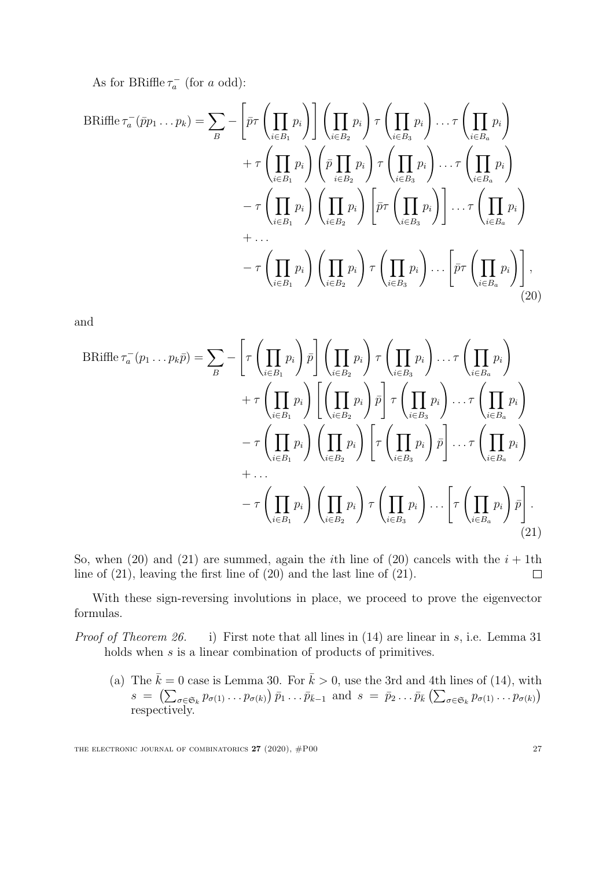As for BRiffle  $\tau_a^-$  (for a odd):

$$
\text{BRiffe}\,\tau_a^-(\bar{p}p_1\ldots p_k) = \sum_{B} - \left[\bar{p}\tau\left(\prod_{i\in B_1} p_i\right)\right] \left(\prod_{i\in B_2} p_i\right) \tau\left(\prod_{i\in B_3} p_i\right) \ldots \tau\left(\prod_{i\in B_a} p_i\right) \n+ \tau\left(\prod_{i\in B_1} p_i\right) \left(\bar{p}\prod_{i\in B_2} p_i\right) \tau\left(\prod_{i\in B_3} p_i\right) \ldots \tau\left(\prod_{i\in B_a} p_i\right) \n- \tau\left(\prod_{i\in B_1} p_i\right) \left(\prod_{i\in B_2} p_i\right) \left[\bar{p}\tau\left(\prod_{i\in B_3} p_i\right)\right] \ldots \tau\left(\prod_{i\in B_a} p_i\right) \n+ \ldots \n- \tau\left(\prod_{i\in B_1} p_i\right) \left(\prod_{i\in B_2} p_i\right) \tau\left(\prod_{i\in B_3} p_i\right) \ldots \left[\bar{p}\tau\left(\prod_{i\in B_a} p_i\right)\right],
$$
\n(20)

and

<span id="page-27-0"></span>
$$
\text{BRiffe}\,\tau_a^-(p_1\ldots p_k\bar{p}) = \sum_{B} - \left[\tau\left(\prod_{i\in B_1} p_i\right)\bar{p}\right] \left(\prod_{i\in B_2} p_i\right) \tau\left(\prod_{i\in B_3} p_i\right) \ldots \tau\left(\prod_{i\in B_a} p_i\right) \\
+ \tau\left(\prod_{i\in B_1} p_i\right) \left[\left(\prod_{i\in B_2} p_i\right)\bar{p}\right] \tau\left(\prod_{i\in B_3} p_i\right) \ldots \tau\left(\prod_{i\in B_a} p_i\right) \\
- \tau\left(\prod_{i\in B_1} p_i\right) \left(\prod_{i\in B_2} p_i\right) \left[\tau\left(\prod_{i\in B_3} p_i\right)\bar{p}\right] \ldots \tau\left(\prod_{i\in B_a} p_i\right) \\
+ \ldots \\
- \tau\left(\prod_{i\in B_1} p_i\right) \left(\prod_{i\in B_2} p_i\right) \tau\left(\prod_{i\in B_3} p_i\right) \ldots \left[\tau\left(\prod_{i\in B_a} p_i\right)\bar{p}\right].
$$
\n(21)

So, when [\(20\)](#page-27-0) and [\(21\)](#page-27-1) are summed, again the *i*th line of (20) cancels with the  $i + 1$ th line of [\(21\)](#page-27-1), leaving the first line of [\(20\)](#page-27-0) and the last line of [\(21\)](#page-27-1).  $\Box$ 

With these sign-reversing involutions in place, we proceed to prove the eigenvector formulas.

Proof of Theorem [26.](#page-20-0) i) First note that all lines in [\(14\)](#page-23-2) are linear in s, i.e. Lemma [31](#page-23-0) holds when s is a linear combination of products of primitives.

<span id="page-27-1"></span>(a) The  $\bar{k} = 0$  case is Lemma [30.](#page-22-0) For  $\bar{k} > 0$ , use the 3rd and 4th lines of [\(14\)](#page-23-2), with  $s = (\sum_{\sigma \in \mathfrak{S}_k} p_{\sigma(1)} \dots p_{\sigma(k)}) \bar{p}_1 \dots \bar{p}_{\bar{k}-1}$  and  $s = \bar{p}_2 \dots \bar{p}_{\bar{k}} (\sum_{\sigma \in \mathfrak{S}_k} p_{\sigma(1)} \dots p_{\sigma(k)})$ respectively.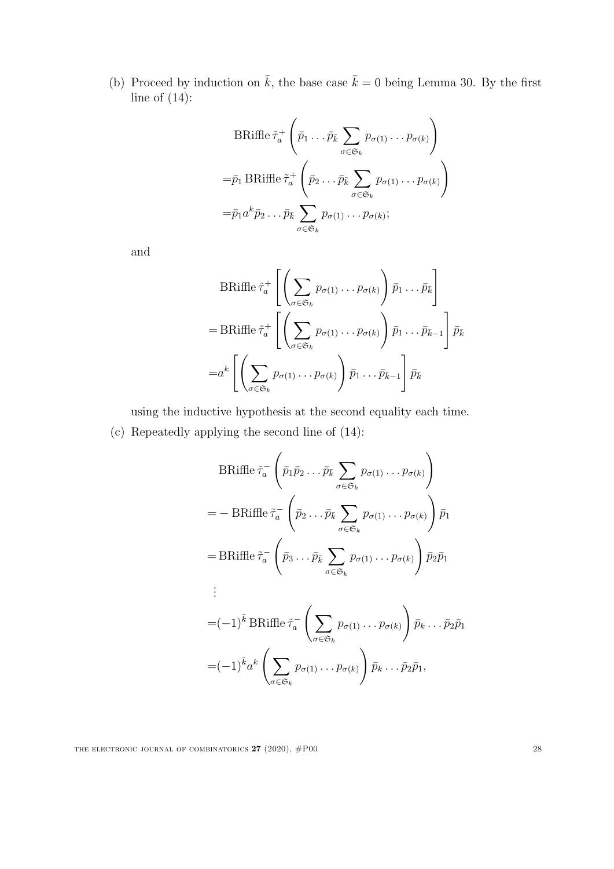(b) Proceed by induction on  $\bar{k}$ , the base case  $\bar{k} = 0$  being Lemma [30.](#page-22-0) By the first line of  $(14)$ :

$$
\text{BRiffe } \tilde{\tau}_a^+ \left( \bar{p}_1 \dots \bar{p}_k \sum_{\sigma \in \mathfrak{S}_k} p_{\sigma(1)} \dots p_{\sigma(k)} \right)
$$
\n
$$
= \bar{p}_1 \text{BRiffe } \tilde{\tau}_a^+ \left( \bar{p}_2 \dots \bar{p}_k \sum_{\sigma \in \mathfrak{S}_k} p_{\sigma(1)} \dots p_{\sigma(k)} \right)
$$
\n
$$
= \bar{p}_1 a^k \bar{p}_2 \dots \bar{p}_k \sum_{\sigma \in \mathfrak{S}_k} p_{\sigma(1)} \dots p_{\sigma(k)};
$$

and

$$
\text{BRiffe}\,\tilde{\tau}_a^+ \left[ \left( \sum_{\sigma \in \mathfrak{S}_k} p_{\sigma(1)} \dots p_{\sigma(k)} \right) \bar{p}_1 \dots \bar{p}_{\bar{k}} \right] \\
= \text{BRiffe}\,\tilde{\tau}_a^+ \left[ \left( \sum_{\sigma \in \mathfrak{S}_k} p_{\sigma(1)} \dots p_{\sigma(k)} \right) \bar{p}_1 \dots \bar{p}_{\bar{k}-1} \right] \bar{p}_{\bar{k}} \\
= a^k \left[ \left( \sum_{\sigma \in \mathfrak{S}_k} p_{\sigma(1)} \dots p_{\sigma(k)} \right) \bar{p}_1 \dots \bar{p}_{\bar{k}-1} \right] \bar{p}_{\bar{k}}\n\end{aligned}
$$

using the inductive hypothesis at the second equality each time.

(c) Repeatedly applying the second line of [\(14\)](#page-23-2):

$$
\text{BRiffe } \tilde{\tau}_a^- \left( \bar{p}_1 \bar{p}_2 \dots \bar{p}_{\bar{k}} \sum_{\sigma \in \mathfrak{S}_k} p_{\sigma(1)} \dots p_{\sigma(k)} \right)
$$
\n
$$
= - \text{BRiffe } \tilde{\tau}_a^- \left( \bar{p}_2 \dots \bar{p}_{\bar{k}} \sum_{\sigma \in \mathfrak{S}_k} p_{\sigma(1)} \dots p_{\sigma(k)} \right) \bar{p}_1
$$
\n
$$
= \text{BRiffe } \tilde{\tau}_a^- \left( \bar{p}_3 \dots \bar{p}_{\bar{k}} \sum_{\sigma \in \mathfrak{S}_k} p_{\sigma(1)} \dots p_{\sigma(k)} \right) \bar{p}_2 \bar{p}_1
$$
\n
$$
\vdots
$$
\n
$$
= (-1)^{\bar{k}} \text{BRiffe } \tilde{\tau}_a^- \left( \sum_{\sigma \in \mathfrak{S}_k} p_{\sigma(1)} \dots p_{\sigma(k)} \right) \bar{p}_k \dots \bar{p}_2 \bar{p}_1
$$
\n
$$
= (-1)^{\bar{k}} a^k \left( \sum_{\sigma \in \mathfrak{S}_k} p_{\sigma(1)} \dots p_{\sigma(k)} \right) \bar{p}_k \dots \bar{p}_2 \bar{p}_1,
$$

THE ELECTRONIC JOURNAL OF COMBINATORICS  $27$  (2020),  $\#P00$  28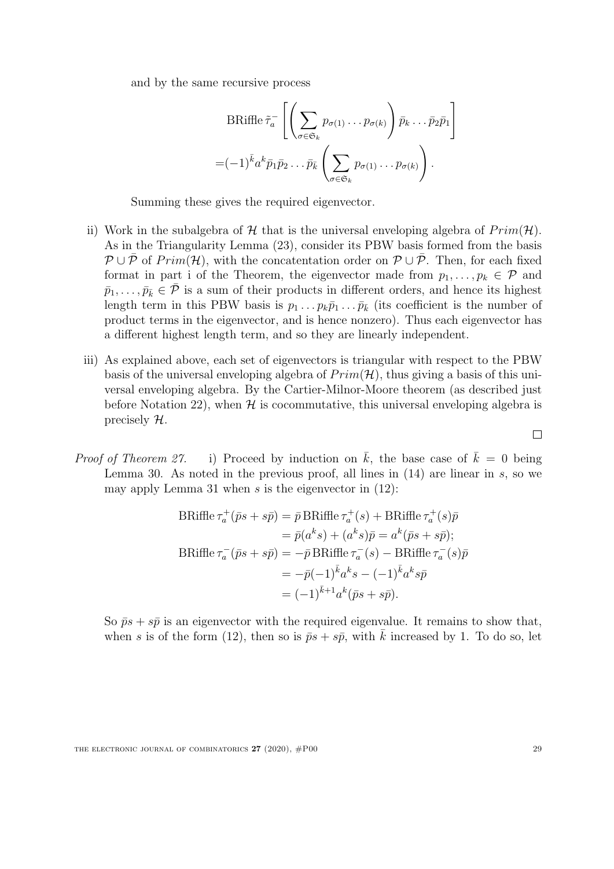and by the same recursive process

$$
\text{BRiffe}\,\tilde{\tau}_a^- \left[ \left( \sum_{\sigma \in \mathfrak{S}_k} p_{\sigma(1)} \dots p_{\sigma(k)} \right) \bar{p}_k \dots \bar{p}_2 \bar{p}_1 \right] = (-1)^{\bar{k}} a^k \bar{p}_1 \bar{p}_2 \dots \bar{p}_{\bar{k}} \left( \sum_{\sigma \in \mathfrak{S}_k} p_{\sigma(1)} \dots p_{\sigma(k)} \right).
$$

Summing these gives the required eigenvector.

- ii) Work in the subalgebra of  $H$  that is the universal enveloping algebra of  $Prim(H)$ . As in the Triangularity Lemma [\(23\)](#page-16-1), consider its PBW basis formed from the basis  $\mathcal{P} \cup \overline{\mathcal{P}}$  of Prim(H), with the concatentation order on  $\mathcal{P} \cup \overline{\mathcal{P}}$ . Then, for each fixed format in part i of the Theorem, the eigenvector made from  $p_1, \ldots, p_k \in \mathcal{P}$  and  $\bar{p}_1, \ldots, \bar{p}_{\bar{k}} \in \bar{\mathcal{P}}$  is a sum of their products in different orders, and hence its highest length term in this PBW basis is  $p_1 \ldots p_k \bar{p}_1 \ldots \bar{p}_k$  (its coefficient is the number of product terms in the eigenvector, and is hence nonzero). Thus each eigenvector has a different highest length term, and so they are linearly independent.
- iii) As explained above, each set of eigenvectors is triangular with respect to the PBW basis of the universal enveloping algebra of  $Prim(\mathcal{H})$ , thus giving a basis of this universal enveloping algebra. By the Cartier-Milnor-Moore theorem (as described just before Notation [22\)](#page-16-0), when  $H$  is cocommutative, this universal enveloping algebra is precisely H.
- *Proof of Theorem [27.](#page-20-1)* i) Proceed by induction on  $\bar{k}$ , the base case of  $\bar{k} = 0$  being Lemma [30.](#page-22-0) As noted in the previous proof, all lines in  $(14)$  are linear in s, so we may apply Lemma [31](#page-23-0) when s is the eigenvector in  $(12)$ :

$$
\begin{aligned} \text{BRiffe}\,\tau_a^+(\bar{p}s + s\bar{p}) &= \bar{p}\,\text{BRiffe}\,\tau_a^+(s) + \text{BRiffe}\,\tau_a^+(s)\bar{p} \\ &= \bar{p}(a^ks) + (a^ks)\bar{p} = a^k(\bar{p}s + s\bar{p});\\ \text{BRiffe}\,\tau_a^-(\bar{p}s + s\bar{p}) &= -\bar{p}\,\text{BRiffe}\,\tau_a^-(s) - \text{BRiffe}\,\tau_a^-(s)\bar{p} \\ &= -\bar{p}(-1)^{\bar{k}}a^ks - (-1)^{\bar{k}}a^ks\bar{p} \\ &= (-1)^{\bar{k}+1}a^k(\bar{p}s + s\bar{p}). \end{aligned}
$$

So  $\bar{p}s + s\bar{p}$  is an eigenvector with the required eigenvalue. It remains to show that, when s is of the form [\(12\)](#page-21-2), then so is  $\bar{p}s + s\bar{p}$ , with  $\bar{k}$  increased by 1. To do so, let

 $\Box$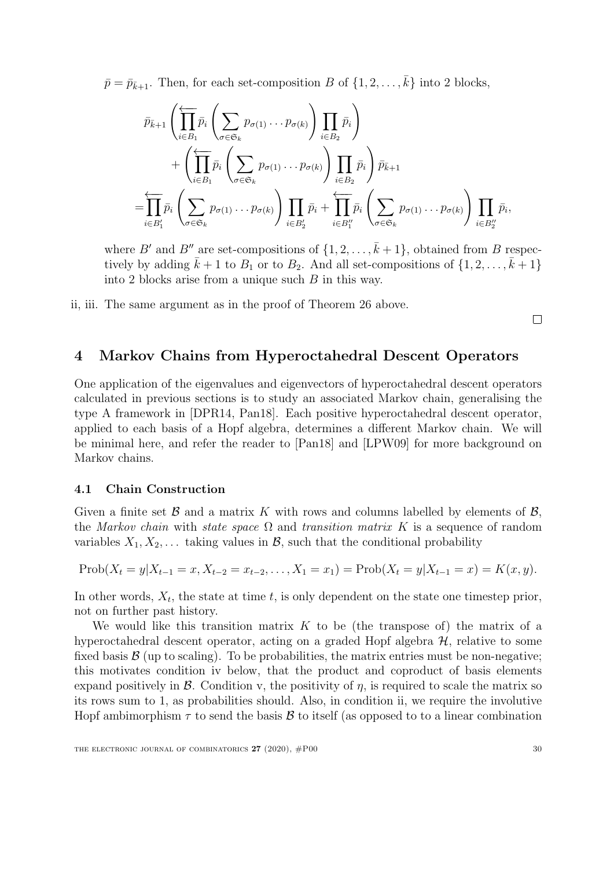$\bar{p} = \bar{p}_{\bar{k}+1}$ . Then, for each set-composition B of  $\{1, 2, \ldots, \bar{k}\}$  into 2 blocks,

$$
\bar{p}_{\bar{k}+1} \left( \prod_{i \in B_1}^{\longleftarrow} \bar{p}_i \left( \sum_{\sigma \in \mathfrak{S}_k} p_{\sigma(1)} \dots p_{\sigma(k)} \right) \prod_{i \in B_2} \bar{p}_i \right) \n+ \left( \prod_{i \in B_1}^{\longleftarrow} \bar{p}_i \left( \sum_{\sigma \in \mathfrak{S}_k} p_{\sigma(1)} \dots p_{\sigma(k)} \right) \prod_{i \in B_2} \bar{p}_i \right) \bar{p}_{\bar{k}+1} \n= \prod_{i \in B'_1}^{\longleftarrow} \bar{p}_i \left( \sum_{\sigma \in \mathfrak{S}_k} p_{\sigma(1)} \dots p_{\sigma(k)} \right) \prod_{i \in B'_2} \bar{p}_i + \prod_{i \in B''_1}^{\longleftarrow} \bar{p}_i \left( \sum_{\sigma \in \mathfrak{S}_k} p_{\sigma(1)} \dots p_{\sigma(k)} \right) \prod_{i \in B''_2} \bar{p}_i,
$$

where B' and B'' are set-compositions of  $\{1, 2, \ldots, \bar{k} + 1\}$ , obtained from B respectively by adding  $\bar{k} + 1$  to  $B_1$  or to  $B_2$ . And all set-compositions of  $\{1, 2, \ldots, \bar{k} + 1\}$ into 2 blocks arise from a unique such  $B$  in this way.

ii, iii. The same argument as in the proof of Theorem [26](#page-20-0) above.

 $\Box$ 

## <span id="page-30-0"></span>4 Markov Chains from Hyperoctahedral Descent Operators

One application of the eigenvalues and eigenvectors of hyperoctahedral descent operators calculated in previous sections is to study an associated Markov chain, generalising the type A framework in [\[DPR14,](#page-50-3) [Pan18\]](#page-51-5). Each positive hyperoctahedral descent operator, applied to each basis of a Hopf algebra, determines a different Markov chain. We will be minimal here, and refer the reader to [\[Pan18\]](#page-51-5) and [\[LPW09\]](#page-50-14) for more background on Markov chains.

#### 4.1 Chain Construction

Given a finite set  $\mathcal B$  and a matrix K with rows and columns labelled by elements of  $\mathcal B$ , the Markov chain with state space  $\Omega$  and transition matrix K is a sequence of random variables  $X_1, X_2, \ldots$  taking values in  $\mathcal{B}$ , such that the conditional probability

$$
Prob(X_t = y | X_{t-1} = x, X_{t-2} = x_{t-2}, \dots, X_1 = x_1) = Prob(X_t = y | X_{t-1} = x) = K(x, y).
$$

In other words,  $X_t$ , the state at time t, is only dependent on the state one timestep prior, not on further past history.

We would like this transition matrix  $K$  to be (the transpose of) the matrix of a hyperoctahedral descent operator, acting on a graded Hopf algebra  $H$ , relative to some fixed basis  $\mathcal{B}$  (up to scaling). To be probabilities, the matrix entries must be non-negative; this motivates condition iv below, that the product and coproduct of basis elements expand positively in  $\mathcal{B}$ . Condition v, the positivity of  $\eta$ , is required to scale the matrix so its rows sum to 1, as probabilities should. Also, in condition ii, we require the involutive Hopf ambimorphism  $\tau$  to send the basis  $\mathcal B$  to itself (as opposed to to a linear combination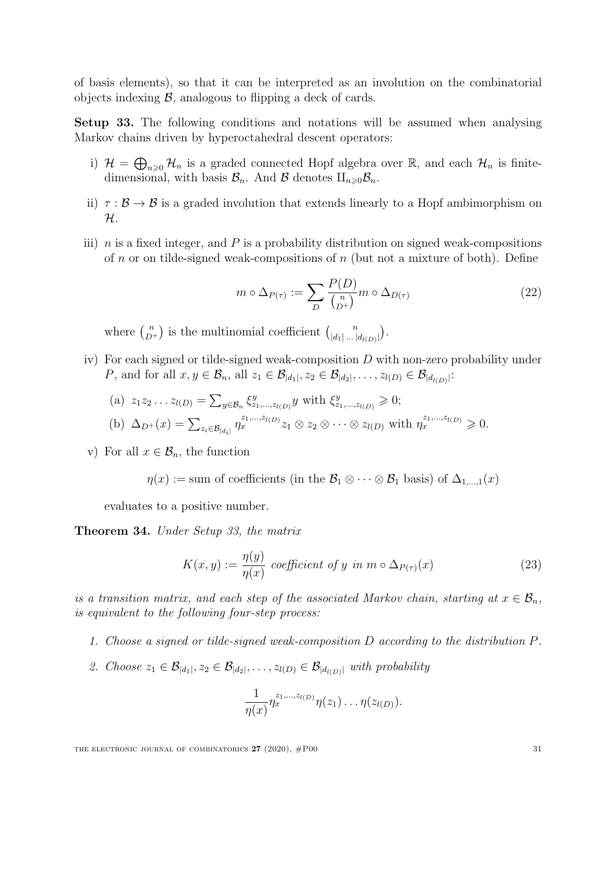of basis elements), so that it can be interpreted as an involution on the combinatorial objects indexing  $\beta$ , analogous to flipping a deck of cards.

<span id="page-31-1"></span>Setup 33. The following conditions and notations will be assumed when analysing Markov chains driven by hyperoctahedral descent operators:

- i)  $\mathcal{H} = \bigoplus_{n\geqslant 0} \mathcal{H}_n$  is a graded connected Hopf algebra over  $\mathbb{R}$ , and each  $\mathcal{H}_n$  is finitedimensional, with basis  $\mathcal{B}_n$ . And  $\mathcal B$  denotes  $\amalg_{n\geq 0}\mathcal{B}_n$ .
- ii)  $\tau : \mathcal{B} \to \mathcal{B}$  is a graded involution that extends linearly to a Hopf ambimorphism on H.
- iii)  $n$  is a fixed integer, and P is a probability distribution on signed weak-compositions of n or on tilde-signed weak-compositions of  $n$  (but not a mixture of both). Define

<span id="page-31-3"></span>
$$
m \circ \Delta_{P(\tau)} := \sum_{D} \frac{P(D)}{\binom{n}{D^+}} m \circ \Delta_{D(\tau)} \tag{22}
$$

where  $\binom{n}{D}$  $\binom{n}{p+1}$  is the multinomial coefficient  $\binom{n}{|d_1| \dots |d_n|}$  $\binom{n}{|d_1| \dots |d_{l(D)}|}.$ 

iv) For each signed or tilde-signed weak-composition D with non-zero probability under P, and for all  $x, y \in \mathcal{B}_n$ , all  $z_1 \in \mathcal{B}_{|d_1|}, z_2 \in \mathcal{B}_{|d_2|}, \ldots, z_{l(D)} \in \mathcal{B}_{|d_{l(D)}|}$ :

(a) 
$$
z_1 z_2 ... z_{l(D)} = \sum_{y \in \mathcal{B}_n} \xi^y_{z_1,...,z_{l(D)}} y
$$
 with  $\xi^y_{z_1,...,z_{l(D)}} \ge 0$ ;  
\n(b)  $\Delta_{D^+}(x) = \sum_{z_i \in \mathcal{B}_{|d_i|}} \eta_x^{z_1,...,z_{l(D)}} z_1 \otimes z_2 \otimes \cdots \otimes z_{l(D)}$  with  $\eta_x^{z_1,...,z_{l(D)}} \ge 0$ .

v) For all  $x \in \mathcal{B}_n$ , the function

 $\eta(x) := \text{sum of coefficients (in the } \mathcal{B}_1 \otimes \cdots \otimes \mathcal{B}_1 \text{ basis}) \text{ of } \Delta_{1,\dots,1}(x)$ 

evaluates to a positive number.

<span id="page-31-0"></span>Theorem 34. Under Setup [33,](#page-31-1) the matrix

<span id="page-31-2"></span>
$$
K(x,y) := \frac{\eta(y)}{\eta(x)} \text{ coefficient of } y \text{ in } m \circ \Delta_{P(\tau)}(x) \tag{23}
$$

is a transition matrix, and each step of the associated Markov chain, starting at  $x \in \mathcal{B}_n$ , is equivalent to the following four-step process:

- 1. Choose a signed or tilde-signed weak-composition D according to the distribution P.
- 2. Choose  $z_1 \in \mathcal{B}_{|d_1|}, z_2 \in \mathcal{B}_{|d_2|}, \ldots, z_{l(D)} \in \mathcal{B}_{|d_{l(D)}|}$  with probability

$$
\frac{1}{\eta(x)}\eta_x^{z_1,\ldots,z_{l(D)}}\eta(z_1)\ldots\eta(z_{l(D)}).
$$

THE ELECTRONIC JOURNAL OF COMBINATORICS  $27 (2020)$ ,  $#P00$  31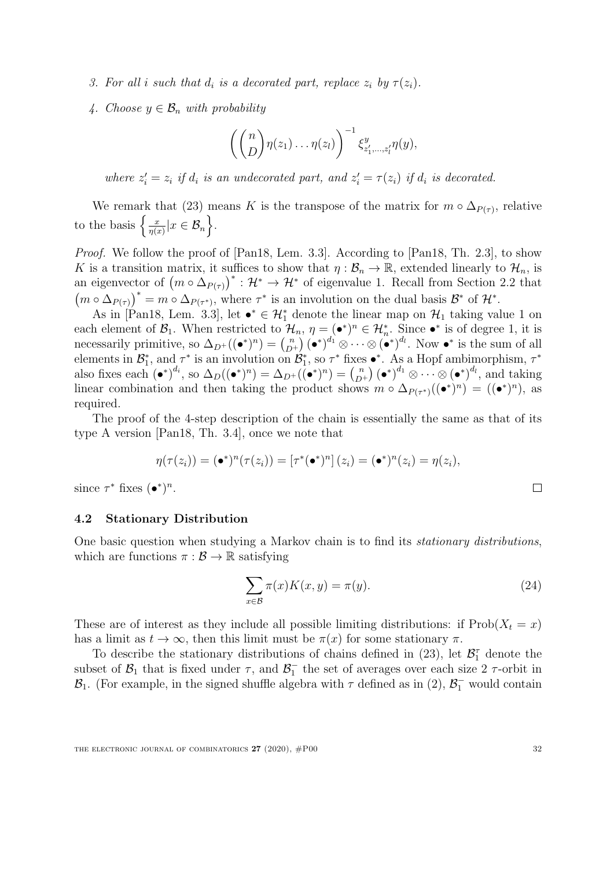- 3. For all i such that  $d_i$  is a decorated part, replace  $z_i$  by  $\tau(z_i)$ .
- 4. Choose  $y \in \mathcal{B}_n$  with probability

$$
\left(\binom{n}{D}\eta(z_1)\ldots\eta(z_l)\right)^{-1}\xi_{z'_1,\ldots,z'_l}^y\eta(y),
$$

where  $z_i' = z_i$  if  $d_i$  is an undecorated part, and  $z_i' = \tau(z_i)$  if  $d_i$  is decorated.

We remark that [\(23\)](#page-31-2) means K is the transpose of the matrix for  $m \circ \Delta_{P(\tau)}$ , relative to the basis  $\left\{\frac{x}{n^{(s)}}\right\}$  $\frac{x}{\eta(x)}|x \in \mathcal{B}_n$ .

Proof. We follow the proof of [\[Pan18,](#page-51-5) Lem. 3.3]. According to [\[Pan18,](#page-51-5) Th. 2.3], to show K is a transition matrix, it suffices to show that  $\eta : \mathcal{B}_n \to \mathbb{R}$ , extended linearly to  $\mathcal{H}_n$ , is an eigenvector of  $(m \circ \Delta_{P(\tau)})^* : \mathcal{H}^* \to \mathcal{H}^*$  of eigenvalue 1. Recall from Section [2.2](#page-8-1) that  $(m \circ \Delta_{P(\tau)})^* = m \circ \Delta_{P(\tau^*)}$ , where  $\tau^*$  is an involution on the dual basis  $\mathcal{B}^*$  of  $\mathcal{H}^*$ .

As in [\[Pan18,](#page-51-5) Lem. 3.3], let  $\bullet^* \in \mathcal{H}_1^*$  denote the linear map on  $\mathcal{H}_1$  taking value 1 on each element of  $\mathcal{B}_1$ . When restricted to  $\mathcal{H}_n$ ,  $\eta = (\bullet^*)^n \in \mathcal{H}_n^*$ . Since  $\bullet^*$  is of degree 1, it is necessarily primitive, so  $\Delta_{D^+}((\bullet^*)^n) = \binom{n}{D}$  $\binom{n}{D^+}$   $(\bullet^*)^{d_1} \otimes \cdots \otimes (\bullet^*)^{d_l}$ . Now  $\bullet^*$  is the sum of all elements in  $\mathcal{B}_1^*$ , and  $\tau^*$  is an involution on  $\mathcal{B}_1^*$ , so  $\tau^*$  fixes •\*. As a Hopf ambimorphism,  $\tau^*$ also fixes each  $(\bullet^*)^{d_i}$ , so  $\Delta_D((\bullet^*)^n) = \Delta_{D^+}((\bullet^*)^n) = \binom{n}{D}$  $\binom{n}{D^+}$   $(\bullet^*)^{d_1} \otimes \cdots \otimes (\bullet^*)^{d_l}$ , and taking linear combination and then taking the product shows  $m \circ \Delta_{P(\tau^*)}((\bullet^*)^n) = ((\bullet^*)^n)$ , as required.

The proof of the 4-step description of the chain is essentially the same as that of its type A version [\[Pan18,](#page-51-5) Th. 3.4], once we note that

$$
\eta(\tau(z_i)) = (\bullet^*)^n(\tau(z_i)) = [\tau^*(\bullet^*)^n](z_i) = (\bullet^*)^n(z_i) = \eta(z_i),
$$

since  $\tau^*$  fixes  $(\bullet^*)^n$ .

#### 4.2 Stationary Distribution

One basic question when studying a Markov chain is to find its stationary distributions, which are functions  $\pi : \mathcal{B} \to \mathbb{R}$  satisfying

<span id="page-32-0"></span>
$$
\sum_{x \in \mathcal{B}} \pi(x) K(x, y) = \pi(y). \tag{24}
$$

These are of interest as they include all possible limiting distributions: if  $\text{Prob}(X_t = x)$ has a limit as  $t \to \infty$ , then this limit must be  $\pi(x)$  for some stationary  $\pi$ .

To describe the stationary distributions of chains defined in  $(23)$ , let  $\mathcal{B}_1^{\tau}$  denote the subset of  $\mathcal{B}_1$  that is fixed under  $\tau$ , and  $\mathcal{B}_1^-$  the set of averages over each size 2  $\tau$ -orbit in  $\mathcal{B}_1$ . (For example, in the signed shuffle algebra with  $\tau$  defined as in [\(2\)](#page-6-0),  $\mathcal{B}_1^-$  would contain

 $\Box$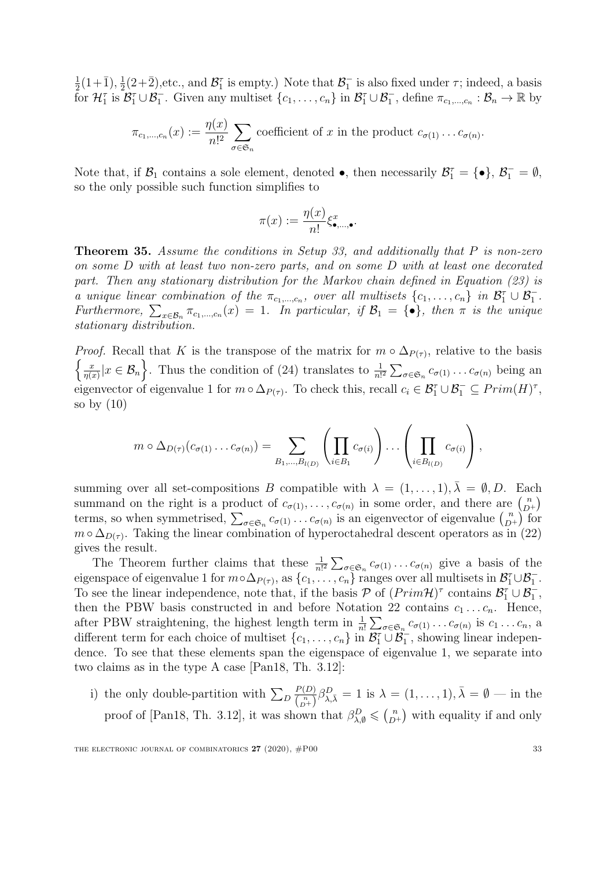1  $\frac{1}{2}(1+\bar{1}), \frac{1}{2}$  $\frac{1}{2}(2+\overline{2})$ , etc., and  $\mathcal{B}_1^{\tau}$  is empty.) Note that  $\mathcal{B}_1^-$  is also fixed under  $\tau$ ; indeed, a basis for  $\mathcal{H}_1^{\tau}$  is  $\mathcal{B}_1^{\tau} \cup \mathcal{B}_1^{\tau}$ . Given any multiset  $\{c_1, \ldots, c_n\}$  in  $\mathcal{B}_1^{\tau} \cup \mathcal{B}_1^{\tau}$ , define  $\pi_{c_1,\ldots,c_n} : \mathcal{B}_n \to \mathbb{R}$  by

$$
\pi_{c_1,\dots,c_n}(x) := \frac{\eta(x)}{n!^2} \sum_{\sigma \in \mathfrak{S}_n} \text{coefficient of } x \text{ in the product } c_{\sigma(1)} \dots c_{\sigma(n)}.
$$

Note that, if  $\mathcal{B}_1$  contains a sole element, denoted  $\bullet$ , then necessarily  $\mathcal{B}_1^{\tau} = \{\bullet\}, \mathcal{B}_1^{\tau} = \emptyset$ , so the only possible such function simplifies to

$$
\pi(x) := \frac{\eta(x)}{n!} \xi_{\bullet,\ldots,\bullet}^x.
$$

<span id="page-33-0"></span>**Theorem 35.** Assume the conditions in Setup [33,](#page-31-1) and additionally that  $P$  is non-zero on some D with at least two non-zero parts, and on some D with at least one decorated part. Then any stationary distribution for the Markov chain defined in Equation [\(23\)](#page-31-2) is a unique linear combination of the  $\pi_{c_1,\dots,c_n}$ , over all multisets  $\{c_1,\dots,c_n\}$  in  $\mathcal{B}_1^{\tau} \cup \mathcal{B}_1^{-}$ . Furthermore,  $\sum_{x \in \mathcal{B}_n} \pi_{c_1,...,c_n}(x) = 1$ . In particular, if  $\mathcal{B}_1 = \{\bullet\}$ , then  $\pi$  is the unique stationary distribution.

*Proof.* Recall that K is the transpose of the matrix for  $m \circ \Delta_{P(\tau)}$ , relative to the basis  $\int x$  $\frac{x}{\eta(x)}|x \in \mathcal{B}_n$ . Thus the condition of [\(24\)](#page-32-0) translates to  $\frac{1}{n!^2} \sum_{\sigma \in \mathfrak{S}_n} c_{\sigma(1)} \ldots c_{\sigma(n)}$  being an eigenvector of eigenvalue 1 for  $m \circ \Delta_{P(\tau)}$ . To check this, recall  $c_i \in \mathcal{B}_1^{\tau} \cup \mathcal{B}_1^{-} \subseteq Prim(H)^{\tau}$ , so by  $(10)$ 

$$
m \circ \Delta_{D(\tau)}(c_{\sigma(1)} \dots c_{\sigma(n)}) = \sum_{B_1, \dots, B_{l(D)}} \left( \prod_{i \in B_1} c_{\sigma(i)} \right) \dots \left( \prod_{i \in B_{l(D)}} c_{\sigma(i)} \right),
$$

summing over all set-compositions B compatible with  $\lambda = (1, \ldots, 1), \overline{\lambda} = \emptyset, D$ . Each summand on the right is a product of  $c_{\sigma(1)}, \ldots, c_{\sigma(n)}$  in some order, and there are  $\binom{n}{D}$  $\binom{n}{D^+}$ terms, so when symmetrised,  $\sum_{\sigma \in \mathfrak{S}_n} c_{\sigma(1)} \dots c_{\sigma(n)}$  is an eigenvector of eigenvalue  $\binom{n}{D}$  $\binom{n}{D^+}$  for  $m \circ \Delta_{D(\tau)}$ . Taking the linear combination of hyperoctahedral descent operators as in [\(22\)](#page-31-3) gives the result.

The Theorem further claims that these  $\frac{1}{n!^2} \sum_{\sigma \in \mathfrak{S}_n} c_{\sigma(1)} \dots c_{\sigma(n)}$  give a basis of the eigenspace of eigenvalue 1 for  $m \circ \Delta_{P(\tau)}$ , as  $\{c_1, \ldots, c_n\}$  ranges over all multisets in  $\mathcal{B}_1^{\tau} \cup \mathcal{B}_1^{-}$ . To see the linear independence, note that, if the basis  $P$  of  $(Prim \mathcal{H})^{\tau}$  contains  $\mathcal{B}_1^{\tau} \cup \mathcal{B}_1^{-}$ , then the PBW basis constructed in and before Notation [22](#page-16-0) contains  $c_1 \ldots c_n$ . Hence, after PBW straightening, the highest length term in  $\frac{1}{n!} \sum_{\sigma \in \mathfrak{S}_n} c_{\sigma(1)} \dots c_{\sigma(n)}$  is  $c_1 \dots c_n$ , a different term for each choice of multiset  $\{c_1, \ldots, c_n\}$  in  $\overline{\mathcal{B}_1^{\tau}} \cup \overline{\mathcal{B}_1^{\tau}}$ , showing linear independence. To see that these elements span the eigenspace of eigenvalue 1, we separate into two claims as in the type A case [\[Pan18,](#page-51-5) Th. 3.12]:

i) the only double-partition with  $\sum_D$  $P(D)$  $\frac{P(D)}{\binom{n}{D+}}\beta_{\lambda,\bar{\lambda}}^D=1$  is  $\lambda=(1,\ldots,1),\bar{\lambda}=\emptyset$  — in the proof of [\[Pan18,](#page-51-5) Th. 3.12], it was shown that  $\beta_{\lambda,\emptyset}^D \leqslant \binom{n}{D}$  $\binom{n}{D^+}$  with equality if and only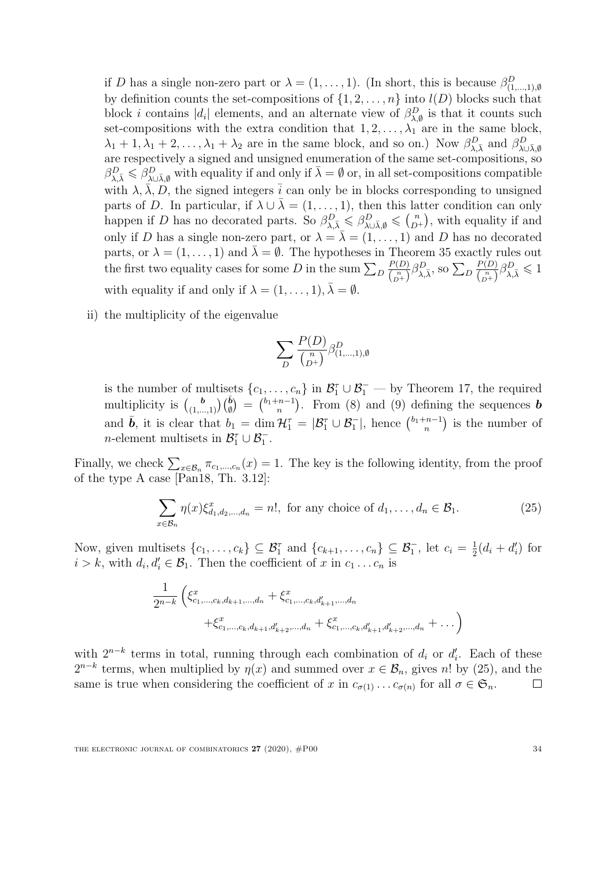if D has a single non-zero part or  $\lambda = (1, \ldots, 1)$ . (In short, this is because  $\beta_{(1,\ldots,1),\emptyset}^D$ by definition counts the set-compositions of  $\{1, 2, \ldots, n\}$  into  $l(D)$  blocks such that block *i* contains  $|d_i|$  elements, and an alternate view of  $\beta_{\lambda,\emptyset}^D$  is that it counts such set-compositions with the extra condition that  $1, 2, \ldots, \lambda_1$  are in the same block,  $\lambda_1+1, \lambda_1+2,\ldots, \lambda_1+\lambda_2$  are in the same block, and so on.) Now  $\beta_{\lambda,\bar{\lambda}}^D$  and  $\beta_{\lambda\cup\bar{\lambda},\emptyset}^D$ are respectively a signed and unsigned enumeration of the same set-compositions, so  $\beta_{\lambda,\bar{\lambda}}^D \leqslant \beta_{\lambda\cup\bar{\lambda},\emptyset}^D$  with equality if and only if  $\bar{\lambda} = \emptyset$  or, in all set-compositions compatible with  $\lambda$ ,  $\bar{\lambda}$ ,  $\bar{D}$ , the signed integers  $\bar{i}$  can only be in blocks corresponding to unsigned parts of D. In particular, if  $\lambda \cup \overline{\lambda} = (1, \ldots, 1)$ , then this latter condition can only happen if D has no decorated parts. So  $\beta_{\lambda,\bar{\lambda}}^D \leq \beta_{\lambda \cup \bar{\lambda},\emptyset}^D \leq \binom{n}{D}$  $\binom{n}{D^+}$ , with equality if and only if D has a single non-zero part, or  $\lambda = \overline{\lambda} = (1, \ldots, 1)$  and D has no decorated parts, or  $\lambda = (1, \ldots, 1)$  and  $\overline{\lambda} = \emptyset$ . The hypotheses in Theorem [35](#page-33-0) exactly rules out the first two equality cases for some  $D$  in the sum  $\sum_D$  $P(D)$  $\frac{P(D)}{\binom{n}{D^+}} \beta_{\lambda,\bar{\lambda}}^D$ , so  $\Sigma_D$  $P(D)$  $\frac{P(D)}{\binom{n}{D^+}} \beta_{\lambda,\bar{\lambda}}^D \leqslant 1$ with equality if and only if  $\lambda = (1, \ldots, 1), \bar{\lambda} = \emptyset$ .

ii) the multiplicity of the eigenvalue

$$
\sum_{D} \frac{P(D)}{\binom{n}{D^+}} \beta_{(1,\ldots,1),\emptyset}^D
$$

is the number of multisets  $\{c_1, \ldots, c_n\}$  in  $\mathcal{B}_1^{\tau} \cup \mathcal{B}_1^-$  by Theorem [17,](#page-13-0) the required multiplicity is  $\binom{b}{(1,...,1)}\binom{\bar{b}}{\bar{y}} = \binom{b_1+n-1}{n}$  $\binom{n-1}{n}$ . From [\(8\)](#page-13-3) and [\(9\)](#page-13-4) defining the sequences **b** and  $\bar{\mathbf{b}}$ , it is clear that  $b_1 = \dim \mathcal{H}_1^{\tau} = |\mathcal{B}_1^{\tau} \cup \mathcal{B}_1^{-}|$ , hence  $\binom{b_1+n-1}{n}$  $\binom{n-1}{n}$  is the number of *n*-element multisets in  $\mathcal{B}_1^{\tau} \cup \mathcal{B}_1^{-}$ .

Finally, we check  $\sum_{x \in \mathcal{B}_n} \pi_{c_1,\dots,c_n}(x) = 1$ . The key is the following identity, from the proof of the type A case [\[Pan18,](#page-51-5) Th. 3.12]:

<span id="page-34-0"></span>
$$
\sum_{x \in \mathcal{B}_n} \eta(x) \xi_{d_1, d_2, \dots, d_n}^x = n!, \text{ for any choice of } d_1, \dots, d_n \in \mathcal{B}_1.
$$
 (25)

Now, given multisets  $\{c_1,\ldots,c_k\} \subseteq \mathcal{B}_1^{\tau}$  and  $\{c_{k+1},\ldots,c_n\} \subseteq \mathcal{B}_1^{\tau}$ , let  $c_i = \frac{1}{2}$  $\frac{1}{2}(d_i + d'_i)$  for  $i > k$ , with  $d_i, d'_i \in \mathcal{B}_1$ . Then the coefficient of x in  $c_1 \ldots c_n$  is

$$
\frac{1}{2^{n-k}} \left( \xi_{c_1,\ldots,c_k,d_{k+1},\ldots,d_n}^x + \xi_{c_1,\ldots,c_k,d'_{k+1},\ldots,d_n}^x + \xi_{c_1,\ldots,c_k,d_{k+1},d'_{k+2},\ldots,d_n}^x + \xi_{c_1,\ldots,c_k,d'_{k+1},d'_{k+2},\ldots,d_n}^x + \ldots \right)
$$

with  $2^{n-k}$  terms in total, running through each combination of  $d_i$  or  $d'_i$ . Each of these  $2^{n-k}$  terms, when multiplied by  $\eta(x)$  and summed over  $x \in \mathcal{B}_n$ , gives n! by [\(25\)](#page-34-0), and the same is true when considering the coefficient of x in  $c_{\sigma(1)} \dots c_{\sigma(n)}$  for all  $\sigma \in \mathfrak{S}_n$ .  $\Box$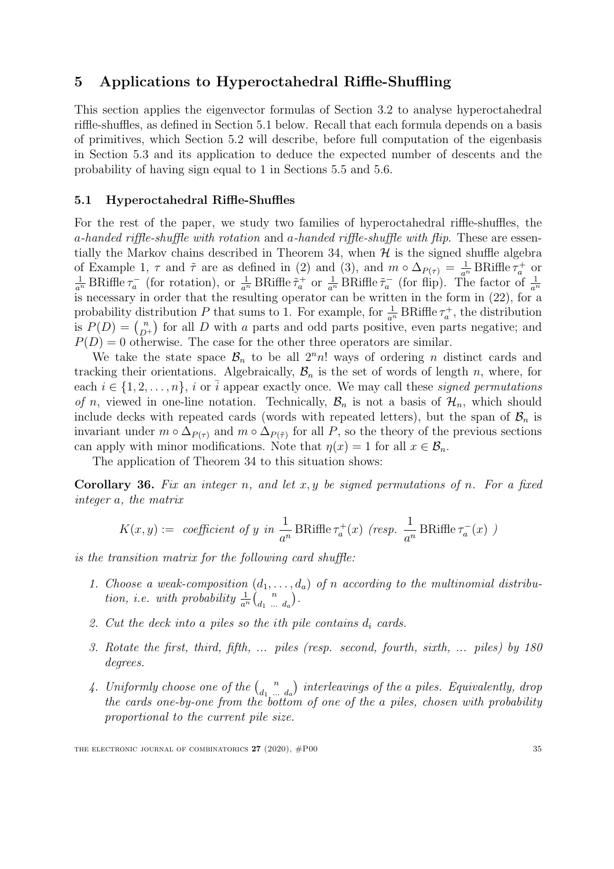## <span id="page-35-1"></span>5 Applications to Hyperoctahedral Riffle-Shuffling

This section applies the eigenvector formulas of Section [3.2](#page-19-0) to analyse hyperoctahedral riffle-shuffles, as defined in Section [5.1](#page-35-2) below. Recall that each formula depends on a basis of primitives, which Section [5.2](#page-36-0) will describe, before full computation of the eigenbasis in Section [5.3](#page-39-1) and its application to deduce the expected number of descents and the probability of having sign equal to 1 in Sections [5.5](#page-43-1) and [5.6.](#page-47-1)

#### <span id="page-35-2"></span>5.1 Hyperoctahedral Riffle-Shuffles

For the rest of the paper, we study two families of hyperoctahedral riffle-shuffles, the a-handed riffle-shuffle with rotation and a-handed riffle-shuffle with flip. These are essen-tially the Markov chains described in Theorem [34,](#page-31-0) when  $H$  is the signed shuffle algebra of Example [1,](#page-4-0)  $\tau$  and  $\tilde{\tau}$  are as defined in [\(2\)](#page-6-0) and [\(3\)](#page-6-1), and  $m \circ \Delta_{P(\tau)} = \frac{1}{a^n} B R i f f e \tau_a^+$  or  $\frac{1}{a^n}$  BRiffle  $\tau_a^-$  (for rotation), or  $\frac{1}{a^n}$  BRiffle  $\tilde{\tau}_a^+$  or  $\frac{1}{a^n}$  BRiffle  $\tilde{\tau}_a^-$  (for flip). The factor of  $\frac{1}{a^n}$ is necessary in order that the resulting operator can be written in the form in [\(22\)](#page-31-3), for a probability distribution P that sums to 1. For example, for  $\frac{1}{a^n}$  BRiffle  $\tau_a^+$ , the distribution is  $P(D) = \binom{n}{D}$  $\binom{n}{D+1}$  for all D with a parts and odd parts positive, even parts negative; and  $P(D) = 0$  otherwise. The case for the other three operators are similar.

We take the state space  $\mathcal{B}_n$  to be all  $2^n n!$  ways of ordering *n* distinct cards and tracking their orientations. Algebraically,  $\mathcal{B}_n$  is the set of words of length n, where, for each  $i \in \{1, 2, \ldots, n\}$ , i or  $\overline{i}$  appear exactly once. We may call these *signed permutations* of n, viewed in one-line notation. Technically,  $\mathcal{B}_n$  is not a basis of  $\mathcal{H}_n$ , which should include decks with repeated cards (words with repeated letters), but the span of  $\mathcal{B}_n$  is invariant under  $m \circ \Delta_{P(\tau)}$  and  $m \circ \Delta_{P(\tilde{\tau})}$  for all P, so the theory of the previous sections can apply with minor modifications. Note that  $\eta(x) = 1$  for all  $x \in \mathcal{B}_n$ .

The application of Theorem [34](#page-31-0) to this situation shows:

<span id="page-35-0"></span>**Corollary 36.** Fix an integer n, and let x, y be signed permutations of n. For a fixed integer a, the matrix

$$
K(x,y):= \text{ coefficient of } y \text{ in } \frac{1}{a^n} \text{ BRiffe } \tau_a^+(x) \text{ (resp. } \frac{1}{a^n} \text{ BRiffe } \tau_a^-(x) \text{ )}
$$

is the transition matrix for the following card shuffle:

- 1. Choose a weak-composition  $(d_1, \ldots, d_n)$  of n according to the multinomial distribution, i.e. with probability  $\frac{1}{a^n}\begin{pmatrix} n \\ d_1 \end{pmatrix}$  $\begin{pmatrix} n \\ d_1 \end{pmatrix}$ .
- 2. Cut the deck into a piles so the ith pile contains  $d_i$  cards.
- 3. Rotate the first, third, fifth, ... piles (resp. second, fourth, sixth, ... piles) by 180 degrees.
- 4. Uniformly choose one of the  $\binom{n}{d}$  $\begin{pmatrix} n \\ d_1 \end{pmatrix}$  interleavings of the a piles. Equivalently, drop the cards one-by-one from the bottom of one of the a piles, chosen with probability proportional to the current pile size.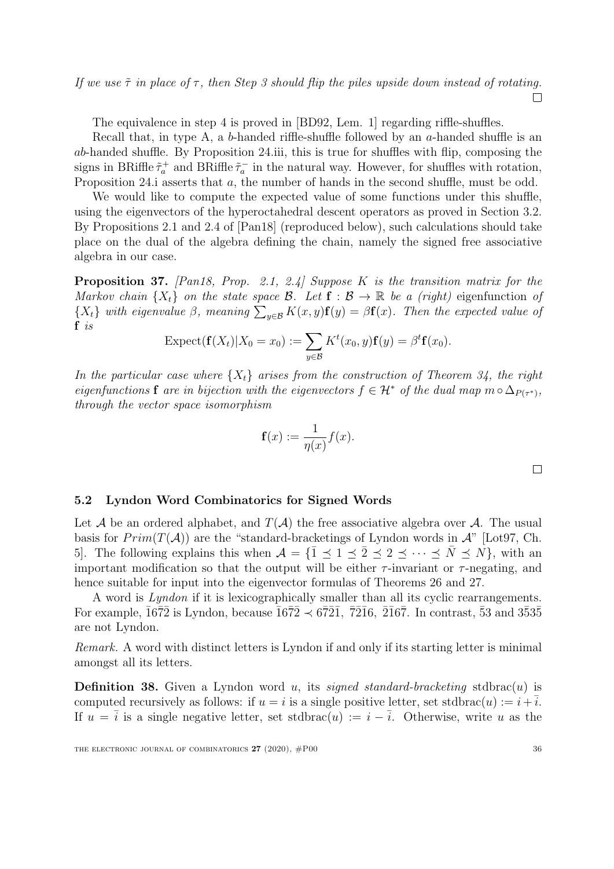If we use  $\tilde{\tau}$  in place of  $\tau$ , then Step 3 should flip the piles upside down instead of rotating.  $\Box$ 

The equivalence in step 4 is proved in [\[BD92,](#page-49-4) Lem. 1] regarding riffle-shuffles.

Recall that, in type A, a b-handed riffle-shuffle followed by an  $a$ -handed shuffle is an ab-handed shuffle. By Proposition [24.](#page-18-0)iii, this is true for shuffles with flip, composing the signs in BRiffle  $\tilde{\tau}_a^+$  and BRiffle  $\tilde{\tau}_a^-$  in the natural way. However, for shuffles with rotation, Proposition [24.](#page-18-0)*i* asserts that a, the number of hands in the second shuffle, must be odd.

We would like to compute the expected value of some functions under this shuffle, using the eigenvectors of the hyperoctahedral descent operators as proved in Section [3.2.](#page-19-0) By Propositions 2.1 and 2.4 of [\[Pan18\]](#page-51-5) (reproduced below), such calculations should take place on the dual of the algebra defining the chain, namely the signed free associative algebra in our case.

<span id="page-36-2"></span>**Proposition 37.** [\[Pan18,](#page-51-5) Prop. 2.1, 2.4] Suppose K is the transition matrix for the Markov chain  $\{X_t\}$  on the state space  $\mathcal{B}$ . Let  $\mathbf{f} : \mathcal{B} \to \mathbb{R}$  be a (right) eigenfunction of  $\{X_t\}$  with eigenvalue  $\beta$ , meaning  $\sum_{y \in \mathcal{B}} K(x, y) \mathbf{f}(y) = \beta \mathbf{f}(x)$ . Then the expected value of f is

$$
\text{Expected}(\mathbf{f}(X_t)|X_0=x_0) := \sum_{y \in \mathcal{B}} K^t(x_0, y) \mathbf{f}(y) = \beta^t \mathbf{f}(x_0).
$$

In the particular case where  $\{X_t\}$  arises from the construction of Theorem [34,](#page-31-0) the right eigenfunctions f are in bijection with the eigenvectors  $f \in \mathcal{H}^*$  of the dual map  $m \circ \Delta_{P(\tau^*)}$ , through the vector space isomorphism

$$
\mathbf{f}(x) := \frac{1}{\eta(x)} f(x).
$$

 $\Box$ 

#### <span id="page-36-0"></span>5.2 Lyndon Word Combinatorics for Signed Words

Let A be an ordered alphabet, and  $T(A)$  the free associative algebra over A. The usual basis for  $Prim(T(\mathcal{A}))$  are the "standard-bracketings of Lyndon words in  $\mathcal{A}$ " [\[Lot97,](#page-50-15) Ch. 5. The following explains this when  $A = {\{\overline{1} \leq 1 \leq \overline{2} \leq 2 \leq \cdots \leq \overline{N} \leq N\}}$ , with an important modification so that the output will be either  $\tau$ -invariant or  $\tau$ -negating, and hence suitable for input into the eigenvector formulas of Theorems [26](#page-20-0) and [27.](#page-20-1)

A word is Lyndon if it is lexicographically smaller than all its cyclic rearrangements. For example,  $\overline{1672}$  is Lyndon, because  $\overline{1672} \prec 6\overline{721}$ ,  $\overline{7216}$ ,  $\overline{2167}$ . In contrast,  $\overline{53}$  and  $3\overline{535}$ are not Lyndon.

Remark. A word with distinct letters is Lyndon if and only if its starting letter is minimal amongst all its letters.

<span id="page-36-1"></span>**Definition 38.** Given a Lyndon word u, its *signed standard-bracketing* stdbrac $(u)$  is computed recursively as follows: if  $u = i$  is a single positive letter, set stdbrac $(u) := i + \overline{i}$ . If  $u = \overline{i}$  is a single negative letter, set stdbrac $(u) := i - \overline{i}$ . Otherwise, write u as the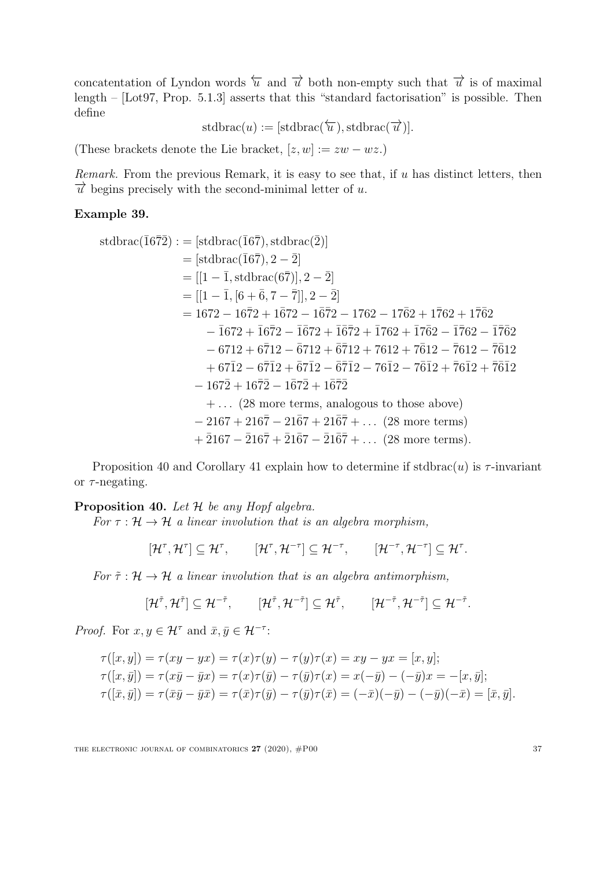concatentation of Lyndon words  $\overleftarrow{u}$  and  $\overrightarrow{u}$  both non-empty such that  $\overrightarrow{u}$  is of maximal length – [\[Lot97,](#page-50-15) Prop. 5.1.3] asserts that this "standard factorisation" is possible. Then define

 $stdbrac(u) := [stdbrac(\overleftarrow{u}), stdbrac(\overrightarrow{u})].$ 

(These brackets denote the Lie bracket,  $[z, w] := zw - wz$ .)

Remark. From the previous Remark, it is easy to see that, if  $u$  has distinct letters, then  $\vec{u}$  begins precisely with the second-minimal letter of u.

#### Example 39.

stdbrac(
$$
\bar{1}6\bar{7}2
$$
) := [stdbrac( $\bar{1}6\bar{7}$ ), stdbrac( $\bar{2}$ )]  
\n= [stdbrac( $\bar{1}6\bar{7}$ ), 2 − 2]  
\n= [[1 −  $\bar{1}$ , stdbrac( $6\bar{7}$ )], 2 − 2]  
\n= [[1 −  $\bar{1}$ , [ $6 + \bar{6}$ , 7 − 7]], 2 − 2]  
\n= 1672 − 1672 + 1672 − 1762 − 1762 + 1762 + 1762  
\n- 1672 + 1672 − 1672 + 1672 + 1762 + 1762 − 1762 − 1762  
\n- 6712 + 6712 − 6712 + 6712 + 7612 + 7612 − 7612 − 7612  
\n+ 6712 − 6712 + 6712 − 6712 − 7612 − 7612 + 7612 + 7612  
\n- 1672 + 1672 − 1672 + 1672  
\n+ ... (28 more terms, analogous to those above)  
\n- 2167 + 2167 − 2167 + 2167 + 2167 + ... (28 more terms)  
\n+ 2167 − 2167 + 2167 − 2167 + ... (28 more terms).

Proposition [40](#page-37-0) and Corollary [41](#page-38-0) explain how to determine if stdbrac(u) is  $\tau$ -invariant or  $\tau$ -negating.

<span id="page-37-0"></span>**Proposition 40.** Let  $H$  be any Hopf algebra.

For  $\tau : \mathcal{H} \to \mathcal{H}$  a linear involution that is an algebra morphism,

 $[\mathcal{H}^\tau, \mathcal{H}^\tau] \subseteq \mathcal{H}^\tau, \qquad [\mathcal{H}^\tau, \mathcal{H}^{-\tau}] \subseteq \mathcal{H}^{-\tau}, \qquad [\mathcal{H}^{-\tau}, \mathcal{H}^{-\tau}] \subseteq \mathcal{H}^\tau.$ 

For  $\tilde{\tau}$ :  $\mathcal{H} \rightarrow \mathcal{H}$  a linear involution that is an algebra antimorphism,

$$
[\mathcal{H}^{\tilde{\tau}}, \mathcal{H}^{\tilde{\tau}}] \subseteq \mathcal{H}^{-\tilde{\tau}}, \qquad [\mathcal{H}^{\tilde{\tau}}, \mathcal{H}^{-\tilde{\tau}}] \subseteq \mathcal{H}^{\tilde{\tau}}, \qquad [\mathcal{H}^{-\tilde{\tau}}, \mathcal{H}^{-\tilde{\tau}}] \subseteq \mathcal{H}^{-\tilde{\tau}}.
$$

*Proof.* For  $x, y \in \mathcal{H}^{\tau}$  and  $\bar{x}, \bar{y} \in \mathcal{H}^{-\tau}$ :

$$
\tau([x, y]) = \tau(xy - yx) = \tau(x)\tau(y) - \tau(y)\tau(x) = xy - yx = [x, y];\n\tau([x, \bar{y}]) = \tau(x\bar{y} - \bar{y}x) = \tau(x)\tau(\bar{y}) - \tau(\bar{y})\tau(x) = x(-\bar{y}) - (-\bar{y})x = -[x, \bar{y}];\n\tau([\bar{x}, \bar{y}]) = \tau(\bar{x}\bar{y} - \bar{y}\bar{x}) = \tau(\bar{x})\tau(\bar{y}) - \tau(\bar{y})\tau(\bar{x}) = (-\bar{x})(-\bar{y}) - (-\bar{y})(-\bar{x}) = [\bar{x}, \bar{y}].
$$

THE ELECTRONIC JOURNAL OF COMBINATORICS  $27 (2020)$ ,  $#P00$  37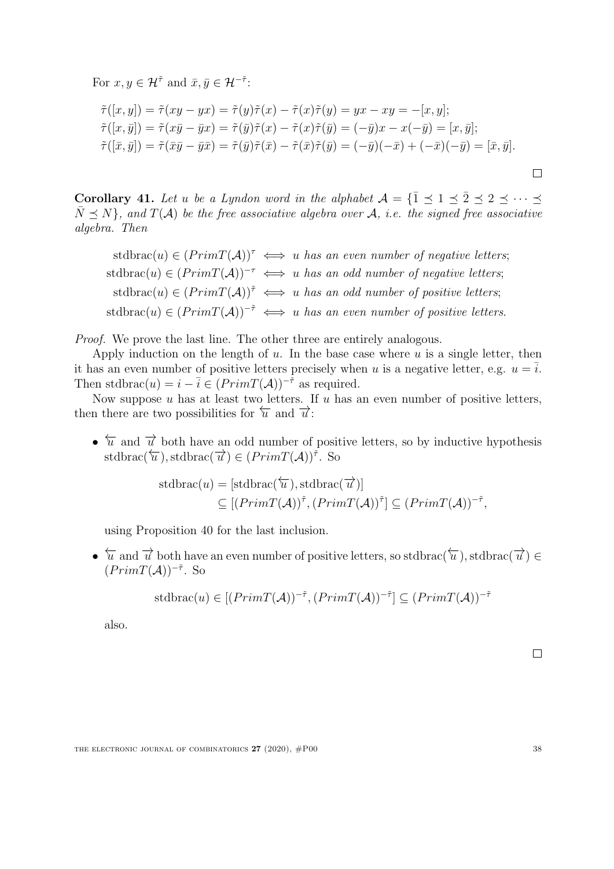For  $x, y \in \mathcal{H}^{\tilde{\tau}}$  and  $\bar{x}, \bar{y} \in \mathcal{H}^{-\tilde{\tau}}$ :

$$
\tilde{\tau}([x, y]) = \tilde{\tau}(xy - yx) = \tilde{\tau}(y)\tilde{\tau}(x) - \tilde{\tau}(x)\tilde{\tau}(y) = yx - xy = -[x, y];
$$
  

$$
\tilde{\tau}([x, \bar{y}]) = \tilde{\tau}(x\bar{y} - \bar{y}x) = \tilde{\tau}(\bar{y})\tilde{\tau}(x) - \tilde{\tau}(x)\tilde{\tau}(\bar{y}) = (-\bar{y})x - x(-\bar{y}) = [x, \bar{y}];
$$
  

$$
\tilde{\tau}([\bar{x}, \bar{y}]) = \tilde{\tau}(\bar{x}\bar{y} - \bar{y}\bar{x}) = \tilde{\tau}(\bar{y})\tilde{\tau}(\bar{x}) - \tilde{\tau}(\bar{x})\tilde{\tau}(\bar{y}) = (-\bar{y})(-\bar{x}) + (-\bar{x})(-\bar{y}) = [\bar{x}, \bar{y}].
$$

<span id="page-38-0"></span>Corollary 41. Let u be a Lyndon word in the alphabet  $A = \{ \overline{1} \prec 1 \prec \overline{2} \prec 2 \prec \cdots \prec$  $\bar{N} \prec N$ , and  $T(A)$  be the free associative algebra over A, i.e. the signed free associative algebra. Then

stdbrac(u)  $\in (PrimT(\mathcal{A}))^{\tau} \iff u$  has an even number of negative letters; stdbrac(u) ∈  $(PrimT(\mathcal{A}))^{-\tau} \iff u$  has an odd number of negative letters; stdbrac(u)  $\in (PrimT(\mathcal{A}))^{\tilde{\tau}} \iff u$  has an odd number of positive letters; stdbrac(u) ∈  $(PrimT(\mathcal{A}))^{-\tilde{\tau}} \iff u$  has an even number of positive letters.

Proof. We prove the last line. The other three are entirely analogous.

Apply induction on the length of  $u$ . In the base case where  $u$  is a single letter, then it has an even number of positive letters precisely when u is a negative letter, e.g.  $u = \overline{i}$ . Then stdbrac(u) =  $i - \overline{i} \in (PrimT(\mathcal{A}))^{-\frac{1}{r}}$  as required.

Now suppose  $u$  has at least two letters. If  $u$  has an even number of positive letters, then there are two possibilities for  $\overleftarrow{u}$  and  $\overrightarrow{u}$ :

•  $\overleftarrow{u}$  and  $\overrightarrow{u}$  both have an odd number of positive letters, so by inductive hypothesis stdbrac( $\overleftrightarrow{u}$ ), stdbrac( $\overrightarrow{u}$ )  $\in (PrimT(\mathcal{A}))^{\overrightarrow{r}}$ . So

stdbrac(
$$
u
$$
) = [stdbrac( $\overline{u}$ ), stdbrac( $\overline{u}$ )]  
 $\subseteq [(PrimT(A))^{\tilde{\tau}}, (PrimT(A))^{\tilde{\tau}}] \subseteq (PrimT(A))^{-\tilde{\tau}},$ 

using Proposition [40](#page-37-0) for the last inclusion.

•  $\overleftarrow{u}$  and  $\overrightarrow{u}$  both have an even number of positive letters, so stdbrac( $\overrightarrow{u}$ ), stdbrac( $\overrightarrow{u}$ ) ∈  $(PrimT(\mathcal{A}))^{-\tilde{\tau}}$ . So

stdbrac(*u*) 
$$
\in [(PrimT(A))^{-\tilde{\tau}}, (PrimT(A))^{-\tilde{\tau}}] \subseteq (PrimT(A))^{-\tilde{\tau}}
$$

also.

 $\Box$ 

 $\Box$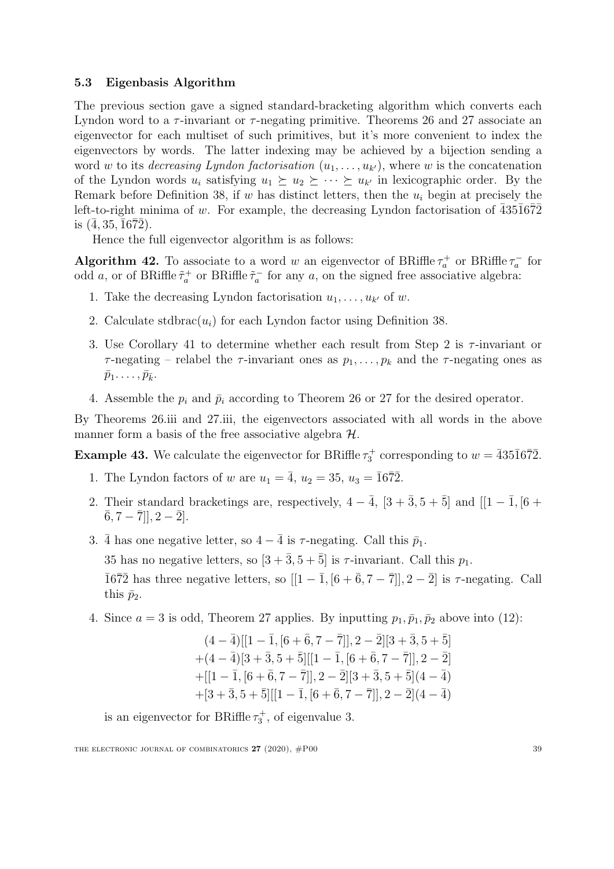#### <span id="page-39-1"></span>5.3 Eigenbasis Algorithm

The previous section gave a signed standard-bracketing algorithm which converts each Lyndon word to a  $\tau$ -invariant or  $\tau$ -negating primitive. Theorems [26](#page-20-0) and [27](#page-20-1) associate an eigenvector for each multiset of such primitives, but it's more convenient to index the eigenvectors by words. The latter indexing may be achieved by a bijection sending a word w to its *decreasing Lyndon factorisation*  $(u_1, \ldots, u_{k'})$ , where w is the concatenation of the Lyndon words  $u_i$  satisfying  $u_1 \succeq u_2 \succeq \cdots \succeq u_{k'}$  in lexicographic order. By the Remark before Definition [38,](#page-36-1) if w has distinct letters, then the  $u_i$  begin at precisely the left-to-right minima of w. For example, the decreasing Lyndon factorisation of  $\overline{4}35\overline{1}6\overline{7}\overline{2}$ is  $(4, 35, 1672)$ .

Hence the full eigenvector algorithm is as follows:

<span id="page-39-2"></span>**Algorithm 42.** To associate to a word w an eigenvector of BRiffle  $\tau_a^+$  or BRiffle  $\tau_a^-$  for odd a, or of BRiffle  $\tilde{\tau}_a^+$  or BRiffle  $\tilde{\tau}_a^-$  for any a, on the signed free associative algebra:

- 1. Take the decreasing Lyndon factorisation  $u_1, \ldots, u_{k'}$  of w.
- 2. Calculate stdbrac $(u_i)$  for each Lyndon factor using Definition [38.](#page-36-1)
- 3. Use Corollary [41](#page-38-0) to determine whether each result from Step 2 is  $\tau$ -invariant or  $\tau$ -negating – relabel the  $\tau$ -invariant ones as  $p_1, \ldots, p_k$  and the  $\tau$ -negating ones as  $\bar{p}_1 \ldots, \bar{p}_{\bar{k}}.$
- 4. Assemble the  $p_i$  and  $\bar{p}_i$  according to Theorem [26](#page-20-0) or [27](#page-20-1) for the desired operator.

By Theorems [26.](#page-20-0)iii and [27.](#page-20-1)iii, the eigenvectors associated with all words in the above manner form a basis of the free associative algebra  $H$ .

<span id="page-39-0"></span>**Example 43.** We calculate the eigenvector for BRiffle  $\tau_3^+$  corresponding to  $w = \overline{4351672}$ .

- 1. The Lyndon factors of w are  $u_1 = \overline{4}$ ,  $u_2 = 35$ ,  $u_3 = \overline{1672}$ .
- 2. Their standard bracketings are, respectively,  $4 \overline{4}$ ,  $[3 + \overline{3}, 5 + \overline{5}]$  and  $[1 \overline{1}, [6 +$  $\overline{6}, 7 - \overline{7}$ ],  $2 - \overline{2}$ ].
- 3.  $\bar{4}$  has one negative letter, so  $4 \bar{4}$  is  $\tau$ -negating. Call this  $\bar{p}_1$ . 35 has no negative letters, so  $[3 + \overline{3}, 5 + \overline{5}]$  is  $\tau$ -invariant. Call this  $p_1$ .  $\overline{1672}$  has three negative letters, so  $[[1 - \overline{1}, [6 + \overline{6}, 7 - \overline{7}]], 2 - \overline{2}]$  is  $\tau$ -negating. Call this  $\bar{p}_2$ .
- 4. Since  $a = 3$  is odd, Theorem [27](#page-20-1) applies. By inputting  $p_1, \bar{p}_1, \bar{p}_2$  above into [\(12\)](#page-21-2):

$$
\begin{aligned} &(4-\bar{4})[[1-\bar{1},[6+\bar{6},7-\bar{7}]],2-\bar{2}][3+\bar{3},5+\bar{5}]\\ &+(4-\bar{4})[3+\bar{3},5+\bar{5}][[1-\bar{1},[6+\bar{6},7-\bar{7}]],2-\bar{2}]\\ &+[[1-\bar{1},[6+\bar{6},7-\bar{7}]],2-\bar{2}][3+\bar{3},5+\bar{5}](4-\bar{4})\\ &+[3+\bar{3},5+\bar{5}][[1-\bar{1},[6+\bar{6},7-\bar{7}]],2-\bar{2}](4-\bar{4}) \end{aligned}
$$

is an eigenvector for BRiffle  $\tau_3^+$ , of eigenvalue 3.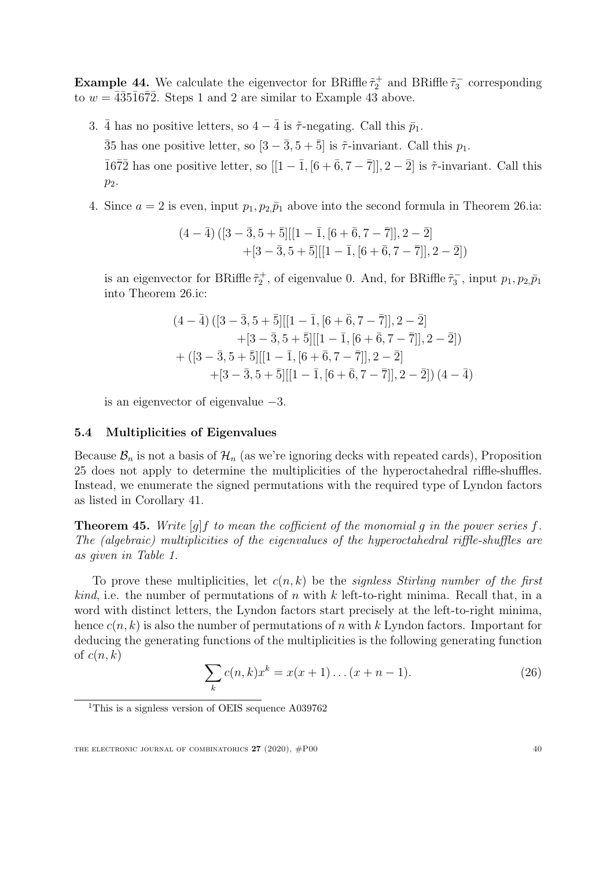**Example 44.** We calculate the eigenvector for BRiffle  $\tilde{\tau}_2^+$  and BRiffle  $\tilde{\tau}_3^-$  corresponding to  $w = \overline{4}35\overline{1}6\overline{7}2$ . Steps 1 and 2 are similar to Example [43](#page-39-0) above.

- 3.  $\bar{4}$  has no positive letters, so  $4 \bar{4}$  is  $\tilde{\tau}$ -negating. Call this  $\bar{p}_1$ .  $\overline{3}5$  has one positive letter, so  $[3-\overline{3},5+\overline{5}]$  is  $\tilde{\tau}$ -invariant. Call this  $p_1$ .  $\overline{1672}$  has one positive letter, so  $[[1-\overline{1}, [6+\overline{6}, 7-\overline{7}]], 2-\overline{2}]$  is  $\tilde{\tau}$ -invariant. Call this  $p_2$ .
- 4. Since  $a = 2$  is even, input  $p_1, p_2, \bar{p}_1$  above into the second formula in Theorem [26.](#page-20-0)ia:

$$
\begin{aligned} (4-\bar{4})\left([3-\bar{3},5+\bar{5}][[1-\bar{1},[6+\bar{6},7-\bar{7}]],2-\bar{2}]\right.\\+\left[3-\bar{3},5+\bar{5}][[1-\bar{1},[6+\bar{6},7-\bar{7}]],2-\bar{2}]\right) \end{aligned}
$$

is an eigenvector for BRiffle  $\tilde{\tau}_2^+$ , of eigenvalue 0. And, for BRiffle  $\tilde{\tau}_3^-$ , input  $p_1, p_2, \bar{p}_1$ into Theorem [26.](#page-20-0)ic:

$$
(4 - \bar{4}) ([3 - \bar{3}, 5 + \bar{5}][[1 - \bar{1}, [6 + \bar{6}, 7 - \bar{7}]], 2 - \bar{2}] + [3 - \bar{3}, 5 + \bar{5}][[1 - \bar{1}, [6 + \bar{6}, 7 - \bar{7}]], 2 - \bar{2}]) + ([3 - \bar{3}, 5 + \bar{5}][[1 - \bar{1}, [6 + \bar{6}, 7 - \bar{7}]], 2 - \bar{2}] + [3 - \bar{3}, 5 + \bar{5}][[1 - \bar{1}, [6 + \bar{6}, 7 - \bar{7}]], 2 - \bar{2}]) (4 - \bar{4})
$$

is an eigenvector of eigenvalue −3.

#### <span id="page-40-0"></span>5.4 Multiplicities of Eigenvalues

Because  $\mathcal{B}_n$  is not a basis of  $\mathcal{H}_n$  (as we're ignoring decks with repeated cards), Proposition [25](#page-18-1) does not apply to determine the multiplicities of the hyperoctahedral riffle-shuffles. Instead, we enumerate the signed permutations with the required type of Lyndon factors as listed in Corollary [41.](#page-38-0)

<span id="page-40-2"></span>**Theorem 45.** Write  $[q]$  f to mean the cofficient of the monomial q in the power series f. The (algebraic) multiplicities of the eigenvalues of the hyperoctahedral riffle-shuffles are as given in Table [1.](#page-41-0)

To prove these multiplicities, let  $c(n, k)$  be the signless Stirling number of the first *kind*, i.e. the number of permutations of n with k left-to-right minima. Recall that, in a word with distinct letters, the Lyndon factors start precisely at the left-to-right minima, hence  $c(n, k)$  is also the number of permutations of n with k Lyndon factors. Important for deducing the generating functions of the multiplicities is the following generating function of  $c(n, k)$ 

$$
\sum_{k} c(n,k)x^{k} = x(x+1)\dots(x+n-1).
$$
 (26)

<span id="page-40-1"></span><sup>&</sup>lt;sup>1</sup>This is a signless version of OEIS sequence A039762

THE ELECTRONIC JOURNAL OF COMBINATORICS  $27(2020)$ ,  $\#P00$  40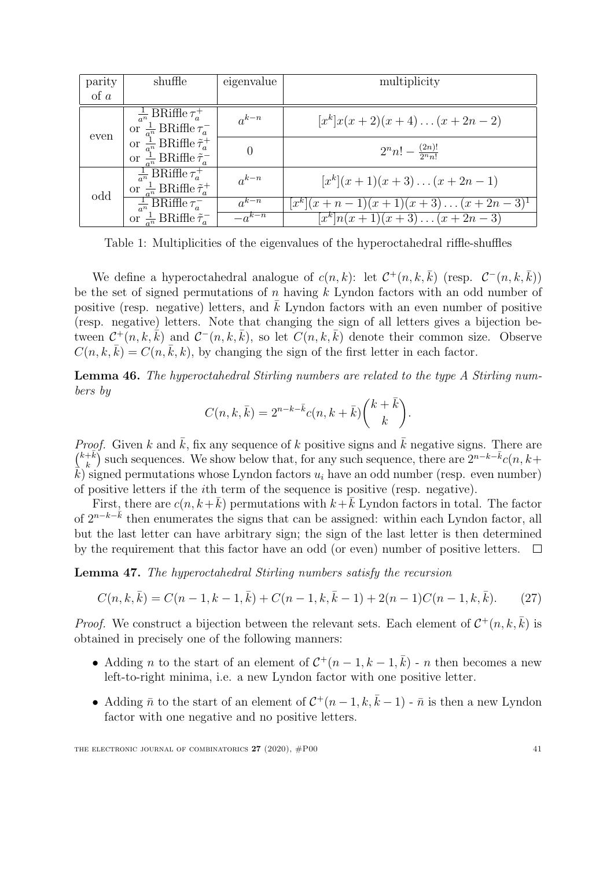| parity   | shuffle                                                                                        | eigenvalue | multiplicity                       |
|----------|------------------------------------------------------------------------------------------------|------------|------------------------------------|
| $\alpha$ |                                                                                                |            |                                    |
| even     | $\frac{1}{a^n}$ BRiffle $\tau_a^+$<br>or $\frac{1}{a^n}$ BRiffle $\tau_a^-$                    | $a^{k-n}$  | $[xk]x(x+2)(x+4)(x+2n-2)$          |
|          | or $\frac{1}{a^n}$ BRiffle $\tilde{\tau}_a^+$<br>or $\frac{1}{a^n}$ BRiffle $\tilde{\tau}_a^-$ |            | $2^{n}n! - \frac{(2n)!}{2^{n}n!}$  |
| odd      | $\frac{1}{a^n}$ BRiffle $\tau_a^+$<br>or $\frac{1}{a^n}$ BRiffle $\tilde{\tau}_a^+$            | $a^{k-n}$  | $[x^k](x+1)(x+3)(x+2n-1)$          |
|          | $\frac{1}{a^n}$ BRiffle $\tau_a^-$                                                             | $a^{k-n}$  | $[x^k](x+n-1)(x+1)(x+3)(x+2n-3)^k$ |
|          | or $\frac{1}{a^n}$ BRiffle $\tilde{\tau}_a^-$                                                  | $-a^{k-n}$ | $[x^k]n(x+1)(x+3)(x+2n-3)$         |

<span id="page-41-0"></span>Table 1: Multiplicities of the eigenvalues of the hyperoctahedral riffle-shuffles

We define a hyperoctahedral analogue of  $c(n, k)$ : let  $\mathcal{C}^+(n, k, \overline{k})$  (resp.  $\mathcal{C}^-(n, k, \overline{k})$ ) be the set of signed permutations of  $n$  having  $k$  Lyndon factors with an odd number of positive (resp. negative) letters, and  $k$  Lyndon factors with an even number of positive (resp. negative) letters. Note that changing the sign of all letters gives a bijection between  $\mathcal{C}^+(n,k,\bar{k})$  and  $\mathcal{C}^-(n,k,\bar{k})$ , so let  $C(n,k,\bar{k})$  denote their common size. Observe  $C(n, k, \overline{k}) = C(n, \overline{k}, k)$ , by changing the sign of the first letter in each factor.

<span id="page-41-1"></span>Lemma 46. The hyperoctahedral Stirling numbers are related to the type A Stirling numbers by

<span id="page-41-2"></span>
$$
C(n,k,\bar{k}) = 2^{n-k-\bar{k}}c(n,k+\bar{k})\binom{k+\bar{k}}{k}.
$$

*Proof.* Given k and  $\bar{k}$ , fix any sequence of k positive signs and  $\bar{k}$  negative signs. There are  $\binom{k+\bar{k}}{k}$  $(k_k^{k})$  such sequences. We show below that, for any such sequence, there are  $2^{n-k-\bar{k}}c(n, k+\bar{k})$  $\vec{k}$ ) signed permutations whose Lyndon factors  $u_i$  have an odd number (resp. even number) of positive letters if the ith term of the sequence is positive (resp. negative).

First, there are  $c(n, k+\overline{k})$  permutations with  $k+\overline{k}$  Lyndon factors in total. The factor of  $2^{n-k-\tilde{k}}$  then enumerates the signs that can be assigned: within each Lyndon factor, all but the last letter can have arbitrary sign; the sign of the last letter is then determined by the requirement that this factor have an odd (or even) number of positive letters.  $\Box$ 

Lemma 47. The hyperoctahedral Stirling numbers satisfy the recursion

$$
C(n,k,\bar{k}) = C(n-1,k-1,\bar{k}) + C(n-1,k,\bar{k}-1) + 2(n-1)C(n-1,k,\bar{k}).
$$
 (27)

*Proof.* We construct a bijection between the relevant sets. Each element of  $C^+(n, k, \bar{k})$  is obtained in precisely one of the following manners:

- Adding *n* to the start of an element of  $C^+(n-1,k-1,\bar{k})$  *n* then becomes a new left-to-right minima, i.e. a new Lyndon factor with one positive letter.
- Adding  $\bar{n}$  to the start of an element of  $\mathcal{C}^+(n-1,k,\bar{k}-1)$   $\bar{n}$  is then a new Lyndon factor with one negative and no positive letters.

THE ELECTRONIC JOURNAL OF COMBINATORICS  $27$  (2020),  $\#P00$  41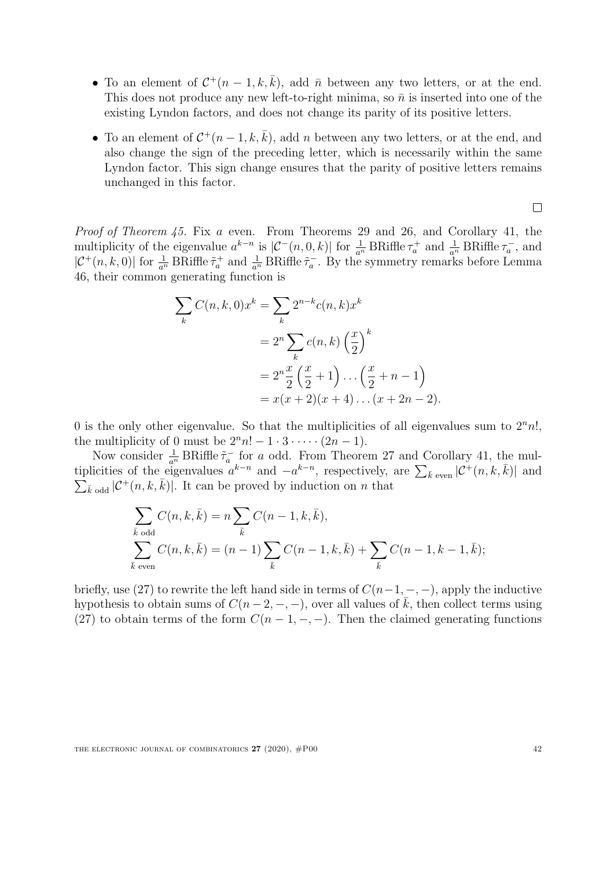- To an element of  $\mathcal{C}^+(n-1,k,\bar{k})$ , add  $\bar{n}$  between any two letters, or at the end. This does not produce any new left-to-right minima, so  $\bar{n}$  is inserted into one of the existing Lyndon factors, and does not change its parity of its positive letters.
- To an element of  $\mathcal{C}^+(n-1,k,\bar{k})$ , add n between any two letters, or at the end, and also change the sign of the preceding letter, which is necessarily within the same Lyndon factor. This sign change ensures that the parity of positive letters remains unchanged in this factor.

 $\Box$ 

Proof of Theorem [45.](#page-40-2) Fix a even. From Theorems [29](#page-21-0) and [26,](#page-20-0) and Corollary [41,](#page-38-0) the multiplicity of the eigenvalue  $a^{k-n}$  is  $|\mathcal{C}^-(n,0,k)|$  for  $\frac{1}{a^n}$  BRiffle  $\tau_a^+$  and  $\frac{1}{a^n}$  BRiffle  $\tau_a^-$ , and  $|\mathcal{C}^+(n,k,0)|$  for  $\frac{1}{a^n}$  BRiffle  $\tilde{\tau}_a^+$  and  $\frac{1}{a^n}$  BRiffle  $\tilde{\tau}_a^-$ . By the symmetry remarks before Lemma [46,](#page-41-1) their common generating function is

$$
\sum_{k} C(n, k, 0)x^{k} = \sum_{k} 2^{n-k} c(n, k)x^{k}
$$
  
=  $2^{n} \sum_{k} c(n, k) \left(\frac{x}{2}\right)^{k}$   
=  $2^{n} \frac{x}{2} \left(\frac{x}{2} + 1\right) \dots \left(\frac{x}{2} + n - 1\right)$   
=  $x(x + 2)(x + 4) \dots (x + 2n - 2).$ 

0 is the only other eigenvalue. So that the multiplicities of all eigenvalues sum to  $2<sup>n</sup>n!$ , the multiplicity of 0 must be  $2^n n! - 1 \cdot 3 \cdot \cdots \cdot (2n - 1)$ .

Now consider  $\frac{1}{a^n}$  BRiffle  $\tilde{\tau}_a^-$  for a odd. From Theorem [27](#page-20-1) and Corollary [41,](#page-38-0) the multiplicities of the eigenvalues  $a^{k-n}$  and  $-a^{k-n}$ , respectively, are  $\sum_{\bar{k} \text{ even}} |\mathcal{C}^+(n, k, \bar{k})|$  and  $\sum_{\bar{k} \text{ odd}} |\mathcal{C}^+(n, k, \bar{k})|$ . It can be proved by induction on *n* that  $\sum_{\bar{k} \text{ odd}} |C^+(n, k, \bar{k})|$ . It can be proved by induction on n that

$$
\sum_{\bar{k} \text{ odd}} C(n, k, \bar{k}) = n \sum_{\bar{k}} C(n - 1, k, \bar{k}),
$$
\n
$$
\sum_{\bar{k} \text{ even}} C(n, k, \bar{k}) = (n - 1) \sum_{\bar{k}} C(n - 1, k, \bar{k}) + \sum_{\bar{k}} C(n - 1, k - 1, \bar{k});
$$

briefly, use [\(27\)](#page-41-2) to rewrite the left hand side in terms of  $C(n-1, -, -)$ , apply the inductive hypothesis to obtain sums of  $C(n-2,-,-)$ , over all values of  $\overline{k}$ , then collect terms using [\(27\)](#page-41-2) to obtain terms of the form  $C(n-1,-,-)$ . Then the claimed generating functions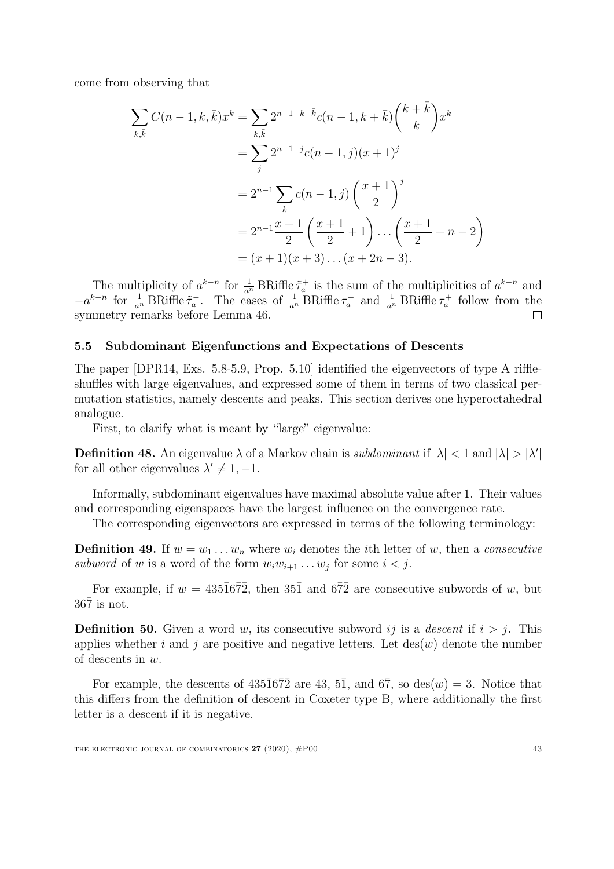come from observing that

$$
\sum_{k,\bar{k}} C(n-1,k,\bar{k})x^k = \sum_{k,\bar{k}} 2^{n-1-k-\bar{k}}c(n-1,k+\bar{k})\binom{k+\bar{k}}{k}x^k
$$

$$
= \sum_j 2^{n-1-j}c(n-1,j)(x+1)^j
$$

$$
= 2^{n-1}\sum_k c(n-1,j)\left(\frac{x+1}{2}\right)^j
$$

$$
= 2^{n-1}\frac{x+1}{2}\left(\frac{x+1}{2}+1\right)\dots\left(\frac{x+1}{2}+n-2\right)
$$

$$
= (x+1)(x+3)\dots(x+2n-3).
$$

The multiplicity of  $a^{k-n}$  for  $\frac{1}{a^n}$  BRiffle  $\tilde{\tau}_a^+$  is the sum of the multiplicities of  $a^{k-n}$  and  $-a^{k-n}$  for  $\frac{1}{a^n}$  BRiffle  $\tilde{\tau}_a^-$ . The cases of  $\frac{1}{a^n}$  BRiffle  $\tau_a^-$  and  $\frac{1}{a^n}$  BRiffle  $\tau_a^+$  follow from the symmetry remarks before Lemma [46.](#page-41-1)

#### <span id="page-43-1"></span>5.5 Subdominant Eigenfunctions and Expectations of Descents

The paper [\[DPR14,](#page-50-3) Exs. 5.8-5.9, Prop. 5.10] identified the eigenvectors of type A riffleshuffles with large eigenvalues, and expressed some of them in terms of two classical permutation statistics, namely descents and peaks. This section derives one hyperoctahedral analogue.

First, to clarify what is meant by "large" eigenvalue:

**Definition 48.** An eigenvalue  $\lambda$  of a Markov chain is *subdominant* if  $|\lambda| < 1$  and  $|\lambda| > |\lambda'|$ for all other eigenvalues  $\lambda' \neq 1, -1$ .

Informally, subdominant eigenvalues have maximal absolute value after 1. Their values and corresponding eigenspaces have the largest influence on the convergence rate.

The corresponding eigenvectors are expressed in terms of the following terminology:

**Definition 49.** If  $w = w_1 \dots w_n$  where  $w_i$  denotes the *i*th letter of w, then a *consecutive* subword of w is a word of the form  $w_i w_{i+1} \dots w_j$  for some  $i < j$ .

For example, if  $w = 435\overline{1}6\overline{7}2$ , then  $35\overline{1}$  and  $6\overline{7}2$  are consecutive subwords of w, but  $36\overline{7}$  is not.

<span id="page-43-0"></span>**Definition 50.** Given a word w, its consecutive subword ij is a descent if  $i > j$ . This applies whether i and j are positive and negative letters. Let  $\text{des}(w)$  denote the number of descents in w.

For example, the descents of  $435\overline{1}6\overline{7}2$  are 43, 5<sup>1</sup>, and  $6\overline{7}$ , so des(w) = 3. Notice that this differs from the definition of descent in Coxeter type B, where additionally the first letter is a descent if it is negative.

THE ELECTRONIC JOURNAL OF COMBINATORICS  $27 (2020)$ ,  $\#P00$  43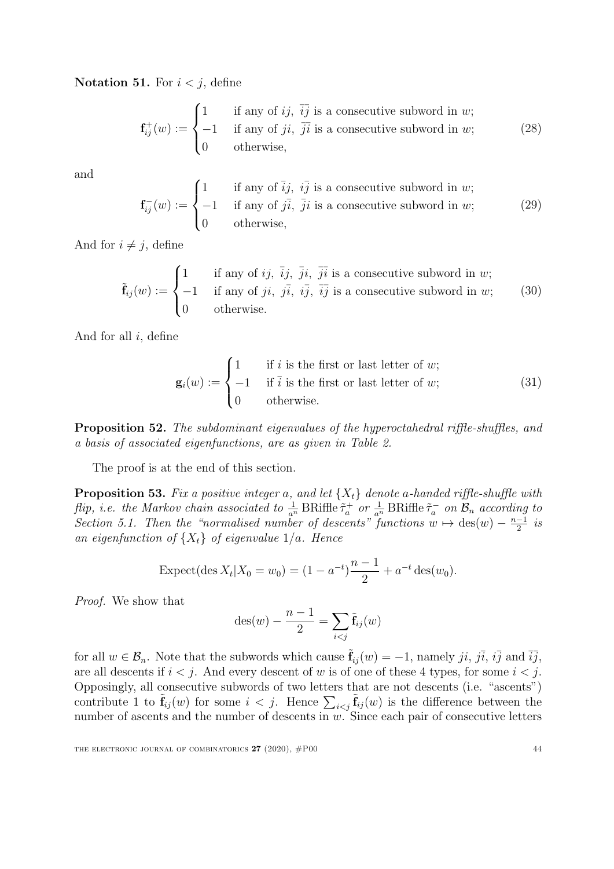Notation 51. For  $i < j$ , define

$$
\mathbf{f}_{ij}^+(w) := \begin{cases} 1 & \text{if any of } ij, \ \overline{ij} \text{ is a consecutive subword in } w; \\ -1 & \text{if any of } ji, \ \overline{ji} \text{ is a consecutive subword in } w; \\ 0 & \text{otherwise,} \end{cases}
$$
(28)

and

$$
\mathbf{f}_{ij}^-(w) := \begin{cases} 1 & \text{if any of } i j, i j \text{ is a consecutive subword in } w; \\ -1 & \text{if any of } j i, j i \text{ is a consecutive subword in } w; \\ 0 & \text{otherwise,} \end{cases}
$$
(29)

And for  $i \neq j$ , define

$$
\tilde{\mathbf{f}}_{ij}(w) := \begin{cases}\n1 & \text{if any of } ij, \ \overline{j}j, \ \overline{j}i, \ \overline{j}i \text{ is a consecutive subword in } w; \\
-1 & \text{if any of } ji, \ j\overline{i}, \ i\overline{j}, \ \overline{i}j \text{ is a consecutive subword in } w; \\
0 & \text{otherwise.}\n\end{cases}
$$
\n(30)

And for all  $i$ , define

$$
\mathbf{g}_i(w) := \begin{cases} 1 & \text{if } i \text{ is the first or last letter of } w; \\ -1 & \text{if } \overline{i} \text{ is the first or last letter of } w; \\ 0 & \text{otherwise.} \end{cases}
$$
(31)

<span id="page-44-1"></span>Proposition 52. The subdominant eigenvalues of the hyperoctahedral riffle-shuffles, and a basis of associated eigenfunctions, are as given in Table [2.](#page-45-0)

The proof is at the end of this section.

<span id="page-44-0"></span>**Proposition 53.** Fix a positive integer a, and let  $\{X_t\}$  denote a-handed riffle-shuffle with flip, i.e. the Markov chain associated to  $\frac{1}{a^n}$  BRiffle  $\tilde{\tau}_a^+$  or  $\frac{1}{a^n}$  BRiffle  $\tilde{\tau}_a^-$  on  $\mathcal{B}_n$  according to Section [5.1.](#page-35-2) Then the "normalised number of descents" functions  $w \mapsto \text{des}(w) - \frac{n-1}{2}$  $\frac{-1}{2}$  is an eigenfunction of  $\{X_t\}$  of eigenvalue  $1/a$ . Hence

$$
\text{Expected}(\text{des } X_t | X_0 = w_0) = (1 - a^{-t}) \frac{n-1}{2} + a^{-t} \text{ des}(w_0).
$$

Proof. We show that

$$
\operatorname{des}(w) - \frac{n-1}{2} = \sum_{i < j} \tilde{\mathbf{f}}_{ij}(w)
$$

for all  $w \in \mathcal{B}_n$ . Note that the subwords which cause  $\hat{\mathbf{f}}_{ij}(w) = -1$ , namely ji, ji, ij and  $\overline{ij}$ , are all descents if  $i < j$ . And every descent of w is of one of these 4 types, for some  $i < j$ . Opposingly, all consecutive subwords of two letters that are not descents (i.e. "ascents") contribute 1 to  $\tilde{\mathbf{f}}_{ij}(w)$  for some  $i < j$ . Hence  $\sum_{i < j} \tilde{\mathbf{f}}_{ij}(w)$  is the difference between the number of ascents and the number of descents in  $w$ . Since each pair of consecutive letters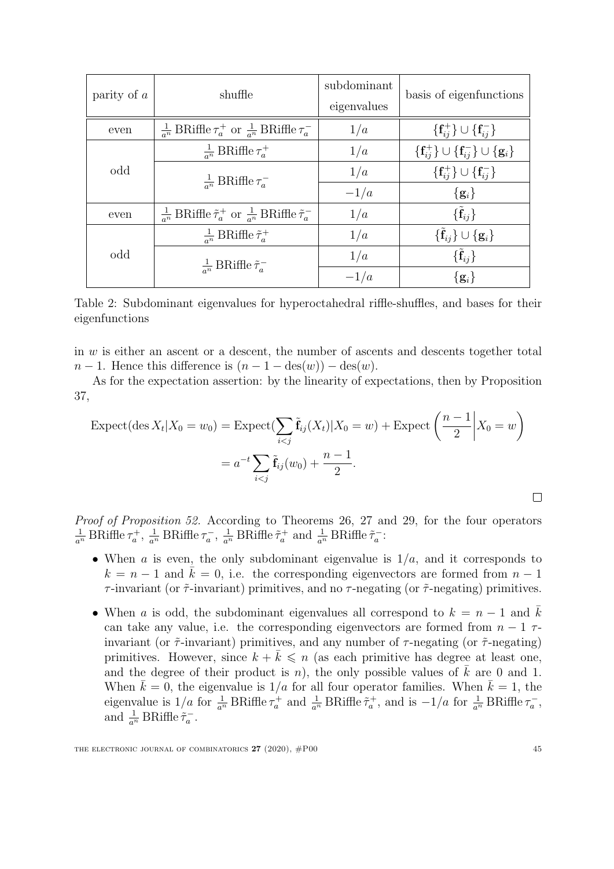| parity of $a$ | shuffle                                                                                  | subdominant<br>eigenvalues | basis of eigenfunctions                                                  |  |
|---------------|------------------------------------------------------------------------------------------|----------------------------|--------------------------------------------------------------------------|--|
| even          | $\frac{1}{a^n}$ BRiffle $\tau_a^+$ or $\frac{1}{a^n}$ BRiffle $\tau_a^-$                 | 1/a                        | $\{\mathbf{f}_{ij}^{+}\}\cup\{\mathbf{f}_{ij}^{-}\}\$                    |  |
|               | $\frac{1}{a^n}$ BRiffle $\tau_a^+$                                                       | 1/a                        | $\{\mathbf{f}_{ij}^{+}\}\cup\{\mathbf{f}_{ij}^{-}\}\cup\{\mathbf{g}_i\}$ |  |
| odd           | $\frac{1}{a^n}$ BRiffle $\tau_a^-$                                                       | 1/a                        | $\{f_{ij}^+\}\cup\{f_{ij}^-\}$                                           |  |
|               |                                                                                          | $-1/a$                     | $\{g_i\}$                                                                |  |
| even          | $\frac{1}{a^n}$ BRiffle $\tilde{\tau}_a^+$ or $\frac{1}{a^n}$ BRiffle $\tilde{\tau}_a^-$ | 1/a                        | $\{\hat{\mathbf{f}}_{ij}\}\$                                             |  |
|               | $\frac{1}{a^n}$ BRiffle $\tilde{\tau}_a^+$                                               | 1/a                        | $\{\tilde{\mathbf{f}}_{ij}\}\cup\{\mathbf{g}_i\}$                        |  |
| odd           | $\frac{1}{a^n}$ BRiffle $\tilde{\tau}_a^-$                                               | 1/a                        | $\{\tilde{\mathbf{f}}_{ij}\}\$                                           |  |
|               |                                                                                          | $-1/a$                     | $\{g_i\}$                                                                |  |

<span id="page-45-0"></span>Table 2: Subdominant eigenvalues for hyperoctahedral riffle-shuffles, and bases for their eigenfunctions

in  $w$  is either an ascent or a descent, the number of ascents and descents together total  $n-1$ . Hence this difference is  $(n-1-\deg(w)) - \deg(w)$ .

As for the expectation assertion: by the linearity of expectations, then by Proposition [37,](#page-36-2)

$$
\text{Expected}(\text{des } X_t | X_0 = w_0) = \text{Expected}(\sum_{i < j} \tilde{\mathbf{f}}_{ij}(X_t) | X_0 = w) + \text{Expected} \left( \frac{n-1}{2} \middle| X_0 = w \right)
$$
\n
$$
= a^{-t} \sum_{i < j} \tilde{\mathbf{f}}_{ij}(w_0) + \frac{n-1}{2}.
$$

Proof of Proposition [52.](#page-44-1) According to Theorems [26,](#page-20-0) [27](#page-20-1) and [29,](#page-21-0) for the four operators  $\frac{1}{a^n}$  BRiffle  $\tau_a^+$ ,  $\frac{1}{a^n}$  BRiffle  $\tau_a^-$ ,  $\frac{1}{a^n}$  BRiffle  $\tilde{\tau}_a^+$  and  $\frac{1}{a^n}$  BRiffle  $\tilde{\tau}_a^-$ :

- When a is even, the only subdominant eigenvalue is  $1/a$ , and it corresponds to  $k = n - 1$  and  $k = 0$ , i.e. the corresponding eigenvectors are formed from  $n - 1$  $\tau$ -invariant (or  $\tilde{\tau}$ -invariant) primitives, and no  $\tau$ -negating (or  $\tilde{\tau}$ -negating) primitives.
- When a is odd, the subdominant eigenvalues all correspond to  $k = n 1$  and k can take any value, i.e. the corresponding eigenvectors are formed from  $n-1$   $\tau$ invariant (or  $\tilde{\tau}$ -invariant) primitives, and any number of  $\tau$ -negating (or  $\tilde{\tau}$ -negating) primitives. However, since  $k + \overline{k} \leq n$  (as each primitive has degree at least one, and the degree of their product is n), the only possible values of  $\overline{k}$  are 0 and 1. When  $\bar{k} = 0$ , the eigenvalue is  $1/a$  for all four operator families. When  $\bar{k} = 1$ , the eigenvalue is  $1/a$  for  $\frac{1}{a^n}$  BRiffle  $\tau_a^+$  and  $\frac{1}{a^n}$  BRiffle  $\tilde{\tau}_a^+$ , and is  $-1/a$  for  $\frac{1}{a^n}$  BRiffle  $\tau_a^-$ , and  $\frac{1}{a^n}$  BRiffle  $\tilde{\tau}_a^-$ .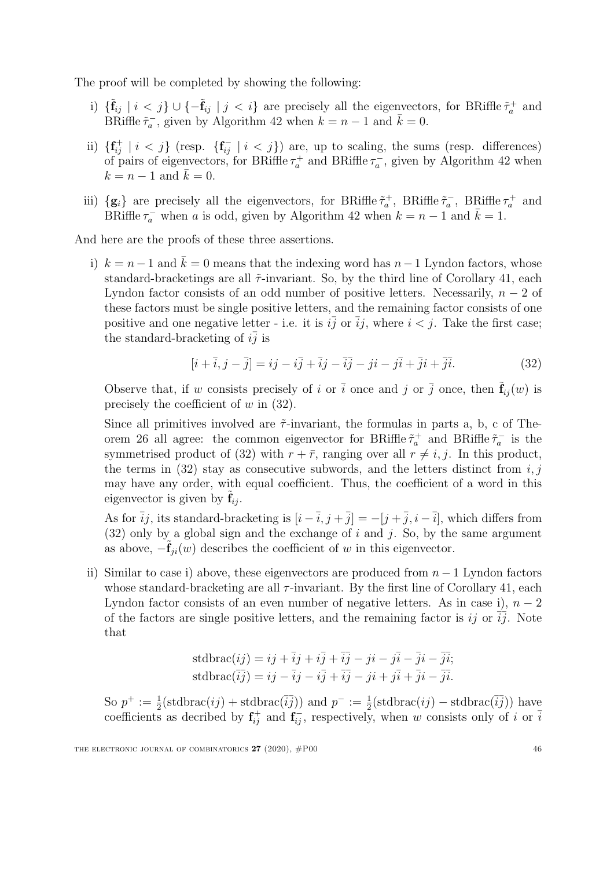The proof will be completed by showing the following:

- i)  $\{\tilde{\mathbf{f}}_{ij} \mid i < j\} \cup \{-\tilde{\mathbf{f}}_{ij} \mid j < i\}$  are precisely all the eigenvectors, for BRiffle  $\tilde{\tau}_a^+$  and BRiffle  $\tilde{\tau}_a^-$ , given by Algorithm [42](#page-39-2) when  $k = n - 1$  and  $\bar{k} = 0$ .
- ii)  $\{f_{ij}^+ \mid i < j\}$  (resp.  $\{f_{ij}^- \mid i < j\}$ ) are, up to scaling, the sums (resp. differences) of pairs of eigenvectors, for BRiffle  $\tau_a^+$  and BRiffle  $\tau_a^-$ , given by Algorithm [42](#page-39-2) when  $k = n - 1$  and  $k = 0$ .
- iii)  $\{g_i\}$  are precisely all the eigenvectors, for BRiffle  $\tilde{\tau}_a^+$ , BRiffle  $\tilde{\tau}_a^-$ , BRiffle  $\tau_a^+$  and BRiffle  $\tau_a^-$  when a is odd, given by Algorithm [42](#page-39-2) when  $k = n - 1$  and  $\bar{k} = 1$ .

And here are the proofs of these three assertions.

i)  $k = n-1$  and  $\bar{k} = 0$  means that the indexing word has  $n-1$  Lyndon factors, whose standard-bracketings are all  $\tilde{\tau}$ -invariant. So, by the third line of Corollary [41,](#page-38-0) each Lyndon factor consists of an odd number of positive letters. Necessarily,  $n-2$  of these factors must be single positive letters, and the remaining factor consists of one positive and one negative letter - i.e. it is  $i\overline{j}$  or  $\overline{i}j$ , where  $i < j$ . Take the first case; the standard-bracketing of  $i\bar{j}$  is

<span id="page-46-0"></span>
$$
[\dot{i} + \overline{i}, \dot{j} - \overline{j}] = i\dot{j} - i\overline{j} + \overline{i}j - \overline{i}\overline{j} - j\dot{i} - j\overline{i} + \overline{j}i + \overline{j}\overline{i}.
$$
 (32)

Observe that, if w consists precisely of i or  $\bar{i}$  once and j or  $\bar{j}$  once, then  $\tilde{f}_{ij}(w)$  is precisely the coefficient of  $w$  in  $(32)$ .

Since all primitives involved are  $\tilde{\tau}$ -invariant, the formulas in parts a, b, c of The-orem [26](#page-20-0) all agree: the common eigenvector for BRiffle  $\tilde{\tau}_a^+$  and BRiffle  $\tilde{\tau}_a^-$  is the symmetrised product of [\(32\)](#page-46-0) with  $r + \bar{r}$ , ranging over all  $r \neq i, j$ . In this product, the terms in  $(32)$  stay as consecutive subwords, and the letters distinct from i, j may have any order, with equal coefficient. Thus, the coefficient of a word in this eigenvector is given by  $f_{ij}$ .

As for  $\overline{i}j$ , its standard-bracketing is  $[i - \overline{i}, j + \overline{j}] = -[j + \overline{j}, i - \overline{i}]$ , which differs from  $(32)$  only by a global sign and the exchange of i and j. So, by the same argument as above,  $-\mathbf{f}_{ii}(w)$  describes the coefficient of w in this eigenvector.

ii) Similar to case i) above, these eigenvectors are produced from  $n-1$  Lyndon factors whose standard-bracketing are all  $\tau$ -invariant. By the first line of Corollary [41,](#page-38-0) each Lyndon factor consists of an even number of negative letters. As in case i),  $n-2$ of the factors are single positive letters, and the remaining factor is ij or  $\overline{ij}$ . Note that

stdbrac(
$$
ij
$$
) =  $ij + \overline{i}j + i\overline{j} + \overline{i}j - ji - j\overline{i} - \overline{j}i - \overline{j}i$ ;  
stdbrac( $\overline{i}j$ ) =  $ij - \overline{i}j - i\overline{j} + \overline{i}j - ji + j\overline{i} + \overline{j}i - \overline{j}i$ .

So  $p^+ := \frac{1}{2}(\text{stdbrac}(ij) + \text{stdbrac}(\overline{ij}))$  and  $p^- := \frac{1}{2}(\text{stdbrac}(ij) - \text{stdbrac}(\overline{ij}))$  have coefficients as decribed by  $f_{ij}^+$  and  $f_{ij}^-$ , respectively, when w consists only of i or  $\overline{i}$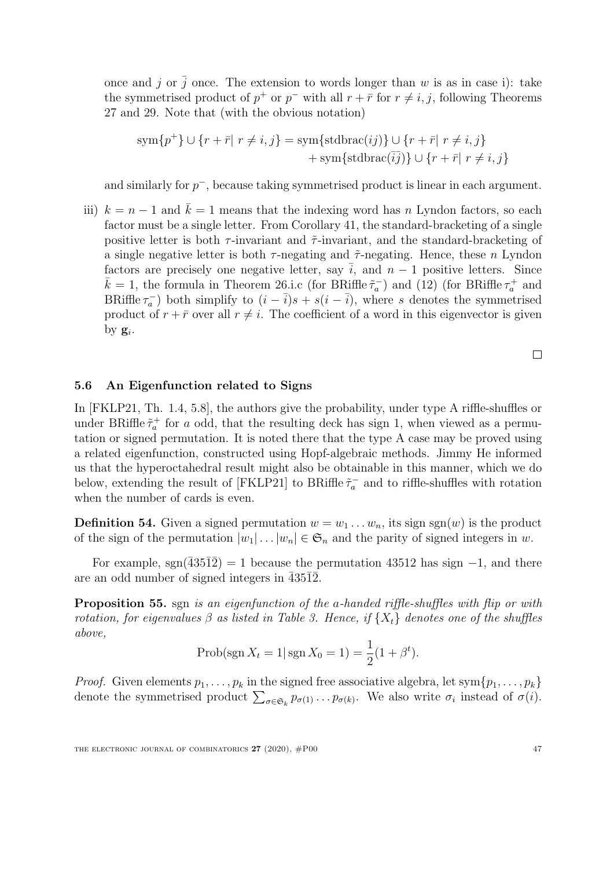once and j or  $\bar{j}$  once. The extension to words longer than w is as in case i): take the symmetrised product of  $p^+$  or  $p^-$  with all  $r + \bar{r}$  for  $r \neq i, j$ , following Theorems [27](#page-20-1) and [29.](#page-21-0) Note that (with the obvious notation)

$$
sym\{p^+\} \cup \{r + \bar{r} | r \neq i, j\} = sym\{stdbrace(ij)\} \cup \{r + \bar{r} | r \neq i, j\}
$$

$$
+ sym\{stdbrace(ij)\} \cup \{r + \bar{r} | r \neq i, j\}
$$

and similarly for  $p^-$ , because taking symmetrised product is linear in each argument.

iii)  $k = n - 1$  and  $k = 1$  means that the indexing word has n Lyndon factors, so each factor must be a single letter. From Corollary [41,](#page-38-0) the standard-bracketing of a single positive letter is both  $\tau$ -invariant and  $\tilde{\tau}$ -invariant, and the standard-bracketing of a single negative letter is both  $\tau$ -negating and  $\tilde{\tau}$ -negating. Hence, these n Lyndon factors are precisely one negative letter, say  $\overline{i}$ , and  $n-1$  positive letters. Since  $\bar{k} = 1$ , the formula in Theorem [26.](#page-20-0)i.c (for BRiffle  $\tilde{\tau}_a^-$ ) and [\(12\)](#page-21-2) (for BRiffle  $\tau_a^+$  and BRiffle  $\tau_a^-$ ) both simplify to  $(i - \overline{i})s + s(i - \overline{i})$ , where s denotes the symmetrised product of  $r + \bar{r}$  over all  $r \neq i$ . The coefficient of a word in this eigenvector is given by  $\mathbf{g}_i$ .

 $\Box$ 

#### <span id="page-47-1"></span>5.6 An Eigenfunction related to Signs

In [\[FKLP21,](#page-50-6) Th. 1.4, 5.8], the authors give the probability, under type A riffle-shuffles or under BRiffle  $\tilde{\tau}_a^+$  for a odd, that the resulting deck has sign 1, when viewed as a permutation or signed permutation. It is noted there that the type A case may be proved using a related eigenfunction, constructed using Hopf-algebraic methods. Jimmy He informed us that the hyperoctahedral result might also be obtainable in this manner, which we do below, extending the result of [\[FKLP21\]](#page-50-6) to BRiffle  $\tilde{\tau}_a^-$  and to riffle-shuffles with rotation when the number of cards is even.

**Definition 54.** Given a signed permutation  $w = w_1 \dots w_n$ , its sign sgn(w) is the product of the sign of the permutation  $|w_1| \dots |w_n| \in \mathfrak{S}_n$  and the parity of signed integers in w.

For example, sgn( $43512$ ) = 1 because the permutation 43512 has sign  $-1$ , and there are an odd number of signed integers in  $\overline{43512}$ .

<span id="page-47-0"></span>Proposition 55. sgn is an eigenfunction of the a-handed riffle-shuffles with flip or with rotation, for eigenvalues  $\beta$  as listed in Table [3.](#page-48-0) Hence, if  $\{X_t\}$  denotes one of the shuffles above,

$$
Prob(\text{sgn}\,X_t = 1 | \,\text{sgn}\,X_0 = 1) = \frac{1}{2}(1 + \beta^t).
$$

*Proof.* Given elements  $p_1, \ldots, p_k$  in the signed free associative algebra, let sym $\{p_1, \ldots, p_k\}$ denote the symmetrised product  $\sum_{\sigma \in \mathfrak{S}_k} p_{\sigma(1)} \dots p_{\sigma(k)}$ . We also write  $\sigma_i$  instead of  $\sigma(i)$ .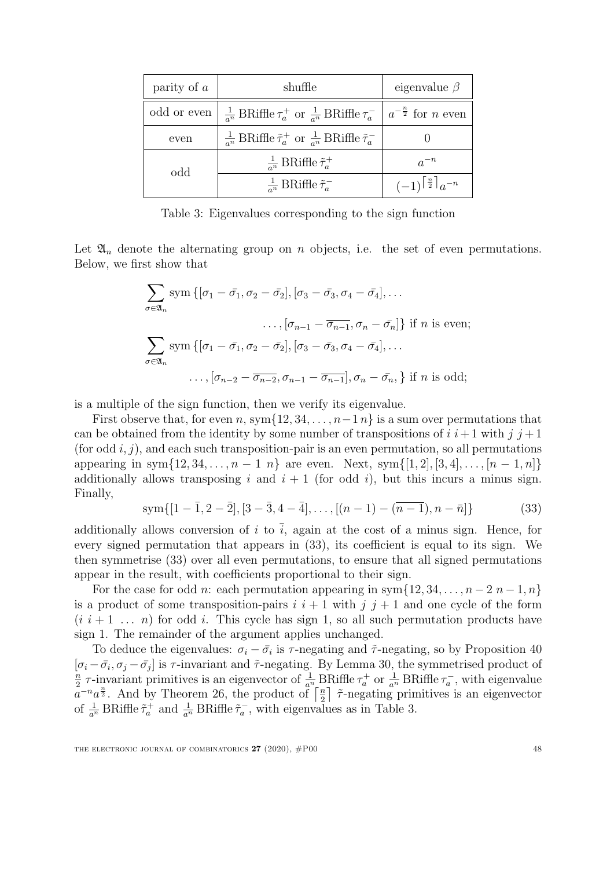| parity of $a$ | shuffle                                                                                                  | eigenvalue $\beta$         |
|---------------|----------------------------------------------------------------------------------------------------------|----------------------------|
| odd or even   | $\frac{1}{a^n}$ BRiffle $\tau_a^+$ or $\frac{1}{a^n}$ BRiffle $\tau_a^ \mid a^{-\frac{n}{2}}$ for n even |                            |
| even          | $\frac{1}{a^n}$ BRiffle $\tilde{\tau}_a^+$ or $\frac{1}{a^n}$ BRiffle $\tilde{\tau}_a^-$                 |                            |
| odd           | $\frac{1}{a^n}$ BRiffle $\tilde{\tau}_a^+$                                                               | $a^{-n}$                   |
|               | $\frac{1}{a^n}$ BRiffle $\tilde{\tau}_a^-$                                                               | $(-1)^{\frac{n}{2}}a^{-n}$ |

<span id="page-48-0"></span>Table 3: Eigenvalues corresponding to the sign function

Let  $\mathfrak{A}_n$  denote the alternating group on n objects, i.e. the set of even permutations. Below, we first show that

$$
\sum_{\sigma \in \mathfrak{A}_n} \text{sym}\left\{ [\sigma_1 - \bar{\sigma_1}, \sigma_2 - \bar{\sigma_2}], [\sigma_3 - \bar{\sigma_3}, \sigma_4 - \bar{\sigma_4}], \dots \right.\n\ldots, [\sigma_{n-1} - \bar{\sigma_{n-1}}, \sigma_n - \bar{\sigma_n}] \right\} \text{ if } n \text{ is even};
$$
\n
$$
\sum_{\sigma \in \mathfrak{A}_n} \text{sym}\left\{ [\sigma_1 - \bar{\sigma_1}, \sigma_2 - \bar{\sigma_2}], [\sigma_3 - \bar{\sigma_3}, \sigma_4 - \bar{\sigma_4}], \dots \right.\n\ldots, [\sigma_{n-2} - \bar{\sigma_{n-2}}, \sigma_{n-1} - \bar{\sigma_{n-1}}], \sigma_n - \bar{\sigma_n}, \right\} \text{ if } n \text{ is odd};
$$

is a multiple of the sign function, then we verify its eigenvalue.

First observe that, for even n, sym $\{12, 34, \ldots, n-1\}$  is a sum over permutations that can be obtained from the identity by some number of transpositions of  $i \ i+1$  with  $j \ j+1$ (for odd i, j), and each such transposition-pair is an even permutation, so all permutations appearing in sym $\{12, 34, \ldots, n-1 \; n\}$  are even. Next, sym $\{[1, 2], [3, 4], \ldots, [n-1, n]\}$ additionally allows transposing i and  $i + 1$  (for odd i), but this incurs a minus sign. Finally,

<span id="page-48-1"></span>
$$
sym\{[1-\bar{1},2-\bar{2}], [3-\bar{3},4-\bar{4}],\ldots, [(n-1)-(\bar{n}-1),n-\bar{n}]\}\
$$
\n(33)

additionally allows conversion of i to  $\overline{i}$ , again at the cost of a minus sign. Hence, for every signed permutation that appears in [\(33\)](#page-48-1), its coefficient is equal to its sign. We then symmetrise [\(33\)](#page-48-1) over all even permutations, to ensure that all signed permutations appear in the result, with coefficients proportional to their sign.

For the case for odd n: each permutation appearing in sym $\{12, 34, \ldots, n-2, n-1, n\}$ is a product of some transposition-pairs  $i \, i + 1$  with  $j \, j + 1$  and one cycle of the form  $(i \ i+1 \ldots n)$  for odd i. This cycle has sign 1, so all such permutation products have sign 1. The remainder of the argument applies unchanged.

To deduce the eigenvalues:  $\sigma_i - \bar{\sigma}_i$  is  $\tau$ -negating and  $\tilde{\tau}$ -negating, so by Proposition [40](#page-37-0)  $[\sigma_i - \bar{\sigma}_i, \sigma_j - \bar{\sigma}_j]$  is  $\tau$ -invariant and  $\tilde{\tau}$ -negating. By Lemma [30,](#page-22-0) the symmetrised product of n  $\frac{n}{2}$   $\tau$ -invariant primitives is an eigenvector of  $\frac{1}{a^n}$  BRiffle  $\tau_a^+$  or  $\frac{1}{a^n}$  BRiffle  $\tau_a^-$ , with eigenvalue  $a^{-n}a^{\frac{n}{2}}$ . And by Theorem [26,](#page-20-0) the product of  $\lceil \frac{n}{2} \rceil$  $\frac{n}{2}$   $\tilde{\tau}$ -negating primitives is an eigenvector of  $\frac{1}{a^n}$  BRiffle  $\tilde{\tau}_a^+$  and  $\frac{1}{a^n}$  BRiffle  $\tilde{\tau}_a^-$ , with eigenvalues as in Table [3.](#page-48-0)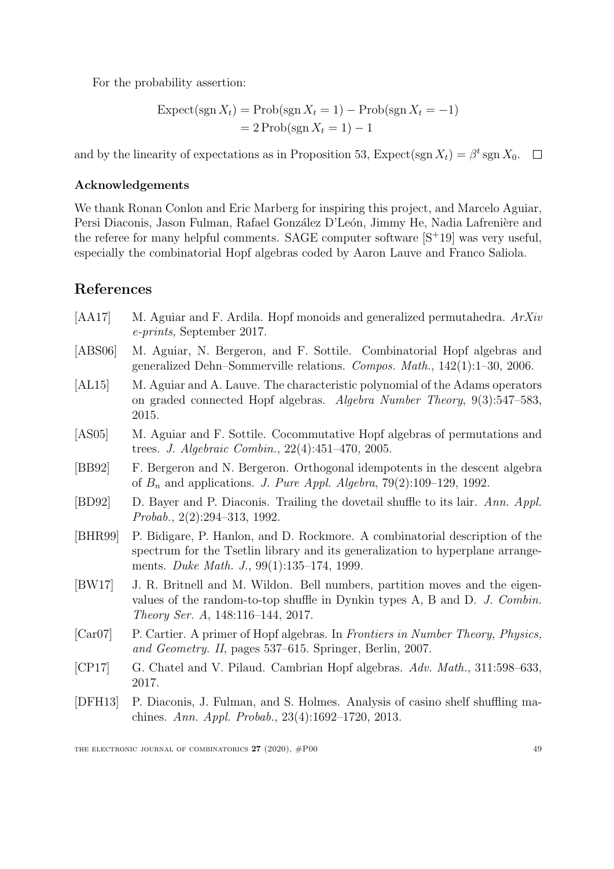For the probability assertion:

$$
\begin{aligned} \text{Expected}(\text{sgn}\,X_t) &= \text{Prob}(\text{sgn}\,X_t = 1) - \text{Prob}(\text{sgn}\,X_t = -1) \\ &= 2\,\text{Prob}(\text{sgn}\,X_t = 1) - 1 \end{aligned}
$$

and by the linearity of expectations as in Proposition [53,](#page-44-0) Expect(sgn  $X_t$ ) =  $\beta^t$  sgn  $X_0$ .

### Acknowledgements

We thank Ronan Conlon and Eric Marberg for inspiring this project, and Marcelo Aguiar, Persi Diaconis, Jason Fulman, Rafael González D'León, Jimmy He, Nadia Lafrenière and the referee for many helpful comments. SAGE computer software  $[S^+19]$  $[S^+19]$  was very useful, especially the combinatorial Hopf algebras coded by Aaron Lauve and Franco Saliola.

## References

- <span id="page-49-1"></span>[AA17] M. Aguiar and F. Ardila. Hopf monoids and generalized permutahedra. ArXiv e-prints, September 2017.
- <span id="page-49-0"></span>[ABS06] M. Aguiar, N. Bergeron, and F. Sottile. Combinatorial Hopf algebras and generalized Dehn–Sommerville relations. Compos. Math., 142(1):1–30, 2006.
- <span id="page-49-3"></span>[AL15] M. Aguiar and A. Lauve. The characteristic polynomial of the Adams operators on graded connected Hopf algebras. Algebra Number Theory, 9(3):547–583, 2015.
- <span id="page-49-9"></span>[AS05] M. Aguiar and F. Sottile. Cocommutative Hopf algebras of permutations and trees. J. Algebraic Combin., 22(4):451–470, 2005.
- <span id="page-49-5"></span>[BB92] F. Bergeron and N. Bergeron. Orthogonal idempotents in the descent algebra of  $B_n$  and applications. J. Pure Appl. Algebra, 79(2):109–129, 1992.
- <span id="page-49-4"></span>[BD92] D. Bayer and P. Diaconis. Trailing the dovetail shuffle to its lair. Ann. Appl. Probab., 2(2):294–313, 1992.
- <span id="page-49-8"></span>[BHR99] P. Bidigare, P. Hanlon, and D. Rockmore. A combinatorial description of the spectrum for the Tsetlin library and its generalization to hyperplane arrangements. Duke Math. J., 99(1):135–174, 1999.
- <span id="page-49-7"></span>[BW17] J. R. Britnell and M. Wildon. Bell numbers, partition moves and the eigenvalues of the random-to-top shuffle in Dynkin types A, B and D. J. Combin. Theory Ser. A, 148:116–144, 2017.
- <span id="page-49-10"></span>[Car07] P. Cartier. A primer of Hopf algebras. In Frontiers in Number Theory, Physics, and Geometry. II, pages 537–615. Springer, Berlin, 2007.
- <span id="page-49-2"></span>[CP17] G. Chatel and V. Pilaud. Cambrian Hopf algebras. Adv. Math., 311:598–633, 2017.
- <span id="page-49-6"></span>[DFH13] P. Diaconis, J. Fulman, and S. Holmes. Analysis of casino shelf shuffling machines. Ann. Appl. Probab., 23(4):1692–1720, 2013.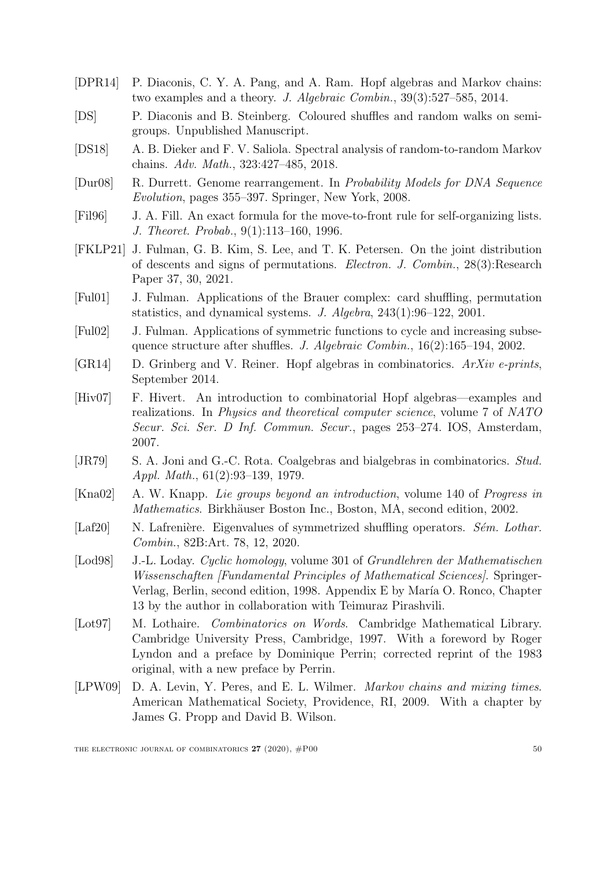- <span id="page-50-3"></span>[DPR14] P. Diaconis, C. Y. A. Pang, and A. Ram. Hopf algebras and Markov chains: two examples and a theory. J. Algebraic Combin., 39(3):527–585, 2014.
- <span id="page-50-5"></span>[DS] P. Diaconis and B. Steinberg. Coloured shuffles and random walks on semigroups. Unpublished Manuscript.
- <span id="page-50-7"></span>[DS18] A. B. Dieker and F. V. Saliola. Spectral analysis of random-to-random Markov chains. Adv. Math., 323:427–485, 2018.
- <span id="page-50-9"></span>[Dur08] R. Durrett. Genome rearrangement. In Probability Models for DNA Sequence Evolution, pages 355–397. Springer, New York, 2008.
- <span id="page-50-4"></span>[Fil96] J. A. Fill. An exact formula for the move-to-front rule for self-organizing lists. J. Theoret. Probab., 9(1):113–160, 1996.
- <span id="page-50-6"></span>[FKLP21] J. Fulman, G. B. Kim, S. Lee, and T. K. Petersen. On the joint distribution of descents and signs of permutations. Electron. J. Combin., 28(3):Research Paper 37, 30, 2021.
- <span id="page-50-12"></span>[Ful01] J. Fulman. Applications of the Brauer complex: card shuffling, permutation statistics, and dynamical systems. J. Algebra, 243(1):96–122, 2001.
- <span id="page-50-13"></span>[Ful02] J. Fulman. Applications of symmetric functions to cycle and increasing subsequence structure after shuffles. J. Algebraic Combin., 16(2):165–194, 2002.
- <span id="page-50-10"></span>[GR14] D. Grinberg and V. Reiner. Hopf algebras in combinatorics. ArXiv e-prints, September 2014.
- <span id="page-50-1"></span>[Hiv07] F. Hivert. An introduction to combinatorial Hopf algebras—examples and realizations. In Physics and theoretical computer science, volume 7 of NATO Secur. Sci. Ser. D Inf. Commun. Secur., pages 253–274. IOS, Amsterdam, 2007.
- <span id="page-50-0"></span>[JR79] S. A. Joni and G.-C. Rota. Coalgebras and bialgebras in combinatorics. Stud. Appl. Math., 61(2):93–139, 1979.
- <span id="page-50-11"></span>[Kna02] A. W. Knapp. Lie groups beyond an introduction, volume 140 of Progress in Mathematics. Birkhäuser Boston Inc., Boston, MA, second edition, 2002.
- <span id="page-50-8"></span>[Laf20] N. Lafrenière. Eigenvalues of symmetrized shuffling operators. Sém. Lothar. Combin., 82B:Art. 78, 12, 2020.
- <span id="page-50-2"></span>[Lod98] J.-L. Loday. Cyclic homology, volume 301 of Grundlehren der Mathematischen Wissenschaften [Fundamental Principles of Mathematical Sciences]. Springer-Verlag, Berlin, second edition, 1998. Appendix E by María O. Ronco, Chapter 13 by the author in collaboration with Teimuraz Pirashvili.
- <span id="page-50-15"></span>[Lot97] M. Lothaire. Combinatorics on Words. Cambridge Mathematical Library. Cambridge University Press, Cambridge, 1997. With a foreword by Roger Lyndon and a preface by Dominique Perrin; corrected reprint of the 1983 original, with a new preface by Perrin.
- <span id="page-50-14"></span>[LPW09] D. A. Levin, Y. Peres, and E. L. Wilmer. Markov chains and mixing times. American Mathematical Society, Providence, RI, 2009. With a chapter by James G. Propp and David B. Wilson.

THE ELECTRONIC JOURNAL OF COMBINATORICS  $27 (2020)$ ,  $\#P00$  50